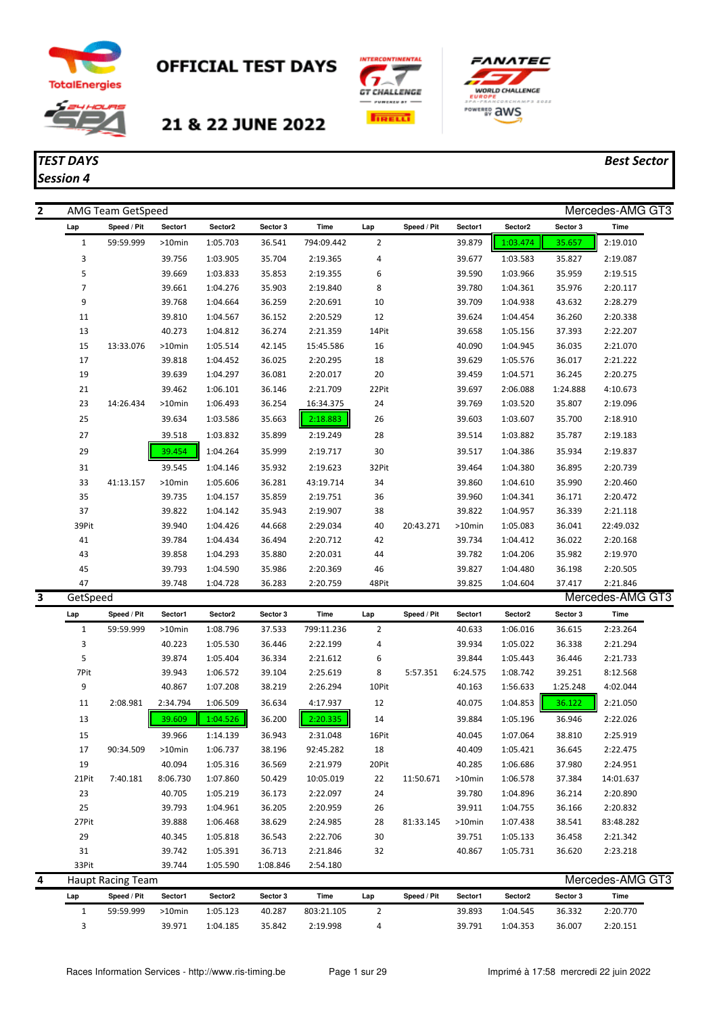

## **OFFICIAL TEST DAYS**







## *TEST DAYS Best Sector Session 4*

| $\overline{2}$ |                          | AMG Team GetSpeed        |           |          |          |            |                |             |          |          |          | Mercedes-AMG GT3 |
|----------------|--------------------------|--------------------------|-----------|----------|----------|------------|----------------|-------------|----------|----------|----------|------------------|
|                | Lap                      | Speed / Pit              | Sector1   | Sector2  | Sector 3 | Time       | Lap            | Speed / Pit | Sector1  | Sector2  | Sector 3 | Time             |
|                | $\mathbf{1}$             | 59:59.999                | $>10$ min | 1:05.703 | 36.541   | 794:09.442 | $\overline{2}$ |             | 39.879   | 1:03.474 | 35.657   | 2:19.010         |
|                | 3                        |                          | 39.756    | 1:03.905 | 35.704   | 2:19.365   | 4              |             | 39.677   | 1:03.583 | 35.827   | 2:19.087         |
|                | 5                        |                          | 39.669    | 1:03.833 | 35.853   | 2:19.355   | 6              |             | 39.590   | 1:03.966 | 35.959   | 2:19.515         |
|                | $\overline{\phantom{a}}$ |                          | 39.661    | 1:04.276 | 35.903   | 2:19.840   | 8              |             | 39.780   | 1:04.361 | 35.976   | 2:20.117         |
|                | 9                        |                          | 39.768    | 1:04.664 | 36.259   | 2:20.691   | 10             |             | 39.709   | 1:04.938 | 43.632   | 2:28.279         |
|                | 11                       |                          | 39.810    | 1:04.567 | 36.152   | 2:20.529   | 12             |             | 39.624   | 1:04.454 | 36.260   | 2:20.338         |
|                | 13                       |                          | 40.273    | 1:04.812 | 36.274   | 2:21.359   | 14Pit          |             | 39.658   | 1:05.156 | 37.393   | 2:22.207         |
|                | 15                       | 13:33.076                | >10min    | 1:05.514 | 42.145   | 15:45.586  | 16             |             | 40.090   | 1:04.945 | 36.035   | 2:21.070         |
|                | 17                       |                          | 39.818    | 1:04.452 | 36.025   | 2:20.295   | 18             |             | 39.629   | 1:05.576 | 36.017   | 2:21.222         |
|                | 19                       |                          | 39.639    | 1:04.297 | 36.081   | 2:20.017   | 20             |             | 39.459   | 1:04.571 | 36.245   | 2:20.275         |
|                | 21                       |                          | 39.462    | 1:06.101 | 36.146   | 2:21.709   | 22Pit          |             | 39.697   | 2:06.088 | 1:24.888 | 4:10.673         |
|                | 23                       | 14:26.434                | >10min    | 1:06.493 | 36.254   | 16:34.375  | 24             |             | 39.769   | 1:03.520 | 35.807   | 2:19.096         |
|                | 25                       |                          | 39.634    | 1:03.586 | 35.663   | 2:18.883   | 26             |             | 39.603   | 1:03.607 | 35.700   | 2:18.910         |
|                | 27                       |                          | 39.518    | 1:03.832 | 35.899   | 2:19.249   | 28             |             | 39.514   | 1:03.882 | 35.787   | 2:19.183         |
|                | 29                       |                          | 39.454    | 1:04.264 | 35.999   | 2:19.717   | 30             |             | 39.517   | 1:04.386 | 35.934   | 2:19.837         |
|                | 31                       |                          | 39.545    | 1:04.146 | 35.932   | 2:19.623   | 32Pit          |             | 39.464   | 1:04.380 | 36.895   | 2:20.739         |
|                | 33                       | 41:13.157                | >10min    | 1:05.606 | 36.281   | 43:19.714  | 34             |             | 39.860   | 1:04.610 | 35.990   | 2:20.460         |
|                | 35                       |                          | 39.735    | 1:04.157 | 35.859   | 2:19.751   | 36             |             | 39.960   | 1:04.341 | 36.171   | 2:20.472         |
|                | 37                       |                          | 39.822    | 1:04.142 | 35.943   | 2:19.907   | 38             |             | 39.822   | 1:04.957 | 36.339   | 2:21.118         |
|                | 39Pit                    |                          | 39.940    | 1:04.426 | 44.668   | 2:29.034   | 40             | 20:43.271   | >10min   | 1:05.083 | 36.041   | 22:49.032        |
|                | 41                       |                          | 39.784    | 1:04.434 | 36.494   | 2:20.712   | 42             |             | 39.734   | 1:04.412 | 36.022   | 2:20.168         |
|                | 43                       |                          | 39.858    | 1:04.293 | 35.880   | 2:20.031   | 44             |             | 39.782   | 1:04.206 | 35.982   | 2:19.970         |
|                | 45                       |                          | 39.793    | 1:04.590 | 35.986   | 2:20.369   | 46             |             | 39.827   | 1:04.480 | 36.198   | 2:20.505         |
|                | 47                       |                          | 39.748    | 1:04.728 | 36.283   | 2:20.759   | 48Pit          |             | 39.825   | 1:04.604 | 37.417   | 2:21.846         |
| 3              | GetSpeed                 |                          |           |          |          |            |                |             |          |          |          | Mercedes-AMG GT3 |
|                | Lap                      | Speed / Pit              | Sector1   | Sector2  | Sector 3 | Time       | Lap            | Speed / Pit | Sector1  | Sector2  | Sector 3 | Time             |
|                | $\mathbf{1}$             | 59:59.999                | >10min    | 1:08.796 | 37.533   | 799:11.236 | 2              |             | 40.633   | 1:06.016 | 36.615   | 2:23.264         |
|                | 3                        |                          | 40.223    | 1:05.530 | 36.446   | 2:22.199   | 4              |             | 39.934   | 1:05.022 | 36.338   | 2:21.294         |
|                | 5                        |                          | 39.874    | 1:05.404 | 36.334   | 2:21.612   | 6              |             | 39.844   | 1:05.443 | 36.446   | 2:21.733         |
|                | 7Pit                     |                          | 39.943    | 1:06.572 | 39.104   | 2:25.619   | 8              | 5:57.351    | 6:24.575 | 1:08.742 | 39.251   | 8:12.568         |
|                | 9                        |                          | 40.867    | 1:07.208 | 38.219   | 2:26.294   | 10Pit          |             | 40.163   | 1:56.633 | 1:25.248 | 4:02.044         |
|                | 11                       | 2:08.981                 | 2:34.794  | 1:06.509 | 36.634   | 4:17.937   | 12             |             | 40.075   | 1:04.853 | 36.122   | 2:21.050         |
|                | 13                       |                          | 39.609    | 1:04.526 | 36.200   | 2:20.335   | 14             |             | 39.884   | 1:05.196 | 36.946   | 2:22.026         |
|                | 15                       |                          | 39.966    | 1:14.139 | 36.943   | 2:31.048   | 16Pit          |             | 40.045   | 1:07.064 | 38.810   | 2:25.919         |
|                | 17                       | 90:34.509                | >10min    | 1:06.737 | 38.196   | 92:45.282  | 18             |             | 40.409   | 1:05.421 | 36.645   | 2:22.475         |
|                | 19                       |                          | 40.094    | 1:05.316 | 36.569   | 2:21.979   | 20Pit          |             | 40.285   | 1:06.686 | 37.980   | 2:24.951         |
|                | 21Pit                    | 7:40.181                 | 8:06.730  | 1:07.860 | 50.429   | 10:05.019  | 22             | 11:50.671   | >10min   | 1:06.578 | 37.384   | 14:01.637        |
|                | 23                       |                          | 40.705    | 1:05.219 | 36.173   | 2:22.097   | 24             |             | 39.780   | 1:04.896 | 36.214   | 2:20.890         |
|                | 25                       |                          | 39.793    | 1:04.961 | 36.205   | 2:20.959   | 26             |             | 39.911   | 1:04.755 | 36.166   | 2:20.832         |
|                | 27Pit                    |                          | 39.888    | 1:06.468 | 38.629   | 2:24.985   | 28             | 81:33.145   | >10min   | 1:07.438 | 38.541   | 83:48.282        |
|                | 29                       |                          | 40.345    | 1:05.818 | 36.543   | 2:22.706   | 30             |             | 39.751   | 1:05.133 | 36.458   | 2:21.342         |
|                | 31                       |                          | 39.742    | 1:05.391 | 36.713   | 2:21.846   | 32             |             | 40.867   | 1:05.731 | 36.620   | 2:23.218         |
|                | 33Pit                    |                          | 39.744    | 1:05.590 | 1:08.846 | 2:54.180   |                |             |          |          |          |                  |
| 4              |                          | <b>Haupt Racing Team</b> |           |          |          |            |                |             |          |          |          | Mercedes-AMG GT3 |
|                | Lap                      | Speed / Pit              | Sector1   | Sector2  | Sector 3 | Time       | Lap            | Speed / Pit | Sector1  | Sector2  | Sector 3 | Time             |
|                | $\mathbf{1}$             | 59:59.999                | >10min    | 1:05.123 | 40.287   | 803:21.105 | 2              |             | 39.893   | 1:04.545 | 36.332   | 2:20.770         |

3 39.971 1:04.185 35.842 2:19.998 4 39.791 1:04.353 36.007 2:20.151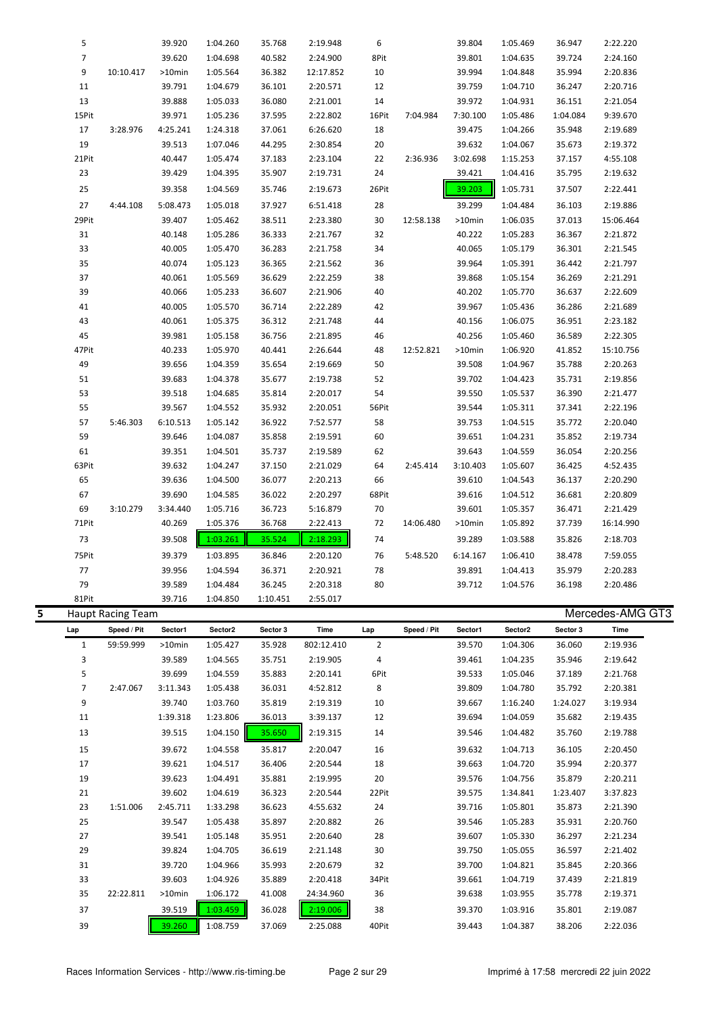|   | 5                 |                          | 39.920           | 1:04.260             | 35.768           | 2:19.948               | 6                   |             | 39.804           | 1:05.469             | 36.947           | 2:22.220             |  |
|---|-------------------|--------------------------|------------------|----------------------|------------------|------------------------|---------------------|-------------|------------------|----------------------|------------------|----------------------|--|
|   | $\overline{7}$    |                          | 39.620           | 1:04.698             | 40.582           | 2:24.900               | 8Pit                |             | 39.801           | 1:04.635             | 39.724           | 2:24.160             |  |
|   | 9                 | 10:10.417                | >10min           | 1:05.564             | 36.382           | 12:17.852              | 10                  |             | 39.994           | 1:04.848             | 35.994           | 2:20.836             |  |
|   | 11                |                          | 39.791           | 1:04.679             | 36.101           | 2:20.571               | 12                  |             | 39.759           | 1:04.710             | 36.247           | 2:20.716             |  |
|   | 13                |                          | 39.888           | 1:05.033             | 36.080           | 2:21.001               | 14                  |             | 39.972           | 1:04.931             | 36.151           | 2:21.054             |  |
|   | 15Pit             |                          | 39.971           | 1:05.236             | 37.595           | 2:22.802               | 16Pit               | 7:04.984    | 7:30.100         | 1:05.486             | 1:04.084         | 9:39.670             |  |
|   | 17                | 3:28.976                 | 4:25.241         | 1:24.318             | 37.061           | 6:26.620               | 18                  |             | 39.475           | 1:04.266             | 35.948           | 2:19.689             |  |
|   | 19                |                          | 39.513           | 1:07.046             | 44.295           | 2:30.854               | 20                  |             | 39.632           | 1:04.067             | 35.673           | 2:19.372             |  |
|   | 21Pit             |                          | 40.447           | 1:05.474             | 37.183           | 2:23.104               | 22                  | 2:36.936    | 3:02.698         | 1:15.253             | 37.157           | 4:55.108             |  |
|   | 23                |                          | 39.429           | 1:04.395             | 35.907           | 2:19.731               | 24                  |             | 39.421           | 1:04.416             | 35.795           | 2:19.632             |  |
|   | 25                |                          | 39.358           | 1:04.569             | 35.746           | 2:19.673               | 26Pit               |             | 39.203           | 1:05.731             | 37.507           | 2:22.441             |  |
|   | 27                | 4:44.108                 | 5:08.473         | 1:05.018             | 37.927           | 6:51.418               | 28                  |             | 39.299           | 1:04.484             | 36.103           | 2:19.886             |  |
|   | 29Pit             |                          | 39.407           | 1:05.462             | 38.511           | 2:23.380               | 30                  | 12:58.138   | >10min           | 1:06.035             | 37.013           | 15:06.464            |  |
|   | 31                |                          | 40.148           | 1:05.286             | 36.333           | 2:21.767               | 32                  |             | 40.222           | 1:05.283             | 36.367           | 2:21.872             |  |
|   | 33                |                          | 40.005           | 1:05.470             | 36.283           | 2:21.758               | 34                  |             | 40.065           | 1:05.179             | 36.301           | 2:21.545             |  |
|   | 35                |                          | 40.074           | 1:05.123             | 36.365           | 2:21.562               | 36                  |             | 39.964           | 1:05.391             | 36.442           | 2:21.797             |  |
|   | 37                |                          | 40.061           | 1:05.569             | 36.629           | 2:22.259               | 38                  |             | 39.868           | 1:05.154             | 36.269           | 2:21.291             |  |
|   | 39                |                          | 40.066           | 1:05.233             | 36.607           | 2:21.906               | 40                  |             | 40.202           | 1:05.770             | 36.637           | 2:22.609             |  |
|   | 41                |                          | 40.005           | 1:05.570             | 36.714           | 2:22.289               | 42                  |             | 39.967           | 1:05.436             | 36.286           | 2:21.689             |  |
|   | 43                |                          | 40.061           | 1:05.375             | 36.312           | 2:21.748               | 44                  |             | 40.156           | 1:06.075             | 36.951           | 2:23.182             |  |
|   | 45                |                          | 39.981           | 1:05.158             | 36.756           | 2:21.895               | 46                  |             | 40.256           | 1:05.460             | 36.589           | 2:22.305             |  |
|   | 47Pit             |                          | 40.233           | 1:05.970             | 40.441           | 2:26.644               | 48                  | 12:52.821   | >10min           | 1:06.920             | 41.852           | 15:10.756            |  |
|   | 49                |                          | 39.656           | 1:04.359             | 35.654           | 2:19.669               | 50                  |             | 39.508           | 1:04.967             | 35.788           | 2:20.263             |  |
|   | 51                |                          | 39.683           | 1:04.378             | 35.677           | 2:19.738               | 52                  |             | 39.702           | 1:04.423             | 35.731           | 2:19.856             |  |
|   | 53                |                          | 39.518           | 1:04.685             | 35.814           | 2:20.017               | 54                  |             | 39.550           | 1:05.537             | 36.390           | 2:21.477             |  |
|   | 55                |                          | 39.567           | 1:04.552             | 35.932           | 2:20.051               | 56Pit               |             | 39.544           | 1:05.311             | 37.341           | 2:22.196             |  |
|   | 57                | 5:46.303                 | 6:10.513         | 1:05.142             | 36.922           | 7:52.577               | 58                  |             | 39.753           | 1:04.515             | 35.772           | 2:20.040             |  |
|   | 59                |                          | 39.646           | 1:04.087             | 35.858           | 2:19.591               | 60                  |             | 39.651           | 1:04.231             | 35.852           | 2:19.734             |  |
|   | 61                |                          | 39.351           | 1:04.501             | 35.737           | 2:19.589               | 62                  |             | 39.643           | 1:04.559             | 36.054           | 2:20.256             |  |
|   | 63Pit             |                          | 39.632           | 1:04.247             | 37.150           | 2:21.029               | 64                  | 2:45.414    | 3:10.403         | 1:05.607             | 36.425           | 4:52.435             |  |
|   | 65                |                          | 39.636           | 1:04.500             | 36.077           | 2:20.213               | 66                  |             | 39.610           | 1:04.543             | 36.137           | 2:20.290             |  |
|   | 67                |                          | 39.690           | 1:04.585             | 36.022           | 2:20.297               | 68Pit               |             | 39.616           | 1:04.512             | 36.681           | 2:20.809             |  |
|   | 69                | 3:10.279                 | 3:34.440         | 1:05.716             | 36.723           | 5:16.879               | 70                  |             | 39.601           | 1:05.357             | 36.471           | 2:21.429             |  |
|   | 71Pit             |                          | 40.269           | 1:05.376             | 36.768           | 2:22.413               | 72                  | 14:06.480   | >10min           | 1:05.892             | 37.739           | 16:14.990            |  |
|   | 73                |                          | 39.508           | 1:03.261             | 35.524           | 2:18.293               | 74                  |             | 39.289           | 1:03.588             | 35.826           | 2:18.703             |  |
|   | 75Pit             |                          | 39.379           | 1:03.895             | 36.846           | 2:20.120               | 76                  | 5:48.520    | 6:14.167         | 1:06.410             | 38.478           | 7:59.055             |  |
|   | 77                |                          | 39.956           | 1:04.594             | 36.371           | 2:20.921               | 78                  |             | 39.891           | 1:04.413             | 35.979           | 2:20.283             |  |
|   | 79                |                          | 39.589           | 1:04.484             | 36.245           | 2:20.318               | 80                  |             | 39.712           | 1:04.576             | 36.198           | 2:20.486             |  |
|   | 81Pit             |                          | 39.716           | 1:04.850             | 1:10.451         | 2:55.017               |                     |             |                  |                      |                  |                      |  |
| 5 |                   | <b>Haupt Racing Team</b> |                  |                      |                  |                        |                     |             |                  |                      |                  | Mercedes-AMG GT3     |  |
|   | Lap               | Speed / Pit              | Sector1          | Sector2              | Sector 3         | Time                   | Lap                 | Speed / Pit | Sector1          | Sector2              | Sector 3         | Time                 |  |
|   | $\mathbf{1}$<br>3 | 59:59.999                | >10min<br>39.589 | 1:05.427<br>1:04.565 | 35.928<br>35.751 | 802:12.410<br>2:19.905 | $\overline{2}$<br>4 |             | 39.570<br>39.461 | 1:04.306<br>1:04.235 | 36.060<br>35.946 | 2:19.936<br>2:19.642 |  |
|   | 5                 |                          | 39.699           | 1:04.559             | 35.883           | 2:20.141               | 6Pit                |             | 39.533           | 1:05.046             | 37.189           | 2:21.768             |  |
|   | 7                 | 2:47.067                 | 3:11.343         | 1:05.438             | 36.031           | 4:52.812               | 8                   |             | 39.809           | 1:04.780             | 35.792           | 2:20.381             |  |
|   | 9                 |                          | 39.740           | 1:03.760             | 35.819           | 2:19.319               | 10                  |             | 39.667           | 1:16.240             | 1:24.027         | 3:19.934             |  |
|   |                   |                          |                  |                      |                  |                        |                     |             |                  |                      |                  |                      |  |

| $\mathbf{1}$   | 59:59.999 | $>10$ min | 1:05.427 | 35.928 | 802:12.410 | 2     | 39.570 | 1:04.306 | 36.060   | 2:19.936 |  |
|----------------|-----------|-----------|----------|--------|------------|-------|--------|----------|----------|----------|--|
| 3              |           | 39.589    | 1:04.565 | 35.751 | 2:19.905   | 4     | 39.461 | 1:04.235 | 35.946   | 2:19.642 |  |
| 5              |           | 39.699    | 1:04.559 | 35.883 | 2:20.141   | 6Pit  | 39.533 | 1:05.046 | 37.189   | 2:21.768 |  |
| $\overline{7}$ | 2:47.067  | 3:11.343  | 1:05.438 | 36.031 | 4:52.812   | 8     | 39.809 | 1:04.780 | 35.792   | 2:20.381 |  |
| 9              |           | 39.740    | 1:03.760 | 35.819 | 2:19.319   | 10    | 39.667 | 1:16.240 | 1:24.027 | 3:19.934 |  |
| 11             |           | 1:39.318  | 1:23.806 | 36.013 | 3:39.137   | 12    | 39.694 | 1:04.059 | 35.682   | 2:19.435 |  |
| 13             |           | 39.515    | 1:04.150 | 35.650 | 2:19.315   | 14    | 39.546 | 1:04.482 | 35.760   | 2:19.788 |  |
| 15             |           | 39.672    | 1:04.558 | 35.817 | 2:20.047   | 16    | 39.632 | 1:04.713 | 36.105   | 2:20.450 |  |
| 17             |           | 39.621    | 1:04.517 | 36.406 | 2:20.544   | 18    | 39.663 | 1:04.720 | 35.994   | 2:20.377 |  |
| 19             |           | 39.623    | 1:04.491 | 35.881 | 2:19.995   | 20    | 39.576 | 1:04.756 | 35.879   | 2:20.211 |  |
| 21             |           | 39.602    | 1:04.619 | 36.323 | 2:20.544   | 22Pit | 39.575 | 1:34.841 | 1:23.407 | 3:37.823 |  |
| 23             | 1:51.006  | 2:45.711  | 1:33.298 | 36.623 | 4:55.632   | 24    | 39.716 | 1:05.801 | 35.873   | 2:21.390 |  |
| 25             |           | 39.547    | 1:05.438 | 35.897 | 2:20.882   | 26    | 39.546 | 1:05.283 | 35.931   | 2:20.760 |  |
| 27             |           | 39.541    | 1:05.148 | 35.951 | 2:20.640   | 28    | 39.607 | 1:05.330 | 36.297   | 2:21.234 |  |
| 29             |           | 39.824    | 1:04.705 | 36.619 | 2:21.148   | 30    | 39.750 | 1:05.055 | 36.597   | 2:21.402 |  |
| 31             |           | 39.720    | 1:04.966 | 35.993 | 2:20.679   | 32    | 39.700 | 1:04.821 | 35.845   | 2:20.366 |  |
| 33             |           | 39.603    | 1:04.926 | 35.889 | 2:20.418   | 34Pit | 39.661 | 1:04.719 | 37.439   | 2:21.819 |  |
| 35             | 22:22.811 | $>10$ min | 1:06.172 | 41.008 | 24:34.960  | 36    | 39.638 | 1:03.955 | 35.778   | 2:19.371 |  |
| 37             |           | 39.519    | 1:03.459 | 36.028 | 2:19.006   | 38    | 39.370 | 1:03.916 | 35.801   | 2:19.087 |  |
| 39             |           | 39.260    | 1:08.759 | 37.069 | 2:25.088   | 40Pit | 39.443 | 1:04.387 | 38.206   | 2:22.036 |  |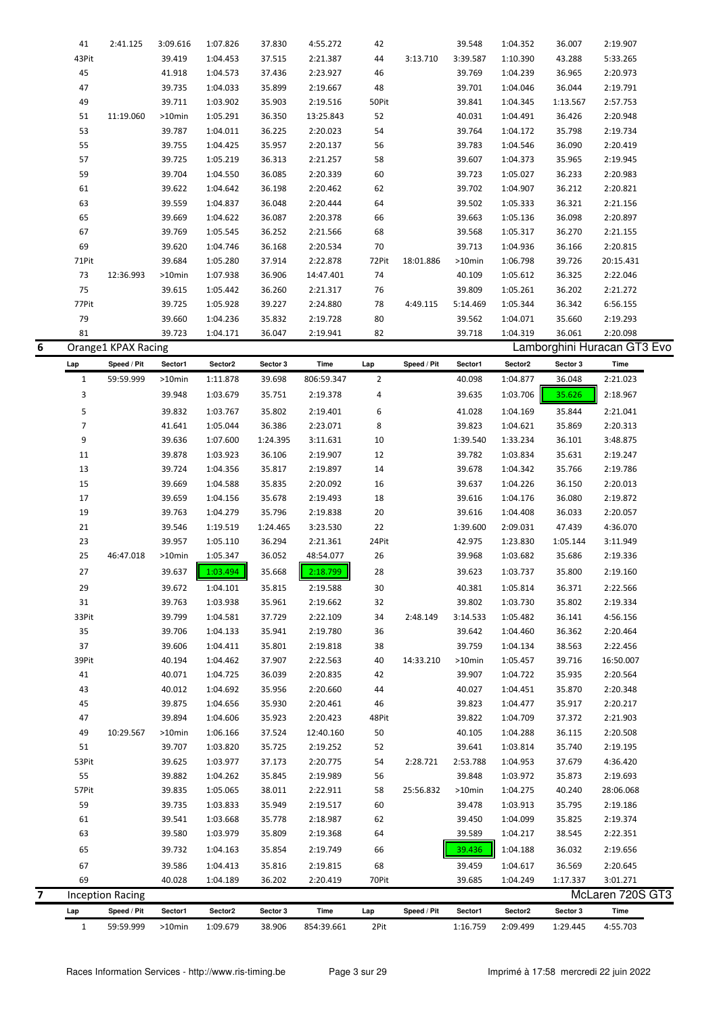|                | 41                  | 2:41.125                 | 3:09.616          | 1:07.826            | 37.830             | 4:55.272           | 42          |             | 39.548              | 1:04.352            | 36.007               | 2:19.907                    |  |
|----------------|---------------------|--------------------------|-------------------|---------------------|--------------------|--------------------|-------------|-------------|---------------------|---------------------|----------------------|-----------------------------|--|
|                | 43Pit               |                          | 39.419            | 1:04.453            | 37.515             | 2:21.387           | 44          | 3:13.710    | 3:39.587            | 1:10.390            | 43.288               | 5:33.265                    |  |
|                | 45                  |                          | 41.918            | 1:04.573            | 37.436             | 2:23.927           | 46          |             | 39.769              | 1:04.239            | 36.965               | 2:20.973                    |  |
|                | 47                  |                          | 39.735            | 1:04.033            | 35.899             | 2:19.667           | 48          |             | 39.701              | 1:04.046            | 36.044               | 2:19.791                    |  |
|                | 49                  |                          | 39.711            | 1:03.902            | 35.903             | 2:19.516           | 50Pit       |             | 39.841              | 1:04.345            | 1:13.567             | 2:57.753                    |  |
|                | 51                  | 11:19.060                | >10min            | 1:05.291            | 36.350             | 13:25.843          | 52          |             | 40.031              | 1:04.491            | 36.426               | 2:20.948                    |  |
|                | 53                  |                          | 39.787            | 1:04.011            | 36.225             | 2:20.023           | 54          |             | 39.764              | 1:04.172            | 35.798               | 2:19.734                    |  |
|                | 55                  |                          | 39.755            | 1:04.425            | 35.957             | 2:20.137           | 56          |             | 39.783              | 1:04.546            | 36.090               | 2:20.419                    |  |
|                | 57                  |                          | 39.725            | 1:05.219            | 36.313             | 2:21.257           | 58          |             | 39.607              | 1:04.373            | 35.965               | 2:19.945                    |  |
|                | 59                  |                          | 39.704            | 1:04.550            | 36.085             | 2:20.339           | 60          |             | 39.723              | 1:05.027            | 36.233               | 2:20.983                    |  |
|                |                     |                          |                   |                     |                    |                    |             |             |                     |                     |                      |                             |  |
|                | 61                  |                          | 39.622            | 1:04.642            | 36.198             | 2:20.462           | 62          |             | 39.702              | 1:04.907            | 36.212               | 2:20.821                    |  |
|                | 63                  |                          | 39.559            | 1:04.837            | 36.048             | 2:20.444           | 64          |             | 39.502              | 1:05.333            | 36.321               | 2:21.156                    |  |
|                | 65                  |                          | 39.669            | 1:04.622            | 36.087             | 2:20.378           | 66          |             | 39.663              | 1:05.136            | 36.098               | 2:20.897                    |  |
|                | 67                  |                          | 39.769            | 1:05.545            | 36.252             | 2:21.566           | 68          |             | 39.568              | 1:05.317            | 36.270               | 2:21.155                    |  |
|                | 69                  |                          | 39.620            | 1:04.746            | 36.168             | 2:20.534           | 70          |             | 39.713              | 1:04.936            | 36.166               | 2:20.815                    |  |
|                | 71Pit               |                          | 39.684            | 1:05.280            | 37.914             | 2:22.878           | 72Pit       | 18:01.886   | >10min              | 1:06.798            | 39.726               | 20:15.431                   |  |
|                | 73                  | 12:36.993                | $>10$ min         | 1:07.938            | 36.906             | 14:47.401          | 74          |             | 40.109              | 1:05.612            | 36.325               | 2:22.046                    |  |
|                | 75                  |                          | 39.615            | 1:05.442            | 36.260             | 2:21.317           | 76          |             | 39.809              | 1:05.261            | 36.202               | 2:21.272                    |  |
|                | 77Pit               |                          | 39.725            | 1:05.928            | 39.227             | 2:24.880           | 78          | 4:49.115    | 5:14.469            | 1:05.344            | 36.342               | 6:56.155                    |  |
|                | 79                  |                          | 39.660            | 1:04.236            | 35.832             | 2:19.728           | 80          |             | 39.562              | 1:04.071            | 35.660               | 2:19.293                    |  |
|                | 81                  |                          | 39.723            | 1:04.171            | 36.047             | 2:19.941           | 82          |             | 39.718              | 1:04.319            | 36.061               | 2:20.098                    |  |
| 6              |                     | Orange1 KPAX Racing      |                   |                     |                    |                    |             |             |                     |                     |                      | Lamborghini Huracan GT3 Evo |  |
|                | Lap                 | Speed / Pit              | Sector1           | Sector2             | Sector 3           | Time               | Lap         | Speed / Pit | Sector1             | Sector2             | Sector 3             | Time                        |  |
|                | $\mathbf{1}$        | 59:59.999                | >10min            | 1:11.878            | 39.698             | 806:59.347         | 2           |             | 40.098              | 1:04.877            | 36.048               | 2:21.023                    |  |
|                | 3                   |                          | 39.948            |                     |                    |                    |             |             |                     | 1:03.706            | 35.626               |                             |  |
|                |                     |                          |                   | 1:03.679            | 35.751             | 2:19.378           | 4           |             | 39.635              |                     |                      | 2:18.967                    |  |
|                | 5                   |                          | 39.832            | 1:03.767            | 35.802             | 2:19.401           | 6           |             | 41.028              | 1:04.169            | 35.844               | 2:21.041                    |  |
|                | $\overline{7}$      |                          | 41.641            | 1:05.044            | 36.386             | 2:23.071           | 8           |             | 39.823              | 1:04.621            | 35.869               | 2:20.313                    |  |
|                | 9                   |                          | 39.636            | 1:07.600            | 1:24.395           | 3:11.631           | 10          |             | 1:39.540            | 1:33.234            | 36.101               | 3:48.875                    |  |
|                | 11                  |                          | 39.878            | 1:03.923            | 36.106             | 2:19.907           | 12          |             | 39.782              | 1:03.834            | 35.631               | 2:19.247                    |  |
|                | 13                  |                          | 39.724            | 1:04.356            | 35.817             | 2:19.897           | 14          |             | 39.678              | 1:04.342            | 35.766               | 2:19.786                    |  |
|                | 15                  |                          | 39.669            | 1:04.588            | 35.835             | 2:20.092           | 16          |             | 39.637              | 1:04.226            | 36.150               | 2:20.013                    |  |
|                | 17                  |                          | 39.659            | 1:04.156            | 35.678             | 2:19.493           | 18          |             | 39.616              | 1:04.176            | 36.080               | 2:19.872                    |  |
|                | 19                  |                          | 39.763            | 1:04.279            | 35.796             | 2:19.838           | 20          |             | 39.616              | 1:04.408            | 36.033               | 2:20.057                    |  |
|                | 21                  |                          | 39.546            | 1:19.519            | 1:24.465           | 3:23.530           | 22          |             | 1:39.600            | 2:09.031            | 47.439               | 4:36.070                    |  |
|                | 23                  |                          | 39.957            | 1:05.110            | 36.294             | 2:21.361           | 24Pit       |             | 42.975              | 1:23.830            | 1:05.144             | 3:11.949                    |  |
|                | 25                  | 46:47.018                | >10min            | 1:05.347            | 36.052             | 48:54.077          | 26          |             | 39.968              | 1:03.682            | 35.686               | 2:19.336                    |  |
|                | 27                  |                          | 39.637            | 1:03.494            | 35.668             | 2:18.799           | 28          |             | 39.623              | 1:03.737            | 35.800               | 2:19.160                    |  |
|                | 29                  |                          | 39.672            | 1:04.101            | 35.815             | 2:19.588           | 30          |             | 40.381              | 1:05.814            | 36.371               | 2:22.566                    |  |
|                | 31                  |                          | 39.763            | 1:03.938            | 35.961             | 2:19.662           | 32          |             | 39.802              | 1:03.730            | 35.802               | 2:19.334                    |  |
|                | 33Pit               |                          | 39.799            | 1:04.581            | 37.729             | 2:22.109           | 34          | 2:48.149    | 3:14.533            | 1:05.482            | 36.141               | 4:56.156                    |  |
|                | 35                  |                          |                   |                     |                    |                    |             |             |                     |                     |                      |                             |  |
|                |                     |                          | 39.706            | 1:04.133            | 35.941             | 2:19.780           | 36          |             | 39.642              | 1:04.460            | 36.362               | 2:20.464                    |  |
|                | 37                  |                          | 39.606            | 1:04.411            | 35.801             | 2:19.818           | 38          |             | 39.759              | 1:04.134            | 38.563               | 2:22.456                    |  |
|                | 39Pit               |                          | 40.194            | 1:04.462            | 37.907             | 2:22.563           | 40          | 14:33.210   | >10min              | 1:05.457            | 39.716               | 16:50.007                   |  |
|                | 41                  |                          | 40.071            | 1:04.725            | 36.039             | 2:20.835           | 42          |             | 39.907              | 1:04.722            | 35.935               | 2:20.564                    |  |
|                | 43                  |                          | 40.012            | 1:04.692            | 35.956             | 2:20.660           | 44          |             | 40.027              | 1:04.451            | 35.870               | 2:20.348                    |  |
|                | 45                  |                          | 39.875            | 1:04.656            | 35.930             | 2:20.461           | 46          |             | 39.823              | 1:04.477            | 35.917               | 2:20.217                    |  |
|                | 47                  |                          | 39.894            | 1:04.606            | 35.923             | 2:20.423           | 48Pit       |             | 39.822              | 1:04.709            | 37.372               | 2:21.903                    |  |
|                | 49                  | 10:29.567                | >10min            | 1:06.166            | 37.524             | 12:40.160          | 50          |             | 40.105              | 1:04.288            | 36.115               | 2:20.508                    |  |
|                | 51                  |                          | 39.707            | 1:03.820            | 35.725             | 2:19.252           | 52          |             | 39.641              | 1:03.814            | 35.740               | 2:19.195                    |  |
|                | 53Pit               |                          | 39.625            | 1:03.977            | 37.173             | 2:20.775           | 54          | 2:28.721    | 2:53.788            | 1:04.953            | 37.679               | 4:36.420                    |  |
|                | 55                  |                          | 39.882            | 1:04.262            | 35.845             | 2:19.989           | 56          |             | 39.848              | 1:03.972            | 35.873               | 2:19.693                    |  |
|                | 57Pit               |                          | 39.835            | 1:05.065            | 38.011             | 2:22.911           | 58          | 25:56.832   | >10min              | 1:04.275            | 40.240               | 28:06.068                   |  |
|                | 59                  |                          | 39.735            | 1:03.833            | 35.949             | 2:19.517           | 60          |             | 39.478              | 1:03.913            | 35.795               | 2:19.186                    |  |
|                | 61                  |                          | 39.541            | 1:03.668            | 35.778             | 2:18.987           | 62          |             | 39.450              | 1:04.099            | 35.825               | 2:19.374                    |  |
|                | 63                  |                          | 39.580            | 1:03.979            | 35.809             | 2:19.368           | 64          |             | 39.589              | 1:04.217            | 38.545               | 2:22.351                    |  |
|                | 65                  |                          | 39.732            | 1:04.163            | 35.854             | 2:19.749           | 66          |             | 39.436              | 1:04.188            | 36.032               | 2:19.656                    |  |
|                |                     |                          | 39.586            | 1:04.413            | 35.816             | 2:19.815           | 68          |             | 39.459              | 1:04.617            | 36.569               | 2:20.645                    |  |
|                |                     |                          |                   |                     |                    |                    |             |             |                     |                     |                      |                             |  |
|                | 67                  |                          |                   |                     |                    |                    |             |             |                     |                     |                      |                             |  |
|                | 69                  |                          | 40.028            | 1:04.189            | 36.202             | 2:20.419           | 70Pit       |             | 39.685              | 1:04.249            | 1:17.337             | 3:01.271                    |  |
| $\overline{ }$ |                     | <b>Inception Racing</b>  |                   |                     |                    |                    |             |             |                     |                     |                      | McLaren 720S GT3            |  |
|                | Lap<br>$\mathbf{1}$ | Speed / Pit<br>59:59.999 | Sector1<br>>10min | Sector2<br>1:09.679 | Sector 3<br>38.906 | Time<br>854:39.661 | Lap<br>2Pit | Speed / Pit | Sector1<br>1:16.759 | Sector2<br>2:09.499 | Sector 3<br>1:29.445 | Time<br>4:55.703            |  |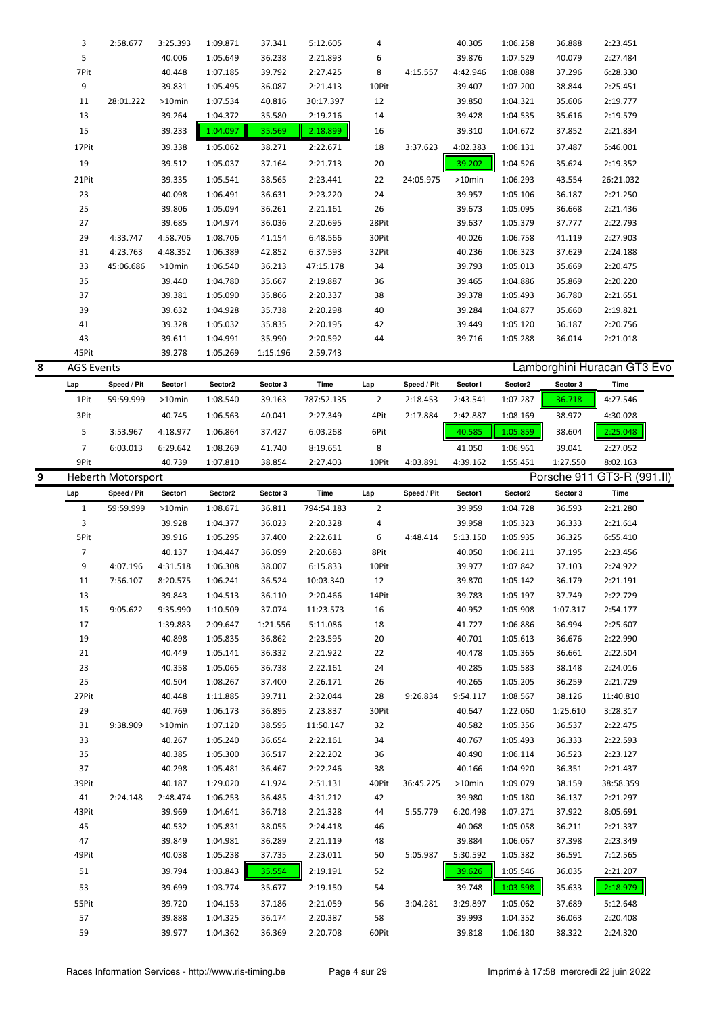|   | 3                 | 2:58.677                  | 3:25.393         | 1:09.871             | 37.341           | 5:12.605             | 4              |             | 40.305           | 1:06.258             | 36.888           | 2:23.451                    |  |
|---|-------------------|---------------------------|------------------|----------------------|------------------|----------------------|----------------|-------------|------------------|----------------------|------------------|-----------------------------|--|
|   | 5                 |                           | 40.006           | 1:05.649             | 36.238           | 2:21.893             | 6              |             | 39.876           | 1:07.529             | 40.079           | 2:27.484                    |  |
|   | 7Pit              |                           | 40.448           | 1:07.185             | 39.792           | 2:27.425             | 8              | 4:15.557    | 4:42.946         | 1:08.088             | 37.296           | 6:28.330                    |  |
|   | 9                 |                           | 39.831           | 1:05.495             | 36.087           | 2:21.413             | 10Pit          |             | 39.407           | 1:07.200             | 38.844           | 2:25.451                    |  |
|   | 11                | 28:01.222                 | >10min           | 1:07.534             | 40.816           | 30:17.397            | 12             |             | 39.850           | 1:04.321             | 35.606           | 2:19.777                    |  |
|   | 13                |                           | 39.264           | 1:04.372             | 35.580           | 2:19.216             | 14             |             | 39.428           | 1:04.535             | 35.616           | 2:19.579                    |  |
|   | 15                |                           | 39.233           | 1:04.097             | 35.569           | 2:18.899             | 16             |             | 39.310           | 1:04.672             | 37.852           | 2:21.834                    |  |
|   | 17Pit             |                           | 39.338           | 1:05.062             | 38.271           | 2:22.671             | 18             | 3:37.623    | 4:02.383         | 1:06.131             | 37.487           | 5:46.001                    |  |
|   | 19                |                           | 39.512           | 1:05.037             | 37.164           | 2:21.713             | 20             |             | 39.202           | 1:04.526             | 35.624           | 2:19.352                    |  |
|   |                   |                           |                  |                      |                  |                      |                |             |                  |                      |                  |                             |  |
|   | 21Pit             |                           | 39.335           | 1:05.541             | 38.565           | 2:23.441             | 22             | 24:05.975   | >10min           | 1:06.293             | 43.554           | 26:21.032                   |  |
|   | 23                |                           | 40.098           | 1:06.491             | 36.631           | 2:23.220             | 24             |             | 39.957           | 1:05.106             | 36.187           | 2:21.250                    |  |
|   | 25                |                           | 39.806           | 1:05.094             | 36.261           | 2:21.161             | 26             |             | 39.673           | 1:05.095             | 36.668           | 2:21.436                    |  |
|   | 27                |                           | 39.685           | 1:04.974             | 36.036           | 2:20.695             | 28Pit          |             | 39.637           | 1:05.379             | 37.777           | 2:22.793                    |  |
|   | 29                | 4:33.747                  | 4:58.706         | 1:08.706             | 41.154           | 6:48.566             | 30Pit          |             | 40.026           | 1:06.758             | 41.119           | 2:27.903                    |  |
|   | 31                | 4:23.763                  | 4:48.352         | 1:06.389             | 42.852           | 6:37.593             | 32Pit          |             | 40.236           | 1:06.323             | 37.629           | 2:24.188                    |  |
|   | 33                | 45:06.686                 | >10min           | 1:06.540             | 36.213           | 47:15.178            | 34             |             | 39.793           | 1:05.013             | 35.669           | 2:20.475                    |  |
|   | 35                |                           | 39.440           | 1:04.780             | 35.667           | 2:19.887             | 36             |             | 39.465           | 1:04.886             | 35.869           | 2:20.220                    |  |
|   | 37                |                           | 39.381           | 1:05.090             | 35.866           | 2:20.337             | 38             |             | 39.378           | 1:05.493             | 36.780           | 2:21.651                    |  |
|   | 39                |                           | 39.632           | 1:04.928             | 35.738           | 2:20.298             | 40             |             | 39.284           | 1:04.877             | 35.660           | 2:19.821                    |  |
|   | 41                |                           | 39.328           | 1:05.032             | 35.835           | 2:20.195             | 42             |             | 39.449           | 1:05.120             | 36.187           | 2:20.756                    |  |
|   | 43                |                           | 39.611           | 1:04.991             | 35.990           | 2:20.592             | 44             |             | 39.716           | 1:05.288             | 36.014           | 2:21.018                    |  |
|   | 45Pit             |                           | 39.278           | 1:05.269             | 1:15.196         | 2:59.743             |                |             |                  |                      |                  |                             |  |
| 8 | <b>AGS Events</b> |                           |                  |                      |                  |                      |                |             |                  |                      |                  | Lamborghini Huracan GT3 Evo |  |
|   | Lap               | Speed / Pit               | Sector1          | Sector2              | Sector 3         | Time                 | Lap            | Speed / Pit | Sector1          | Sector2              | Sector 3         | Time                        |  |
|   | 1Pit              | 59:59.999                 | >10min           | 1:08.540             | 39.163           | 787:52.135           | 2              | 2:18.453    | 2:43.541         | 1:07.287             | 36.718           | 4:27.546                    |  |
|   |                   |                           |                  |                      |                  |                      |                |             |                  |                      |                  |                             |  |
|   | 3Pit              |                           | 40.745           | 1:06.563             | 40.041           | 2:27.349             | 4Pit           | 2:17.884    | 2:42.887         | 1:08.169             | 38.972           | 4:30.028                    |  |
|   | 5                 | 3:53.967                  | 4:18.977         | 1:06.864             | 37.427           | 6:03.268             | 6Pit           |             | 40.585           | 1:05.859             | 38.604           | 2:25.048                    |  |
|   | $\overline{7}$    | 6:03.013                  | 6:29.642         | 1:08.269             | 41.740           | 8:19.651             | 8              |             | 41.050           | 1:06.961             | 39.041           | 2:27.052                    |  |
|   | 9Pit              |                           | 40.739           | 1:07.810             | 38.854           | 2:27.403             | 10Pit          | 4:03.891    | 4:39.162         | 1:55.451             | 1:27.550         | 8:02.163                    |  |
| 9 |                   | <b>Heberth Motorsport</b> |                  |                      |                  |                      |                |             |                  |                      |                  | Porsche 911 GT3-R (991.II)  |  |
|   |                   |                           |                  |                      |                  |                      |                |             |                  |                      |                  |                             |  |
|   | Lap               | Speed / Pit               | Sector1          | Sector2              | Sector 3         | Time                 | Lap            | Speed / Pit | Sector1          | Sector2              | Sector 3         | Time                        |  |
|   | $\mathbf{1}$      | 59:59.999                 | >10min           | 1:08.671             | 36.811           | 794:54.183           | $\overline{2}$ |             | 39.959           | 1:04.728             | 36.593           | 2:21.280                    |  |
|   | 3                 |                           | 39.928           | 1:04.377             | 36.023           | 2:20.328             | 4              |             | 39.958           | 1:05.323             | 36.333           | 2:21.614                    |  |
|   | 5Pit              |                           | 39.916           | 1:05.295             | 37.400           | 2:22.611             | 6              | 4:48.414    | 5:13.150         | 1:05.935             | 36.325           | 6:55.410                    |  |
|   | $\overline{7}$    |                           | 40.137           | 1:04.447             | 36.099           | 2:20.683             | 8Pit           |             | 40.050           | 1:06.211             | 37.195           | 2:23.456                    |  |
|   | 9                 | 4:07.196                  | 4:31.518         | 1:06.308             | 38.007           | 6:15.833             | 10Pit          |             | 39.977           | 1:07.842             | 37.103           | 2:24.922                    |  |
|   |                   |                           |                  |                      |                  |                      |                |             |                  |                      |                  |                             |  |
|   | 11                | 7:56.107                  | 8:20.575         | 1:06.241             | 36.524           | 10:03.340            | 12             |             | 39.870           | 1:05.142             | 36.179           | 2:21.191                    |  |
|   | 13                |                           | 39.843           | 1:04.513             | 36.110           | 2:20.466             | 14Pit          |             | 39.783           | 1:05.197             | 37.749           | 2:22.729                    |  |
|   | 15                | 9:05.622                  | 9:35.990         | 1:10.509             | 37.074           | 11:23.573            | 16             |             | 40.952           | 1:05.908             | 1:07.317         | 2:54.177                    |  |
|   | 17                |                           | 1:39.883         | 2:09.647             | 1:21.556         | 5:11.086             | 18             |             | 41.727           | 1:06.886             | 36.994           | 2:25.607                    |  |
|   | 19                |                           | 40.898           | 1:05.835             | 36.862           | 2:23.595             | 20             |             | 40.701           | 1:05.613             | 36.676           | 2:22.990                    |  |
|   | 21                |                           | 40.449           | 1:05.141             | 36.332           | 2:21.922             | 22             |             | 40.478           | 1:05.365             | 36.661           | 2:22.504                    |  |
|   | 23                |                           | 40.358           | 1:05.065             | 36.738           | 2:22.161             | 24             |             | 40.285           | 1:05.583             | 38.148           | 2:24.016                    |  |
|   | 25                |                           | 40.504           | 1:08.267             | 37.400           | 2:26.171             | 26             |             | 40.265           | 1:05.205             | 36.259           | 2:21.729                    |  |
|   | 27Pit             |                           | 40.448           | 1:11.885             | 39.711           | 2:32.044             | 28             | 9:26.834    | 9:54.117         | 1:08.567             | 38.126           | 11:40.810                   |  |
|   | 29                |                           | 40.769           | 1:06.173             | 36.895           | 2:23.837             | 30Pit          |             | 40.647           | 1:22.060             | 1:25.610         | 3:28.317                    |  |
|   | 31                | 9:38.909                  | >10min           | 1:07.120             | 38.595           | 11:50.147            | 32             |             | 40.582           | 1:05.356             | 36.537           | 2:22.475                    |  |
|   | 33                |                           | 40.267           | 1:05.240             | 36.654           | 2:22.161             | 34             |             | 40.767           | 1:05.493             | 36.333           | 2:22.593                    |  |
|   | 35                |                           | 40.385           | 1:05.300             | 36.517           | 2:22.202             | 36             |             | 40.490           | 1:06.114             | 36.523           | 2:23.127                    |  |
|   | 37                |                           | 40.298           | 1:05.481             | 36.467           | 2:22.246             | 38             |             | 40.166           | 1:04.920             | 36.351           | 2:21.437                    |  |
|   | 39Pit             |                           | 40.187           | 1:29.020             | 41.924           | 2:51.131             | 40Pit          | 36:45.225   | >10min           | 1:09.079             | 38.159           | 38:58.359                   |  |
|   | 41                | 2:24.148                  | 2:48.474         | 1:06.253             | 36.485           | 4:31.212             | 42             |             | 39.980           | 1:05.180             | 36.137           | 2:21.297                    |  |
|   | 43Pit             |                           | 39.969           | 1:04.641             | 36.718           | 2:21.328             | 44             | 5:55.779    | 6:20.498         | 1:07.271             | 37.922           | 8:05.691                    |  |
|   | 45                |                           | 40.532           | 1:05.831             | 38.055           | 2:24.418             | 46             |             | 40.068           | 1:05.058             | 36.211           | 2:21.337                    |  |
|   | 47                |                           | 39.849           | 1:04.981             | 36.289           | 2:21.119             | 48             |             | 39.884           | 1:06.067             | 37.398           | 2:23.349                    |  |
|   | 49Pit             |                           | 40.038           | 1:05.238             | 37.735           | 2:23.011             | 50             | 5:05.987    | 5:30.592         | 1:05.382             | 36.591           | 7:12.565                    |  |
|   | 51                |                           | 39.794           | 1:03.843             | 35.554           | 2:19.191             | 52             |             | 39.626           | 1:05.546             | 36.035           | 2:21.207                    |  |
|   |                   |                           |                  |                      |                  |                      |                |             |                  |                      |                  |                             |  |
|   | 53                |                           | 39.699           | 1:03.774             | 35.677           | 2:19.150             | 54             |             | 39.748           | 1:03.598             | 35.633           | 2:18.979                    |  |
|   | 55Pit             |                           | 39.720           | 1:04.153             | 37.186           | 2:21.059             | 56             | 3:04.281    | 3:29.897         | 1:05.062             | 37.689           | 5:12.648                    |  |
|   | 57<br>59          |                           | 39.888<br>39.977 | 1:04.325<br>1:04.362 | 36.174<br>36.369 | 2:20.387<br>2:20.708 | 58<br>60Pit    |             | 39.993<br>39.818 | 1:04.352<br>1:06.180 | 36.063<br>38.322 | 2:20.408<br>2:24.320        |  |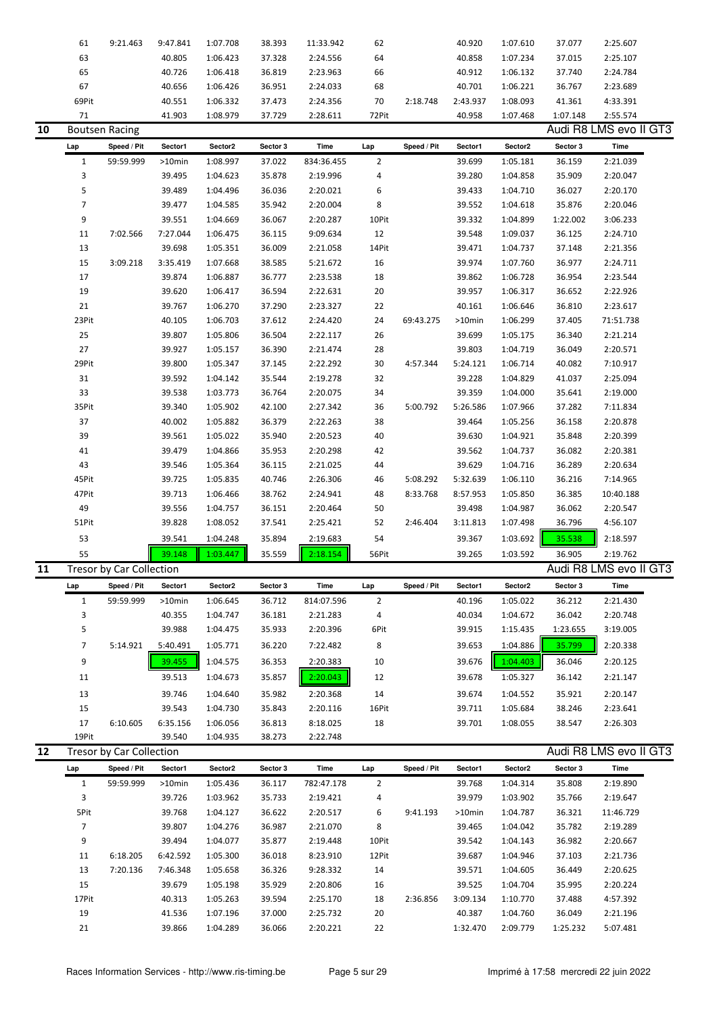|    | 61                       | 9:21.463                 | 9:47.841         | 1:07.708             | 38.393           | 11:33.942            | 62             |             | 40.920             | 1:07.610             | 37.077             | 2:25.607               |
|----|--------------------------|--------------------------|------------------|----------------------|------------------|----------------------|----------------|-------------|--------------------|----------------------|--------------------|------------------------|
|    | 63                       |                          | 40.805           | 1:06.423             | 37.328           | 2:24.556             | 64             |             | 40.858             | 1:07.234             | 37.015             | 2:25.107               |
|    | 65                       |                          | 40.726           | 1:06.418             | 36.819           | 2:23.963             | 66             |             | 40.912             | 1:06.132             | 37.740             | 2:24.784               |
|    | 67                       |                          | 40.656           | 1:06.426             | 36.951           | 2:24.033             | 68             |             | 40.701             | 1:06.221             | 36.767             | 2:23.689               |
|    | 69Pit                    |                          | 40.551           | 1:06.332             | 37.473           | 2:24.356             | 70             | 2:18.748    | 2:43.937           | 1:08.093             | 41.361             | 4:33.391               |
|    | 71                       |                          | 41.903           | 1:08.979             | 37.729           | 2:28.611             | 72Pit          |             | 40.958             | 1:07.468             | 1:07.148           | 2:55.574               |
| 10 |                          | <b>Boutsen Racing</b>    |                  |                      |                  |                      |                |             |                    |                      |                    | Audi R8 LMS evo II GT3 |
|    | Lap                      | Speed / Pit              | Sector1          | Sector2              | Sector 3         | Time                 | Lap            | Speed / Pit | Sector1            | Sector2              | Sector 3           | Time                   |
|    | $\mathbf{1}$             | 59:59.999                | >10min           | 1:08.997             | 37.022           | 834:36.455           | $\overline{2}$ |             | 39.699             | 1:05.181             | 36.159             | 2:21.039               |
|    | 3                        |                          | 39.495           | 1:04.623             | 35.878           | 2:19.996             | 4              |             | 39.280             | 1:04.858             | 35.909             | 2:20.047               |
|    | 5                        |                          | 39.489           | 1:04.496             | 36.036           | 2:20.021             | 6              |             | 39.433             | 1:04.710             | 36.027             | 2:20.170               |
|    | $\overline{\phantom{a}}$ |                          | 39.477           | 1:04.585             | 35.942           | 2:20.004             | 8              |             | 39.552             | 1:04.618             | 35.876             | 2:20.046               |
|    | 9                        |                          | 39.551           | 1:04.669             | 36.067           | 2:20.287             | 10Pit          |             | 39.332             | 1:04.899             | 1:22.002           | 3:06.233               |
|    | 11                       | 7:02.566                 | 7:27.044         | 1:06.475             | 36.115           | 9:09.634             | 12             |             | 39.548             | 1:09.037             | 36.125             | 2:24.710               |
|    | 13                       |                          | 39.698           | 1:05.351             | 36.009           | 2:21.058             | 14Pit          |             | 39.471             | 1:04.737             | 37.148             | 2:21.356               |
|    | 15                       | 3:09.218                 | 3:35.419         | 1:07.668             | 38.585           | 5:21.672             | 16             |             | 39.974             | 1:07.760             | 36.977             | 2:24.711               |
|    | 17                       |                          | 39.874           | 1:06.887             | 36.777           | 2:23.538             | 18             |             | 39.862             | 1:06.728             | 36.954             | 2:23.544               |
|    | 19                       |                          | 39.620           | 1:06.417             | 36.594           | 2:22.631             | 20             |             | 39.957             | 1:06.317             | 36.652             | 2:22.926               |
|    | 21                       |                          | 39.767           | 1:06.270             | 37.290           | 2:23.327             | 22             |             | 40.161             | 1:06.646             | 36.810             | 2:23.617               |
|    | 23Pit                    |                          | 40.105           | 1:06.703             | 37.612           | 2:24.420             | 24             | 69:43.275   | >10min             | 1:06.299             | 37.405             | 71:51.738              |
|    | 25                       |                          | 39.807           | 1:05.806             | 36.504           | 2:22.117             | 26             |             | 39.699             | 1:05.175             | 36.340             | 2:21.214               |
|    | 27                       |                          | 39.927           | 1:05.157             | 36.390           | 2:21.474             | 28             |             | 39.803             | 1:04.719             | 36.049             | 2:20.571               |
|    | 29Pit                    |                          | 39.800           | 1:05.347             | 37.145           | 2:22.292             | $30\,$         | 4:57.344    | 5:24.121           | 1:06.714             | 40.082             | 7:10.917               |
|    | 31                       |                          | 39.592           | 1:04.142             | 35.544           | 2:19.278             | 32             |             | 39.228             | 1:04.829             | 41.037             | 2:25.094               |
|    | 33                       |                          | 39.538           | 1:03.773             | 36.764           | 2:20.075             | 34             |             | 39.359             | 1:04.000             | 35.641             | 2:19.000               |
|    | 35Pit                    |                          | 39.340           | 1:05.902             | 42.100           | 2:27.342             | 36             | 5:00.792    | 5:26.586           | 1:07.966             | 37.282             | 7:11.834               |
|    | 37                       |                          | 40.002           | 1:05.882             | 36.379           | 2:22.263             | 38             |             | 39.464             | 1:05.256             | 36.158             | 2:20.878               |
|    | 39                       |                          | 39.561           | 1:05.022             | 35.940           | 2:20.523             | 40             |             | 39.630             | 1:04.921             | 35.848             | 2:20.399               |
|    | 41                       |                          | 39.479           | 1:04.866             | 35.953           | 2:20.298             | 42             |             | 39.562             | 1:04.737             | 36.082             | 2:20.381               |
|    | 43                       |                          | 39.546           | 1:05.364             | 36.115           | 2:21.025             | 44             |             | 39.629             | 1:04.716             | 36.289             | 2:20.634               |
|    | 45Pit                    |                          | 39.725           | 1:05.835             | 40.746           | 2:26.306             | 46             | 5:08.292    | 5:32.639           | 1:06.110             | 36.216             | 7:14.965               |
|    | 47Pit                    |                          | 39.713           | 1:06.466             | 38.762           | 2:24.941             | 48             | 8:33.768    | 8:57.953           | 1:05.850             | 36.385             | 10:40.188              |
|    |                          |                          |                  |                      |                  |                      |                |             |                    |                      |                    |                        |
|    |                          |                          |                  |                      |                  |                      |                |             |                    |                      |                    |                        |
|    | 49                       |                          | 39.556           | 1:04.757             | 36.151           | 2:20.464             | 50             |             | 39.498             | 1:04.987             | 36.062             | 2:20.547               |
|    | 51Pit                    |                          | 39.828           | 1:08.052             | 37.541           | 2:25.421             | 52             | 2:46.404    | 3:11.813           | 1:07.498             | 36.796             | 4:56.107               |
|    | 53                       |                          | 39.541           | 1:04.248             | 35.894           | 2:19.683             | 54             |             | 39.367             | 1:03.692             | 35.538             | 2:18.597               |
|    | 55                       |                          | 39.148           | 1:03.447             | 35.559           | 2:18.154             | 56Pit          |             | 39.265             | 1:03.592             | 36.905             | 2:19.762               |
| 11 |                          | Tresor by Car Collection |                  |                      |                  |                      |                |             |                    |                      |                    | Audi R8 LMS evo II GT3 |
|    | Lap                      | Speed / Pit              | Sector1          | Sector2              | Sector 3         | Time                 | Lap            | Speed / Pit | Sector1            | Sector2              | Sector 3           | Time                   |
|    | 1                        | 59:59.999                | >10min           | 1:06.645             | 36.712           | 814:07.596           | $\overline{2}$ |             | 40.196             | 1:05.022             | 36.212             | 2:21.430               |
|    | 3                        |                          | 40.355           | 1:04.747             | 36.181           | 2:21.283             | 4              |             | 40.034             | 1:04.672             | 36.042             | 2:20.748               |
|    | 5                        |                          | 39.988           | 1:04.475             | 35.933           | 2:20.396             | 6Pit           |             | 39.915             | 1:15.435             | 1:23.655           | 3:19.005               |
|    | 7                        | 5:14.921                 | 5:40.491         | 1:05.771             | 36.220           | 7:22.482             | 8              |             | 39.653             | 1:04.886             | 35.799             | 2:20.338               |
|    | 9                        |                          | 39.455           | 1:04.575             | 36.353           | 2:20.383             | 10             |             | 39.676             | 1:04.403             | 36.046             | 2:20.125               |
|    | 11                       |                          | 39.513           | 1:04.673             | 35.857           | 2:20.043             | 12             |             | 39.678             | 1:05.327             | 36.142             | 2:21.147               |
|    |                          |                          |                  |                      |                  |                      |                |             |                    |                      |                    |                        |
|    | 13                       |                          | 39.746           | 1:04.640             | 35.982           | 2:20.368             | 14             |             | 39.674             | 1:04.552             | 35.921             | 2:20.147               |
|    | 15                       |                          | 39.543           | 1:04.730             | 35.843           | 2:20.116             | 16Pit          |             | 39.711             | 1:05.684<br>1:08.055 | 38.246             | 2:23.641               |
|    | 17                       | 6:10.605                 | 6:35.156         | 1:06.056             | 36.813           | 8:18.025             | 18             |             | 39.701             |                      | 38.547             | 2:26.303               |
| 12 | 19Pit                    |                          | 39.540           | 1:04.935             | 38.273           | 2:22.748             |                |             |                    |                      |                    |                        |
|    |                          | Tresor by Car Collection |                  |                      |                  |                      |                |             |                    |                      |                    | Audi R8 LMS evo II GT3 |
|    | Lap                      | Speed / Pit              | Sector1          | Sector2              | Sector 3         | Time                 | Lap            | Speed / Pit | Sector1            | Sector2              | Sector 3           | Time                   |
|    | $\mathbf{1}$             | 59:59.999                | >10min           | 1:05.436             | 36.117           | 782:47.178           | 2              |             | 39.768             | 1:04.314             | 35.808             | 2:19.890               |
|    | 3                        |                          | 39.726           | 1:03.962             | 35.733           | 2:19.421             | 4              |             | 39.979             | 1:03.902             | 35.766             | 2:19.647               |
|    | 5Pit                     |                          | 39.768           | 1:04.127             | 36.622           | 2:20.517             | 6              | 9:41.193    | >10min             | 1:04.787             | 36.321             | 11:46.729              |
|    | 7                        |                          | 39.807           | 1:04.276             | 36.987           | 2:21.070             | 8              |             | 39.465             | 1:04.042             | 35.782             | 2:19.289               |
|    | 9                        |                          | 39.494           | 1:04.077             | 35.877           | 2:19.448             | 10Pit          |             | 39.542             | 1:04.143             | 36.982             | 2:20.667               |
|    | 11                       | 6:18.205                 | 6:42.592         | 1:05.300             | 36.018           | 8:23.910             | 12Pit          |             | 39.687             | 1:04.946             | 37.103             | 2:21.736               |
|    | 13                       | 7:20.136                 | 7:46.348         | 1:05.658             | 36.326           | 9:28.332             | 14             |             | 39.571             | 1:04.605             | 36.449             | 2:20.625               |
|    | 15                       |                          | 39.679           | 1:05.198             | 35.929           | 2:20.806             | 16             |             | 39.525             | 1:04.704             | 35.995             | 2:20.224               |
|    | 17Pit                    |                          | 40.313           | 1:05.263             | 39.594           | 2:25.170             | 18             | 2:36.856    | 3:09.134           | 1:10.770             | 37.488             | 4:57.392               |
|    | 19<br>21                 |                          | 41.536<br>39.866 | 1:07.196<br>1:04.289 | 37.000<br>36.066 | 2:25.732<br>2:20.221 | 20<br>22       |             | 40.387<br>1:32.470 | 1:04.760<br>2:09.779 | 36.049<br>1:25.232 | 2:21.196<br>5:07.481   |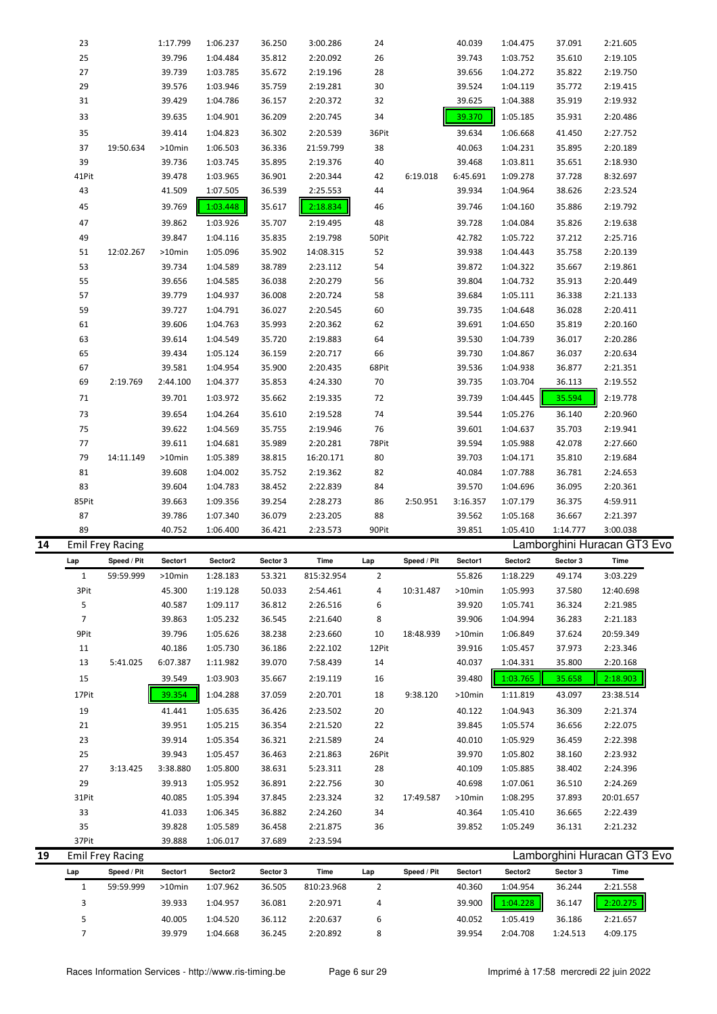|    | 23             |                         |          |          |          |            |               |             |          |          |          | 2:21.605                    |  |
|----|----------------|-------------------------|----------|----------|----------|------------|---------------|-------------|----------|----------|----------|-----------------------------|--|
|    |                |                         | 1:17.799 | 1:06.237 | 36.250   | 3:00.286   | 24            |             | 40.039   | 1:04.475 | 37.091   |                             |  |
|    | 25             |                         | 39.796   | 1:04.484 | 35.812   | 2:20.092   | 26            |             | 39.743   | 1:03.752 | 35.610   | 2:19.105                    |  |
|    | 27             |                         | 39.739   | 1:03.785 | 35.672   | 2:19.196   | 28            |             | 39.656   | 1:04.272 | 35.822   | 2:19.750                    |  |
|    | 29             |                         | 39.576   | 1:03.946 | 35.759   | 2:19.281   | 30            |             | 39.524   | 1:04.119 | 35.772   | 2:19.415                    |  |
|    | 31             |                         | 39.429   | 1:04.786 | 36.157   | 2:20.372   | 32            |             | 39.625   | 1:04.388 | 35.919   | 2:19.932                    |  |
|    | 33             |                         | 39.635   | 1:04.901 | 36.209   | 2:20.745   | 34            |             | 39.370   | 1:05.185 | 35.931   | 2:20.486                    |  |
|    |                |                         |          |          |          |            |               |             |          |          |          |                             |  |
|    | 35             |                         | 39.414   | 1:04.823 | 36.302   | 2:20.539   | 36Pit         |             | 39.634   | 1:06.668 | 41.450   | 2:27.752                    |  |
|    | 37             | 19:50.634               | >10min   | 1:06.503 | 36.336   | 21:59.799  | 38            |             | 40.063   | 1:04.231 | 35.895   | 2:20.189                    |  |
|    | 39             |                         | 39.736   | 1:03.745 | 35.895   | 2:19.376   | 40            |             | 39.468   | 1:03.811 | 35.651   | 2:18.930                    |  |
|    | 41Pit          |                         | 39.478   | 1:03.965 | 36.901   | 2:20.344   | 42            | 6:19.018    | 6:45.691 | 1:09.278 | 37.728   | 8:32.697                    |  |
|    | 43             |                         | 41.509   | 1:07.505 | 36.539   | 2:25.553   | 44            |             | 39.934   | 1:04.964 | 38.626   | 2:23.524                    |  |
|    | 45             |                         | 39.769   | 1:03.448 | 35.617   | 2:18.834   | 46            |             | 39.746   | 1:04.160 | 35.886   | 2:19.792                    |  |
|    |                |                         |          |          |          |            |               |             |          |          |          |                             |  |
|    | 47             |                         | 39.862   | 1:03.926 | 35.707   | 2:19.495   | 48            |             | 39.728   | 1:04.084 | 35.826   | 2:19.638                    |  |
|    | 49             |                         | 39.847   | 1:04.116 | 35.835   | 2:19.798   | 50Pit         |             | 42.782   | 1:05.722 | 37.212   | 2:25.716                    |  |
|    | 51             | 12:02.267               | >10min   | 1:05.096 | 35.902   | 14:08.315  | 52            |             | 39.938   | 1:04.443 | 35.758   | 2:20.139                    |  |
|    | 53             |                         | 39.734   | 1:04.589 | 38.789   | 2:23.112   | 54            |             | 39.872   | 1:04.322 | 35.667   | 2:19.861                    |  |
|    | 55             |                         | 39.656   | 1:04.585 | 36.038   | 2:20.279   | 56            |             | 39.804   | 1:04.732 | 35.913   | 2:20.449                    |  |
|    | 57             |                         | 39.779   | 1:04.937 | 36.008   | 2:20.724   | 58            |             | 39.684   | 1:05.111 | 36.338   | 2:21.133                    |  |
|    | 59             |                         | 39.727   | 1:04.791 | 36.027   | 2:20.545   | 60            |             | 39.735   | 1:04.648 | 36.028   | 2:20.411                    |  |
|    | 61             |                         | 39.606   | 1:04.763 | 35.993   | 2:20.362   | 62            |             | 39.691   | 1:04.650 | 35.819   | 2:20.160                    |  |
|    | 63             |                         | 39.614   |          |          |            |               |             |          |          |          |                             |  |
|    |                |                         |          | 1:04.549 | 35.720   | 2:19.883   | 64            |             | 39.530   | 1:04.739 | 36.017   | 2:20.286                    |  |
|    | 65             |                         | 39.434   | 1:05.124 | 36.159   | 2:20.717   | 66            |             | 39.730   | 1:04.867 | 36.037   | 2:20.634                    |  |
|    | 67             |                         | 39.581   | 1:04.954 | 35.900   | 2:20.435   | 68Pit         |             | 39.536   | 1:04.938 | 36.877   | 2:21.351                    |  |
|    | 69             | 2:19.769                | 2:44.100 | 1:04.377 | 35.853   | 4:24.330   | 70            |             | 39.735   | 1:03.704 | 36.113   | 2:19.552                    |  |
|    | 71             |                         | 39.701   | 1:03.972 | 35.662   | 2:19.335   | 72            |             | 39.739   | 1:04.445 | 35.594   | 2:19.778                    |  |
|    | 73             |                         | 39.654   | 1:04.264 | 35.610   | 2:19.528   | 74            |             | 39.544   | 1:05.276 | 36.140   | 2:20.960                    |  |
|    | 75             |                         | 39.622   | 1:04.569 | 35.755   | 2:19.946   | 76            |             | 39.601   | 1:04.637 | 35.703   | 2:19.941                    |  |
|    | 77             |                         | 39.611   | 1:04.681 | 35.989   | 2:20.281   | 78Pit         |             | 39.594   | 1:05.988 | 42.078   | 2:27.660                    |  |
|    | 79             | 14:11.149               | >10min   | 1:05.389 | 38.815   | 16:20.171  | 80            |             | 39.703   | 1:04.171 | 35.810   | 2:19.684                    |  |
|    | 81             |                         | 39.608   | 1:04.002 | 35.752   | 2:19.362   | 82            |             | 40.084   | 1:07.788 | 36.781   | 2:24.653                    |  |
|    |                |                         |          |          |          |            |               |             |          |          |          |                             |  |
|    |                |                         |          |          |          |            |               |             |          |          |          |                             |  |
|    | 83             |                         | 39.604   | 1:04.783 | 38.452   | 2:22.839   | 84            |             | 39.570   | 1:04.696 | 36.095   | 2:20.361                    |  |
|    | 85Pit          |                         | 39.663   | 1:09.356 | 39.254   | 2:28.273   | 86            | 2:50.951    | 3:16.357 | 1:07.179 | 36.375   | 4:59.911                    |  |
|    | 87             |                         | 39.786   | 1:07.340 | 36.079   | 2:23.205   | 88            |             | 39.562   | 1:05.168 | 36.667   | 2:21.397                    |  |
|    | 89             |                         | 40.752   | 1:06.400 | 36.421   | 2:23.573   | 90Pit         |             | 39.851   | 1:05.410 | 1:14.777 | 3:00.038                    |  |
| 14 |                | <b>Emil Frey Racing</b> |          |          |          |            |               |             |          |          |          | Lamborghini Huracan GT3 Evo |  |
|    | Lap            | Speed / Pit             | Sector1  | Sector2  | Sector 3 | Time       | Lap           | Speed / Pit | Sector1  | Sector2  | Sector 3 | Time                        |  |
|    | 1              | 59:59.999               | >10min   | 1:28.183 | 53.321   | 815:32.954 | $\mathcal{P}$ |             | 55.826   | 1:18.229 | 49.174   | 3:03.229                    |  |
|    | 3Pit           |                         | 45.300   | 1:19.128 | 50.033   | 2:54.461   | 4             | 10:31.487   | >10min   | 1:05.993 | 37.580   | 12:40.698                   |  |
|    | 5              |                         | 40.587   | 1:09.117 | 36.812   | 2:26.516   | 6             |             | 39.920   | 1:05.741 | 36.324   | 2:21.985                    |  |
|    | $\overline{7}$ |                         |          |          |          |            |               |             |          |          |          |                             |  |
|    |                |                         | 39.863   | 1:05.232 | 36.545   | 2:21.640   | 8             |             | 39.906   | 1:04.994 | 36.283   | 2:21.183                    |  |
|    | 9Pit           |                         | 39.796   | 1:05.626 | 38.238   | 2:23.660   | 10            | 18:48.939   | >10min   | 1:06.849 | 37.624   | 20:59.349                   |  |
|    | 11             |                         | 40.186   | 1:05.730 | 36.186   | 2:22.102   | 12Pit         |             | 39.916   | 1:05.457 | 37.973   | 2:23.346                    |  |
|    | 13             | 5:41.025                | 6:07.387 | 1:11.982 | 39.070   | 7:58.439   | 14            |             | 40.037   | 1:04.331 | 35.800   | 2:20.168                    |  |
|    | 15             |                         | 39.549   | 1:03.903 | 35.667   | 2:19.119   | 16            |             | 39.480   | 1:03.765 | 35.658   | 2:18.903                    |  |
|    | 17Pit          |                         | 39.354   | 1:04.288 | 37.059   | 2:20.701   | 18            | 9:38.120    | >10min   | 1:11.819 | 43.097   | 23:38.514                   |  |
|    | 19             |                         | 41.441   | 1:05.635 | 36.426   | 2:23.502   | 20            |             | 40.122   | 1:04.943 | 36.309   | 2:21.374                    |  |
|    | 21             |                         | 39.951   | 1:05.215 | 36.354   | 2:21.520   | 22            |             | 39.845   | 1:05.574 | 36.656   | 2:22.075                    |  |
|    |                |                         |          |          |          |            |               |             |          |          |          |                             |  |
|    | 23             |                         | 39.914   | 1:05.354 | 36.321   | 2:21.589   | 24            |             | 40.010   | 1:05.929 | 36.459   | 2:22.398                    |  |
|    | 25             |                         | 39.943   | 1:05.457 | 36.463   | 2:21.863   | 26Pit         |             | 39.970   | 1:05.802 | 38.160   | 2:23.932                    |  |
|    | 27             | 3:13.425                | 3:38.880 | 1:05.800 | 38.631   | 5:23.311   | 28            |             | 40.109   | 1:05.885 | 38.402   | 2:24.396                    |  |
|    | 29             |                         | 39.913   | 1:05.952 | 36.891   | 2:22.756   | 30            |             | 40.698   | 1:07.061 | 36.510   | 2:24.269                    |  |
|    | 31Pit          |                         | 40.085   | 1:05.394 | 37.845   | 2:23.324   | 32            | 17:49.587   | >10min   | 1:08.295 | 37.893   | 20:01.657                   |  |
|    | 33             |                         | 41.033   | 1:06.345 | 36.882   | 2:24.260   | 34            |             | 40.364   | 1:05.410 | 36.665   | 2:22.439                    |  |
|    | 35             |                         | 39.828   | 1:05.589 | 36.458   | 2:21.875   | 36            |             | 39.852   | 1:05.249 | 36.131   | 2:21.232                    |  |
|    | 37Pit          |                         | 39.888   | 1:06.017 | 37.689   | 2:23.594   |               |             |          |          |          |                             |  |
| 19 |                | <b>Emil Frey Racing</b> |          |          |          |            |               |             |          |          |          | Lamborghini Huracan GT3 Evo |  |
|    | Lap            | Speed / Pit             | Sector1  | Sector2  | Sector 3 | Time       | Lap           | Speed / Pit | Sector1  | Sector2  | Sector 3 | Time                        |  |
|    | 1              | 59:59.999               | >10min   | 1:07.962 | 36.505   | 810:23.968 | 2             |             | 40.360   | 1:04.954 | 36.244   | 2:21.558                    |  |
|    | 3              |                         | 39.933   | 1:04.957 | 36.081   | 2:20.971   | 4             |             | 39.900   | 1:04.228 | 36.147   | 2:20.275                    |  |
|    | 5              |                         | 40.005   | 1:04.520 | 36.112   | 2:20.637   | 6             |             | 40.052   | 1:05.419 | 36.186   | 2:21.657                    |  |

7 39.979 1:04.668 36.245 2:20.892 8 39.954 2:04.708 1:24.513 4:09.175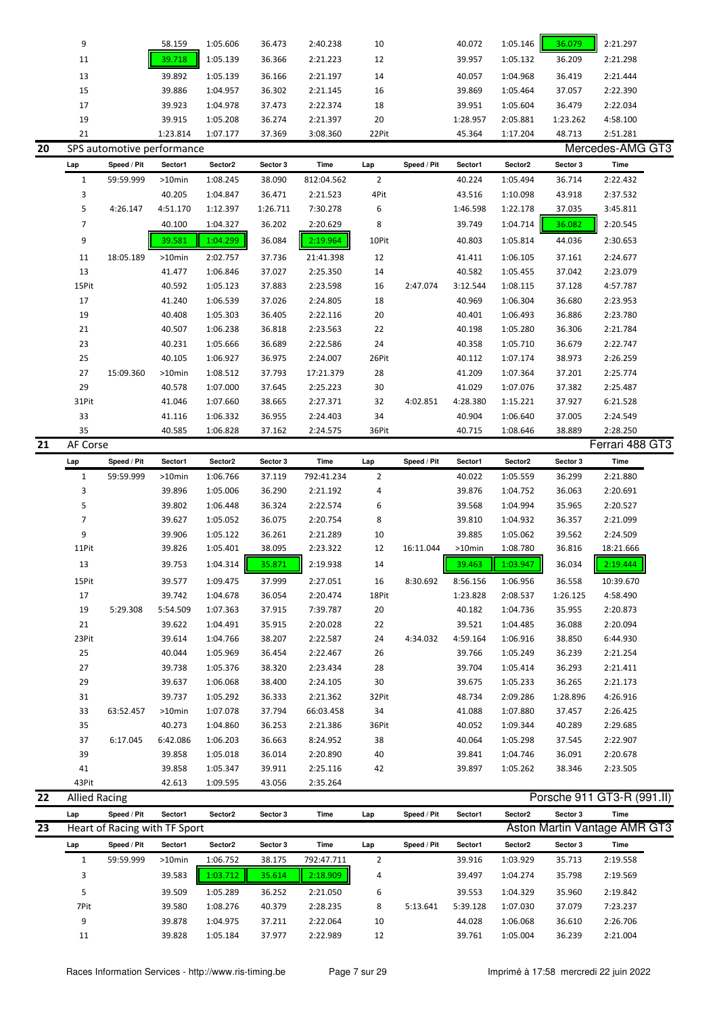|    | 9                    |                               | 58.159   | 1:05.606 | 36.473   | 2:40.238    | 10             |             | 40.072   | 1:05.146 | 36.079   | 2:21.297                     |  |
|----|----------------------|-------------------------------|----------|----------|----------|-------------|----------------|-------------|----------|----------|----------|------------------------------|--|
|    | 11                   |                               | 39.718   | 1:05.139 | 36.366   | 2:21.223    | 12             |             | 39.957   | 1:05.132 | 36.209   | 2:21.298                     |  |
|    | 13                   |                               | 39.892   | 1:05.139 | 36.166   | 2:21.197    | 14             |             | 40.057   | 1:04.968 | 36.419   | 2:21.444                     |  |
|    | 15                   |                               | 39.886   | 1:04.957 | 36.302   | 2:21.145    | 16             |             | 39.869   | 1:05.464 | 37.057   | 2:22.390                     |  |
|    | 17                   |                               | 39.923   | 1:04.978 | 37.473   | 2:22.374    | 18             |             | 39.951   | 1:05.604 | 36.479   | 2:22.034                     |  |
|    | 19                   |                               | 39.915   | 1:05.208 | 36.274   | 2:21.397    | 20             |             | 1:28.957 | 2:05.881 | 1:23.262 | 4:58.100                     |  |
|    | 21                   |                               | 1:23.814 | 1:07.177 | 37.369   | 3:08.360    | 22Pit          |             | 45.364   | 1:17.204 | 48.713   | 2:51.281                     |  |
| 20 |                      | SPS automotive performance    |          |          |          |             |                |             |          |          |          | Mercedes-AMG GT3             |  |
|    |                      | Speed / Pit                   | Sector1  | Sector2  | Sector 3 | Time        | Lap            | Speed / Pit | Sector1  | Sector2  | Sector 3 | Time                         |  |
|    | Lap                  |                               |          |          |          |             |                |             |          |          |          |                              |  |
|    | $\mathbf{1}$         | 59:59.999                     | >10min   | 1:08.245 | 38.090   | 812:04.562  | $\overline{2}$ |             | 40.224   | 1:05.494 | 36.714   | 2:22.432                     |  |
|    | 3                    |                               | 40.205   | 1:04.847 | 36.471   | 2:21.523    | 4Pit           |             | 43.516   | 1:10.098 | 43.918   | 2:37.532                     |  |
|    | 5                    | 4:26.147                      | 4:51.170 | 1:12.397 | 1:26.711 | 7:30.278    | 6              |             | 1:46.598 | 1:22.178 | 37.035   | 3:45.811                     |  |
|    | $\overline{7}$       |                               | 40.100   | 1:04.327 | 36.202   | 2:20.629    | 8              |             | 39.749   | 1:04.714 | 36.082   | 2:20.545                     |  |
|    | 9                    |                               | 39.581   | 1:04.299 | 36.084   | 2:19.964    | 10Pit          |             | 40.803   | 1:05.814 | 44.036   | 2:30.653                     |  |
|    | 11                   | 18:05.189                     | >10min   | 2:02.757 | 37.736   | 21:41.398   | 12             |             | 41.411   | 1:06.105 | 37.161   | 2:24.677                     |  |
|    | 13                   |                               | 41.477   | 1:06.846 | 37.027   | 2:25.350    | 14             |             | 40.582   | 1:05.455 | 37.042   | 2:23.079                     |  |
|    | 15Pit                |                               | 40.592   | 1:05.123 | 37.883   | 2:23.598    | 16             | 2:47.074    | 3:12.544 | 1:08.115 | 37.128   | 4:57.787                     |  |
|    | 17                   |                               | 41.240   | 1:06.539 | 37.026   | 2:24.805    | 18             |             | 40.969   | 1:06.304 | 36.680   | 2:23.953                     |  |
|    | 19                   |                               | 40.408   | 1:05.303 | 36.405   | 2:22.116    | 20             |             | 40.401   | 1:06.493 | 36.886   | 2:23.780                     |  |
|    | 21                   |                               | 40.507   | 1:06.238 | 36.818   | 2:23.563    | 22             |             | 40.198   | 1:05.280 | 36.306   | 2:21.784                     |  |
|    | 23                   |                               | 40.231   | 1:05.666 | 36.689   | 2:22.586    | 24             |             | 40.358   | 1:05.710 | 36.679   | 2:22.747                     |  |
|    | 25                   |                               | 40.105   | 1:06.927 | 36.975   | 2:24.007    | 26Pit          |             | 40.112   | 1:07.174 | 38.973   | 2:26.259                     |  |
|    | 27                   | 15:09.360                     | >10min   | 1:08.512 | 37.793   | 17:21.379   | 28             |             | 41.209   | 1:07.364 | 37.201   | 2:25.774                     |  |
|    | 29                   |                               | 40.578   | 1:07.000 | 37.645   | 2:25.223    | 30             |             | 41.029   | 1:07.076 | 37.382   | 2:25.487                     |  |
|    | 31Pit                |                               | 41.046   | 1:07.660 | 38.665   | 2:27.371    | 32             | 4:02.851    | 4:28.380 | 1:15.221 | 37.927   | 6:21.528                     |  |
|    | 33                   |                               | 41.116   | 1:06.332 | 36.955   | 2:24.403    | 34             |             | 40.904   | 1:06.640 | 37.005   | 2:24.549                     |  |
|    | 35                   |                               | 40.585   | 1:06.828 | 37.162   | 2:24.575    | 36Pit          |             | 40.715   | 1:08.646 | 38.889   | 2:28.250                     |  |
| 21 | AF Corse             |                               |          |          |          |             |                |             |          |          |          | Ferrari 488 GT3              |  |
|    | Lap                  | Speed / Pit                   | Sector1  | Sector2  | Sector 3 | Time        | Lap            | Speed / Pit | Sector1  | Sector2  | Sector 3 | Time                         |  |
|    | $\mathbf{1}$         | 59:59.999                     | >10min   | 1:06.766 | 37.119   | 792:41.234  | $\overline{2}$ |             | 40.022   | 1:05.559 | 36.299   | 2:21.880                     |  |
|    | 3                    |                               | 39.896   | 1:05.006 | 36.290   | 2:21.192    |                |             |          | 1:04.752 | 36.063   | 2:20.691                     |  |
|    |                      |                               |          |          |          |             | 4              |             | 39.876   |          |          |                              |  |
|    | 5                    |                               | 39.802   | 1:06.448 | 36.324   | 2:22.574    | 6              |             | 39.568   | 1:04.994 | 35.965   | 2:20.527                     |  |
|    | $\overline{7}$       |                               | 39.627   | 1:05.052 | 36.075   | 2:20.754    | 8              |             | 39.810   | 1:04.932 | 36.357   | 2:21.099                     |  |
|    | 9                    |                               | 39.906   | 1:05.122 | 36.261   | 2:21.289    | 10             |             | 39.885   | 1:05.062 | 39.562   | 2:24.509                     |  |
|    | 11Pit                |                               | 39.826   | 1:05.401 | 38.095   | 2:23.322    | 12             | 16:11.044   | >10min   | 1:08.780 | 36.816   | 18:21.666                    |  |
|    | 13                   |                               | 39.753   | 1:04.314 | 35.871   | 2:19.938    | 14             |             | 39.463   | 1:03.947 | 36.034   | 2:19.444                     |  |
|    | 15Pit                |                               | 39.577   | 1:09.475 | 37.999   | 2:27.051    | 16             | 8:30.692    | 8:56.156 | 1:06.956 | 36.558   | 10:39.670                    |  |
|    | 17                   |                               | 39.742   | 1:04.678 | 36.054   | 2:20.474    | 18Pit          |             | 1:23.828 | 2:08.537 | 1:26.125 | 4:58.490                     |  |
|    | 19                   | 5:29.308                      | 5:54.509 | 1:07.363 | 37.915   | 7:39.787    | 20             |             | 40.182   | 1:04.736 | 35.955   | 2:20.873                     |  |
|    | 21                   |                               | 39.622   | 1:04.491 | 35.915   | 2:20.028    | 22             |             | 39.521   | 1:04.485 | 36.088   | 2:20.094                     |  |
|    | 23Pit                |                               | 39.614   | 1:04.766 | 38.207   | 2:22.587    | 24             | 4:34.032    | 4:59.164 | 1:06.916 | 38.850   | 6:44.930                     |  |
|    | 25                   |                               | 40.044   | 1:05.969 | 36.454   | 2:22.467    | 26             |             | 39.766   | 1:05.249 | 36.239   | 2:21.254                     |  |
|    | 27                   |                               | 39.738   | 1:05.376 | 38.320   | 2:23.434    | 28             |             | 39.704   | 1:05.414 | 36.293   | 2:21.411                     |  |
|    | 29                   |                               | 39.637   | 1:06.068 | 38.400   | 2:24.105    | 30             |             | 39.675   | 1:05.233 | 36.265   | 2:21.173                     |  |
|    | 31                   |                               | 39.737   | 1:05.292 | 36.333   | 2:21.362    | 32Pit          |             | 48.734   | 2:09.286 | 1:28.896 | 4:26.916                     |  |
|    | 33                   | 63:52.457                     | >10min   | 1:07.078 | 37.794   | 66:03.458   | 34             |             | 41.088   | 1:07.880 | 37.457   | 2:26.425                     |  |
|    | 35                   |                               | 40.273   | 1:04.860 | 36.253   | 2:21.386    | 36Pit          |             | 40.052   | 1:09.344 | 40.289   | 2:29.685                     |  |
|    | 37                   | 6:17.045                      | 6:42.086 | 1:06.203 | 36.663   | 8:24.952    | 38             |             | 40.064   | 1:05.298 | 37.545   | 2:22.907                     |  |
|    | 39                   |                               | 39.858   | 1:05.018 | 36.014   | 2:20.890    | 40             |             | 39.841   | 1:04.746 | 36.091   | 2:20.678                     |  |
|    | 41                   |                               | 39.858   | 1:05.347 | 39.911   | 2:25.116    | 42             |             | 39.897   | 1:05.262 | 38.346   | 2:23.505                     |  |
|    | 43Pit                |                               | 42.613   | 1:09.595 | 43.056   | 2:35.264    |                |             |          |          |          |                              |  |
| 22 | <b>Allied Racing</b> |                               |          |          |          |             |                |             |          |          |          | Porsche 911 GT3-R (991.II)   |  |
|    | Lap                  | Speed / Pit                   | Sector1  | Sector2  | Sector 3 | Time        | Lap            | Speed / Pit | Sector1  | Sector2  | Sector 3 | Time                         |  |
| 23 |                      | Heart of Racing with TF Sport |          |          |          |             |                |             |          |          |          | Aston Martin Vantage AMR GT3 |  |
|    | Lap                  | Speed / Pit                   | Sector1  | Sector2  | Sector 3 | <b>Time</b> | Lap            | Speed / Pit | Sector1  | Sector2  | Sector 3 | Time                         |  |
|    | $\mathbf{1}$         | 59:59.999                     | >10min   | 1:06.752 | 38.175   | 792:47.711  | $\overline{2}$ |             | 39.916   | 1:03.929 | 35.713   | 2:19.558                     |  |
|    | 3                    |                               | 39.583   | 1:03.712 | 35.614   | 2:18.909    | 4              |             | 39.497   | 1:04.274 | 35.798   | 2:19.569                     |  |
|    | 5                    |                               | 39.509   | 1:05.289 | 36.252   | 2:21.050    | 6              |             | 39.553   | 1:04.329 | 35.960   | 2:19.842                     |  |
|    | 7Pit                 |                               | 39.580   | 1:08.276 | 40.379   | 2:28.235    | 8              | 5:13.641    | 5:39.128 | 1:07.030 | 37.079   | 7:23.237                     |  |
|    | 9                    |                               | 39.878   | 1:04.975 | 37.211   | 2:22.064    | 10             |             | 44.028   | 1:06.068 | 36.610   | 2:26.706                     |  |
|    | 11                   |                               | 39.828   | 1:05.184 | 37.977   | 2:22.989    | 12             |             | 39.761   | 1:05.004 | 36.239   | 2:21.004                     |  |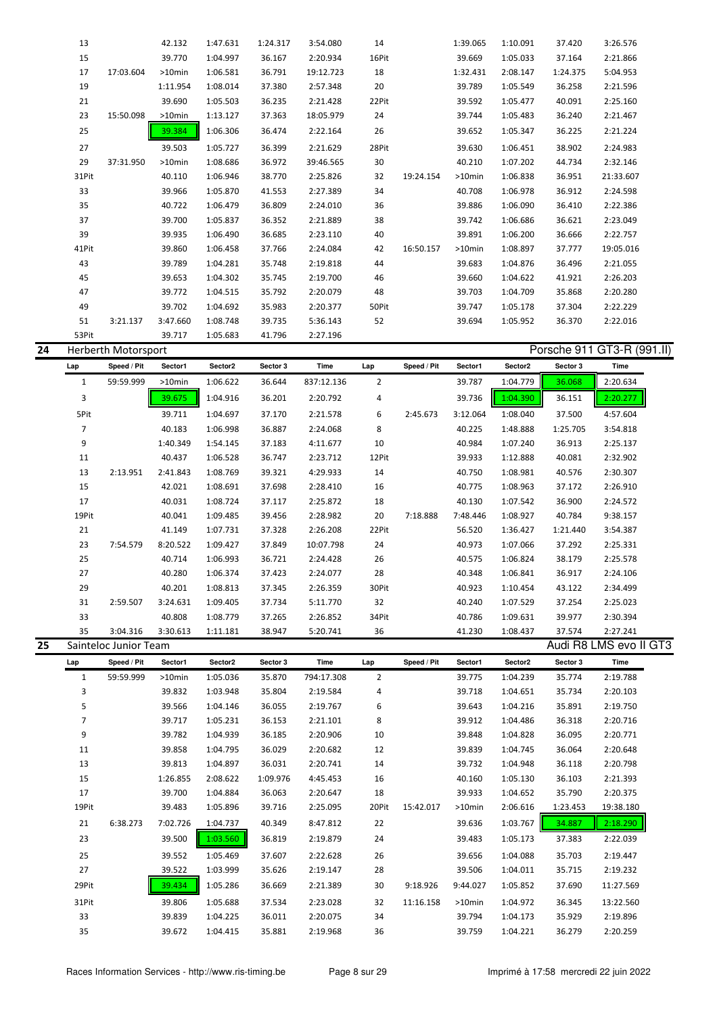| 24 |       | Herberth Motorsport |           |          |          |           |       |           |           |          |          | Porsche 911 GT3-R (991.II) |
|----|-------|---------------------|-----------|----------|----------|-----------|-------|-----------|-----------|----------|----------|----------------------------|
|    | 53Pit |                     | 39.717    | 1:05.683 | 41.796   | 2:27.196  |       |           |           |          |          |                            |
|    | 51    | 3:21.137            | 3:47.660  | 1:08.748 | 39.735   | 5:36.143  | 52    |           | 39.694    | 1:05.952 | 36.370   | 2:22.016                   |
|    | 49    |                     | 39.702    | 1:04.692 | 35.983   | 2:20.377  | 50Pit |           | 39.747    | 1:05.178 | 37.304   | 2:22.229                   |
|    | 47    |                     | 39.772    | 1:04.515 | 35.792   | 2:20.079  | 48    |           | 39.703    | 1:04.709 | 35.868   | 2:20.280                   |
|    | 45    |                     | 39.653    | 1:04.302 | 35.745   | 2:19.700  | 46    |           | 39.660    | 1:04.622 | 41.921   | 2:26.203                   |
|    | 43    |                     | 39.789    | 1:04.281 | 35.748   | 2:19.818  | 44    |           | 39.683    | 1:04.876 | 36.496   | 2:21.055                   |
|    | 41Pit |                     | 39.860    | 1:06.458 | 37.766   | 2:24.084  | 42    | 16:50.157 | $>10$ min | 1:08.897 | 37.777   | 19:05.016                  |
|    | 39    |                     | 39.935    | 1:06.490 | 36.685   | 2:23.110  | 40    |           | 39.891    | 1:06.200 | 36.666   | 2:22.757                   |
|    | 37    |                     | 39.700    | 1:05.837 | 36.352   | 2:21.889  | 38    |           | 39.742    | 1:06.686 | 36.621   | 2:23.049                   |
|    | 35    |                     | 40.722    | 1:06.479 | 36.809   | 2:24.010  | 36    |           | 39.886    | 1:06.090 | 36.410   | 2:22.386                   |
|    | 33    |                     | 39.966    | 1:05.870 | 41.553   | 2:27.389  | 34    |           | 40.708    | 1:06.978 | 36.912   | 2:24.598                   |
|    | 31Pit |                     | 40.110    | 1:06.946 | 38.770   | 2:25.826  | 32    | 19:24.154 | $>10$ min | 1:06.838 | 36.951   | 21:33.607                  |
|    | 29    | 37:31.950           | $>10$ min | 1:08.686 | 36.972   | 39:46.565 | 30    |           | 40.210    | 1:07.202 | 44.734   | 2:32.146                   |
|    | 27    |                     | 39.503    | 1:05.727 | 36.399   | 2:21.629  | 28Pit |           | 39.630    | 1:06.451 | 38.902   | 2:24.983                   |
|    | 25    |                     | 39.384    | 1:06.306 | 36.474   | 2:22.164  | 26    |           | 39.652    | 1:05.347 | 36.225   | 2:21.224                   |
|    | 23    | 15:50.098           | $>10$ min | 1:13.127 | 37.363   | 18:05.979 | 24    |           | 39.744    | 1:05.483 | 36.240   | 2:21.467                   |
|    | 21    |                     | 39.690    | 1:05.503 | 36.235   | 2:21.428  | 22Pit |           | 39.592    | 1:05.477 | 40.091   | 2:25.160                   |
|    | 19    |                     | 1:11.954  | 1:08.014 | 37.380   | 2:57.348  | 20    |           | 39.789    | 1:05.549 | 36.258   | 2:21.596                   |
|    | 17    | 17:03.604           | $>10$ min | 1:06.581 | 36.791   | 19:12.723 | 18    |           | 1:32.431  | 2:08.147 | 1:24.375 | 5:04.953                   |
|    | 15    |                     | 39.770    | 1:04.997 | 36.167   | 2:20.934  | 16Pit |           | 39.669    | 1:05.033 | 37.164   | 2:21.866                   |
|    | 13    |                     | 42.132    | 1:47.631 | 1:24.317 | 3:54.080  | 14    |           | 1:39.065  | 1:10.091 | 37.420   | 3:26.576                   |

| Lap   | Speed / Pit           | Sector1   | Sector2  | Sector 3 | Time       | Lap   | Speed / Pit | Sector1  | Sector2  | Sector 3 | Time                   |
|-------|-----------------------|-----------|----------|----------|------------|-------|-------------|----------|----------|----------|------------------------|
| 1     | 59:59.999             | $>10$ min | 1:06.622 | 36.644   | 837:12.136 | 2     |             | 39.787   | 1:04.779 | 36.068   | 2:20.634               |
| 3     |                       | 39.675    | 1:04.916 | 36.201   | 2:20.792   | 4     |             | 39.736   | 1:04.390 | 36.151   | 2:20.277               |
| 5Pit  |                       | 39.711    | 1:04.697 | 37.170   | 2:21.578   | 6     | 2:45.673    | 3:12.064 | 1:08.040 | 37.500   | 4:57.604               |
| 7     |                       | 40.183    | 1:06.998 | 36.887   | 2:24.068   | 8     |             | 40.225   | 1:48.888 | 1:25.705 | 3:54.818               |
| 9     |                       | 1:40.349  | 1:54.145 | 37.183   | 4:11.677   | 10    |             | 40.984   | 1:07.240 | 36.913   | 2:25.137               |
| 11    |                       | 40.437    | 1:06.528 | 36.747   | 2:23.712   | 12Pit |             | 39.933   | 1:12.888 | 40.081   | 2:32.902               |
| 13    | 2:13.951              | 2:41.843  | 1:08.769 | 39.321   | 4:29.933   | 14    |             | 40.750   | 1:08.981 | 40.576   | 2:30.307               |
| 15    |                       | 42.021    | 1:08.691 | 37.698   | 2:28.410   | 16    |             | 40.775   | 1:08.963 | 37.172   | 2:26.910               |
| 17    |                       | 40.031    | 1:08.724 | 37.117   | 2:25.872   | 18    |             | 40.130   | 1:07.542 | 36.900   | 2:24.572               |
| 19Pit |                       | 40.041    | 1:09.485 | 39.456   | 2:28.982   | 20    | 7:18.888    | 7:48.446 | 1:08.927 | 40.784   | 9:38.157               |
| 21    |                       | 41.149    | 1:07.731 | 37.328   | 2:26.208   | 22Pit |             | 56.520   | 1:36.427 | 1:21.440 | 3:54.387               |
| 23    | 7:54.579              | 8:20.522  | 1:09.427 | 37.849   | 10:07.798  | 24    |             | 40.973   | 1:07.066 | 37.292   | 2:25.331               |
| 25    |                       | 40.714    | 1:06.993 | 36.721   | 2:24.428   | 26    |             | 40.575   | 1:06.824 | 38.179   | 2:25.578               |
| 27    |                       | 40.280    | 1:06.374 | 37.423   | 2:24.077   | 28    |             | 40.348   | 1:06.841 | 36.917   | 2:24.106               |
| 29    |                       | 40.201    | 1:08.813 | 37.345   | 2:26.359   | 30Pit |             | 40.923   | 1:10.454 | 43.122   | 2:34.499               |
| 31    | 2:59.507              | 3:24.631  | 1:09.405 | 37.734   | 5:11.770   | 32    |             | 40.240   | 1:07.529 | 37.254   | 2:25.023               |
| 33    |                       | 40.808    | 1:08.779 | 37.265   | 2:26.852   | 34Pit |             | 40.786   | 1:09.631 | 39.977   | 2:30.394               |
| 35    | 3:04.316              | 3:30.613  | 1:11.181 | 38.947   | 5:20.741   | 36    |             | 41.230   | 1:08.437 | 37.574   | 2:27.241               |
|       | Sainteloc Junior Team |           |          |          |            |       |             |          |          |          | Audi R8 LMS evo II GT3 |

| Lap          | Speed / Pit | Sector1   | Sector2  | Sector 3 | Time       | Lap            | Speed / Pit | Sector1   | Sector2  | Sector 3 | Time      |
|--------------|-------------|-----------|----------|----------|------------|----------------|-------------|-----------|----------|----------|-----------|
| $\mathbf{1}$ | 59:59.999   | $>10$ min | 1:05.036 | 35.870   | 794:17.308 | $\overline{2}$ |             | 39.775    | 1:04.239 | 35.774   | 2:19.788  |
| 3            |             | 39.832    | 1:03.948 | 35.804   | 2:19.584   | 4              |             | 39.718    | 1:04.651 | 35.734   | 2:20.103  |
| 5            |             | 39.566    | 1:04.146 | 36.055   | 2:19.767   | 6              |             | 39.643    | 1:04.216 | 35.891   | 2:19.750  |
| 7            |             | 39.717    | 1:05.231 | 36.153   | 2:21.101   | 8              |             | 39.912    | 1:04.486 | 36.318   | 2:20.716  |
| 9            |             | 39.782    | 1:04.939 | 36.185   | 2:20.906   | 10             |             | 39.848    | 1:04.828 | 36.095   | 2:20.771  |
| 11           |             | 39.858    | 1:04.795 | 36.029   | 2:20.682   | 12             |             | 39.839    | 1:04.745 | 36.064   | 2:20.648  |
| 13           |             | 39.813    | 1:04.897 | 36.031   | 2:20.741   | 14             |             | 39.732    | 1:04.948 | 36.118   | 2:20.798  |
| 15           |             | 1:26.855  | 2:08.622 | 1:09.976 | 4:45.453   | 16             |             | 40.160    | 1:05.130 | 36.103   | 2:21.393  |
| 17           |             | 39.700    | 1:04.884 | 36.063   | 2:20.647   | 18             |             | 39.933    | 1:04.652 | 35.790   | 2:20.375  |
| 19Pit        |             | 39.483    | 1:05.896 | 39.716   | 2:25.095   | 20Pit          | 15:42.017   | $>10$ min | 2:06.616 | 1:23.453 | 19:38.180 |
| 21           | 6:38.273    | 7:02.726  | 1:04.737 | 40.349   | 8:47.812   | 22             |             | 39.636    | 1:03.767 | 34.887   | 2:18.290  |
| 23           |             | 39.500    | 1:03.560 | 36.819   | 2:19.879   | 24             |             | 39.483    | 1:05.173 | 37.383   | 2:22.039  |
| 25           |             | 39.552    | 1:05.469 | 37.607   | 2:22.628   | 26             |             | 39.656    | 1:04.088 | 35.703   | 2:19.447  |
| 27           |             | 39.522    | 1:03.999 | 35.626   | 2:19.147   | 28             |             | 39.506    | 1:04.011 | 35.715   | 2:19.232  |
| 29Pit        |             | 39.434    | 1:05.286 | 36.669   | 2:21.389   | 30             | 9:18.926    | 9:44.027  | 1:05.852 | 37.690   | 11:27.569 |
| 31Pit        |             | 39.806    | 1:05.688 | 37.534   | 2:23.028   | 32             | 11:16.158   | $>10$ min | 1:04.972 | 36.345   | 13:22.560 |
| 33           |             | 39.839    | 1:04.225 | 36.011   | 2:20.075   | 34             |             | 39.794    | 1:04.173 | 35.929   | 2:19.896  |
| 35           |             | 39.672    | 1:04.415 | 35.881   | 2:19.968   | 36             |             | 39.759    | 1:04.221 | 36.279   | 2:20.259  |
|              |             |           |          |          |            |                |             |           |          |          |           |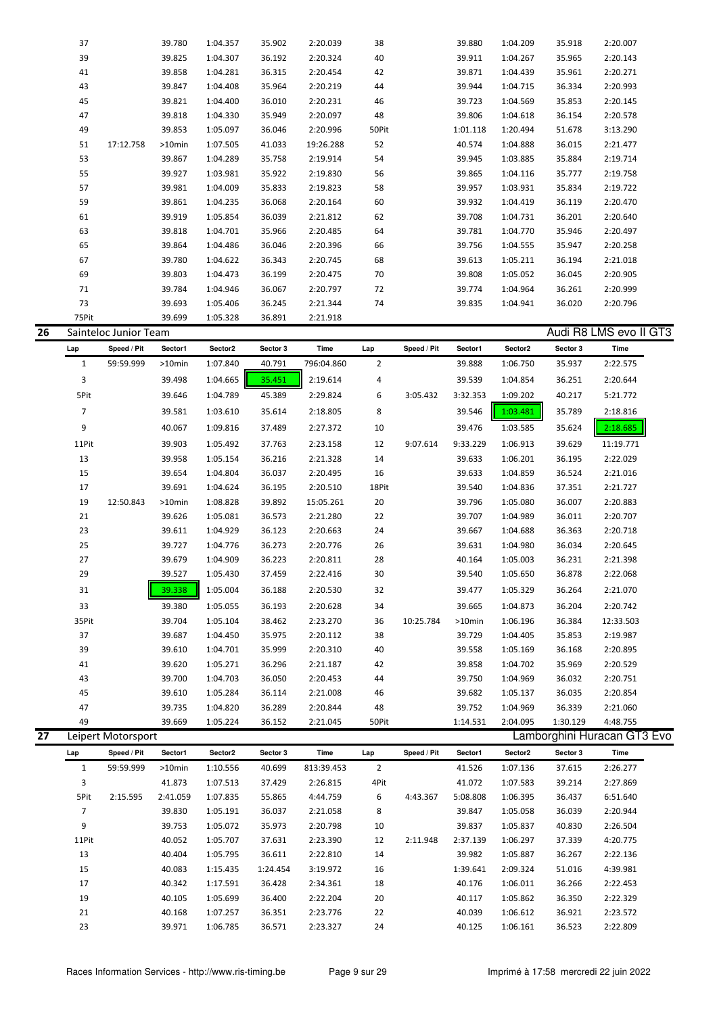| 37    |           | 39.780    | 1:04.357 | 35.902 | 2:20.039  | 38    | 39.880   | 1:04.209 | 35.918 | 2:20.007 |
|-------|-----------|-----------|----------|--------|-----------|-------|----------|----------|--------|----------|
| 39    |           | 39.825    | 1:04.307 | 36.192 | 2:20.324  | 40    | 39.911   | 1:04.267 | 35.965 | 2:20.143 |
| 41    |           | 39.858    | 1:04.281 | 36.315 | 2:20.454  | 42    | 39.871   | 1:04.439 | 35.961 | 2:20.271 |
| 43    |           | 39.847    | 1:04.408 | 35.964 | 2:20.219  | 44    | 39.944   | 1:04.715 | 36.334 | 2:20.993 |
| 45    |           | 39.821    | 1:04.400 | 36.010 | 2:20.231  | 46    | 39.723   | 1:04.569 | 35.853 | 2:20.145 |
| 47    |           | 39.818    | 1:04.330 | 35.949 | 2:20.097  | 48    | 39.806   | 1:04.618 | 36.154 | 2:20.578 |
| 49    |           | 39.853    | 1:05.097 | 36.046 | 2:20.996  | 50Pit | 1:01.118 | 1:20.494 | 51.678 | 3:13.290 |
| 51    | 17:12.758 | $>10$ min | 1:07.505 | 41.033 | 19:26.288 | 52    | 40.574   | 1:04.888 | 36.015 | 2:21.477 |
| 53    |           | 39.867    | 1:04.289 | 35.758 | 2:19.914  | 54    | 39.945   | 1:03.885 | 35.884 | 2:19.714 |
| 55    |           | 39.927    | 1:03.981 | 35.922 | 2:19.830  | 56    | 39.865   | 1:04.116 | 35.777 | 2:19.758 |
| 57    |           | 39.981    | 1:04.009 | 35.833 | 2:19.823  | 58    | 39.957   | 1:03.931 | 35.834 | 2:19.722 |
| 59    |           | 39.861    | 1:04.235 | 36.068 | 2:20.164  | 60    | 39.932   | 1:04.419 | 36.119 | 2:20.470 |
| 61    |           | 39.919    | 1:05.854 | 36.039 | 2:21.812  | 62    | 39.708   | 1:04.731 | 36.201 | 2:20.640 |
| 63    |           | 39.818    | 1:04.701 | 35.966 | 2:20.485  | 64    | 39.781   | 1:04.770 | 35.946 | 2:20.497 |
| 65    |           | 39.864    | 1:04.486 | 36.046 | 2:20.396  | 66    | 39.756   | 1:04.555 | 35.947 | 2:20.258 |
| 67    |           | 39.780    | 1:04.622 | 36.343 | 2:20.745  | 68    | 39.613   | 1:05.211 | 36.194 | 2:21.018 |
| 69    |           | 39.803    | 1:04.473 | 36.199 | 2:20.475  | 70    | 39.808   | 1:05.052 | 36.045 | 2:20.905 |
| 71    |           | 39.784    | 1:04.946 | 36.067 | 2:20.797  | 72    | 39.774   | 1:04.964 | 36.261 | 2:20.999 |
| 73    |           | 39.693    | 1:05.406 | 36.245 | 2:21.344  | 74    | 39.835   | 1:04.941 | 36.020 | 2:20.796 |
| 75Pit |           | 39.699    | 1:05.328 | 36.891 | 2:21.918  |       |          |          |        |          |

| 26 |       | Sainteloc Junior Team |           |          |          |            |                |             |           |          |          | Audi R8 LMS evo II GT3 |
|----|-------|-----------------------|-----------|----------|----------|------------|----------------|-------------|-----------|----------|----------|------------------------|
|    | Lap   | Speed / Pit           | Sector1   | Sector2  | Sector 3 | Time       | Lap            | Speed / Pit | Sector1   | Sector2  | Sector 3 | Time                   |
|    | 1     | 59:59.999             | $>10$ min | 1:07.840 | 40.791   | 796:04.860 | $\overline{2}$ |             | 39.888    | 1:06.750 | 35.937   | 2:22.575               |
|    | 3     |                       | 39.498    | 1:04.665 | 35.451   | 2:19.614   | 4              |             | 39.539    | 1:04.854 | 36.251   | 2:20.644               |
|    | 5Pit  |                       | 39.646    | 1:04.789 | 45.389   | 2:29.824   | 6              | 3:05.432    | 3:32.353  | 1:09.202 | 40.217   | 5:21.772               |
|    | 7     |                       | 39.581    | 1:03.610 | 35.614   | 2:18.805   | 8              |             | 39.546    | 1:03.481 | 35.789   | 2:18.816               |
|    | 9     |                       | 40.067    | 1:09.816 | 37.489   | 2:27.372   | 10             |             | 39.476    | 1:03.585 | 35.624   | 2:18.685               |
|    | 11Pit |                       | 39.903    | 1:05.492 | 37.763   | 2:23.158   | 12             | 9:07.614    | 9:33.229  | 1:06.913 | 39.629   | 11:19.771              |
|    | 13    |                       | 39.958    | 1:05.154 | 36.216   | 2:21.328   | 14             |             | 39.633    | 1:06.201 | 36.195   | 2:22.029               |
|    | 15    |                       | 39.654    | 1:04.804 | 36.037   | 2:20.495   | 16             |             | 39.633    | 1:04.859 | 36.524   | 2:21.016               |
|    | 17    |                       | 39.691    | 1:04.624 | 36.195   | 2:20.510   | 18Pit          |             | 39.540    | 1:04.836 | 37.351   | 2:21.727               |
|    | 19    | 12:50.843             | $>10$ min | 1:08.828 | 39.892   | 15:05.261  | 20             |             | 39.796    | 1:05.080 | 36.007   | 2:20.883               |
|    | 21    |                       | 39.626    | 1:05.081 | 36.573   | 2:21.280   | 22             |             | 39.707    | 1:04.989 | 36.011   | 2:20.707               |
|    | 23    |                       | 39.611    | 1:04.929 | 36.123   | 2:20.663   | 24             |             | 39.667    | 1:04.688 | 36.363   | 2:20.718               |
|    | 25    |                       | 39.727    | 1:04.776 | 36.273   | 2:20.776   | 26             |             | 39.631    | 1:04.980 | 36.034   | 2:20.645               |
|    | 27    |                       | 39.679    | 1:04.909 | 36.223   | 2:20.811   | 28             |             | 40.164    | 1:05.003 | 36.231   | 2:21.398               |
|    | 29    |                       | 39.527    | 1:05.430 | 37.459   | 2:22.416   | 30             |             | 39.540    | 1:05.650 | 36.878   | 2:22.068               |
|    | 31    |                       | 39.338    | 1:05.004 | 36.188   | 2:20.530   | 32             |             | 39.477    | 1:05.329 | 36.264   | 2:21.070               |
|    | 33    |                       | 39.380    | 1:05.055 | 36.193   | 2:20.628   | 34             |             | 39.665    | 1:04.873 | 36.204   | 2:20.742               |
|    | 35Pit |                       | 39.704    | 1:05.104 | 38.462   | 2:23.270   | 36             | 10:25.784   | $>10$ min | 1:06.196 | 36.384   | 12:33.503              |
|    | 37    |                       | 39.687    | 1:04.450 | 35.975   | 2:20.112   | 38             |             | 39.729    | 1:04.405 | 35.853   | 2:19.987               |
|    | 39    |                       | 39.610    | 1:04.701 | 35.999   | 2:20.310   | 40             |             | 39.558    | 1:05.169 | 36.168   | 2:20.895               |
|    | 41    |                       | 39.620    | 1:05.271 | 36.296   | 2:21.187   | 42             |             | 39.858    | 1:04.702 | 35.969   | 2:20.529               |
|    | 43    |                       | 39.700    | 1:04.703 | 36.050   | 2:20.453   | 44             |             | 39.750    | 1:04.969 | 36.032   | 2:20.751               |
|    | 45    |                       | 39.610    | 1:05.284 | 36.114   | 2:21.008   | 46             |             | 39.682    | 1:05.137 | 36.035   | 2:20.854               |
|    | 47    |                       | 39.735    | 1:04.820 | 36.289   | 2:20.844   | 48             |             | 39.752    | 1:04.969 | 36.339   | 2:21.060               |
|    | 49    |                       | 39.669    | 1:05.224 | 36.152   | 2:21.045   | 50Pit          |             | 1:14.531  | 2:04.095 | 1:30.129 | 4:48.755               |

|    | ᅮ     |                    | JJ.UUJ   | 1.0 <i>.LL</i> | <b>JU.LJL</b> | <u></u>    | יו וטע |             | <b>1.17.JJI</b> | 2.UT.UJJ | 1.JU.14J | –.– <i>.</i>                |  |
|----|-------|--------------------|----------|----------------|---------------|------------|--------|-------------|-----------------|----------|----------|-----------------------------|--|
| 27 |       | Leipert Motorsport |          |                |               |            |        |             |                 |          |          | Lamborghini Huracan GT3 Evo |  |
|    | Lap   | Speed / Pit        | Sector1  | Sector2        | Sector 3      | Time       | Lap    | Speed / Pit | Sector1         | Sector2  | Sector 3 | Time                        |  |
|    | 1     | 59:59.999          | >10min   | 1:10.556       | 40.699        | 813:39.453 | 2      |             | 41.526          | 1:07.136 | 37.615   | 2:26.277                    |  |
|    | 3     |                    | 41.873   | 1:07.513       | 37.429        | 2:26.815   | 4Pit   |             | 41.072          | 1:07.583 | 39.214   | 2:27.869                    |  |
|    | 5Pit  | 2:15.595           | 2:41.059 | 1:07.835       | 55.865        | 4:44.759   | 6      | 4:43.367    | 5:08.808        | 1:06.395 | 36.437   | 6:51.640                    |  |
|    | 7     |                    | 39.830   | 1:05.191       | 36.037        | 2:21.058   | 8      |             | 39.847          | 1:05.058 | 36.039   | 2:20.944                    |  |
|    | 9     |                    | 39.753   | 1:05.072       | 35.973        | 2:20.798   | 10     |             | 39.837          | 1:05.837 | 40.830   | 2:26.504                    |  |
|    | 11Pit |                    | 40.052   | 1:05.707       | 37.631        | 2:23.390   | 12     | 2:11.948    | 2:37.139        | 1:06.297 | 37.339   | 4:20.775                    |  |
|    | 13    |                    | 40.404   | 1:05.795       | 36.611        | 2:22.810   | 14     |             | 39.982          | 1:05.887 | 36.267   | 2:22.136                    |  |
|    | 15    |                    | 40.083   | 1:15.435       | 1:24.454      | 3:19.972   | 16     |             | 1:39.641        | 2:09.324 | 51.016   | 4:39.981                    |  |
|    | 17    |                    | 40.342   | 1:17.591       | 36.428        | 2:34.361   | 18     |             | 40.176          | 1:06.011 | 36.266   | 2:22.453                    |  |
|    | 19    |                    | 40.105   | 1:05.699       | 36.400        | 2:22.204   | 20     |             | 40.117          | 1:05.862 | 36.350   | 2:22.329                    |  |
|    | 21    |                    | 40.168   | 1:07.257       | 36.351        | 2:23.776   | 22     |             | 40.039          | 1:06.612 | 36.921   | 2:23.572                    |  |
|    | 23    |                    | 39.971   | 1:06.785       | 36.571        | 2:23.327   | 24     |             | 40.125          | 1:06.161 | 36.523   | 2:22.809                    |  |
|    |       |                    |          |                |               |            |        |             |                 |          |          |                             |  |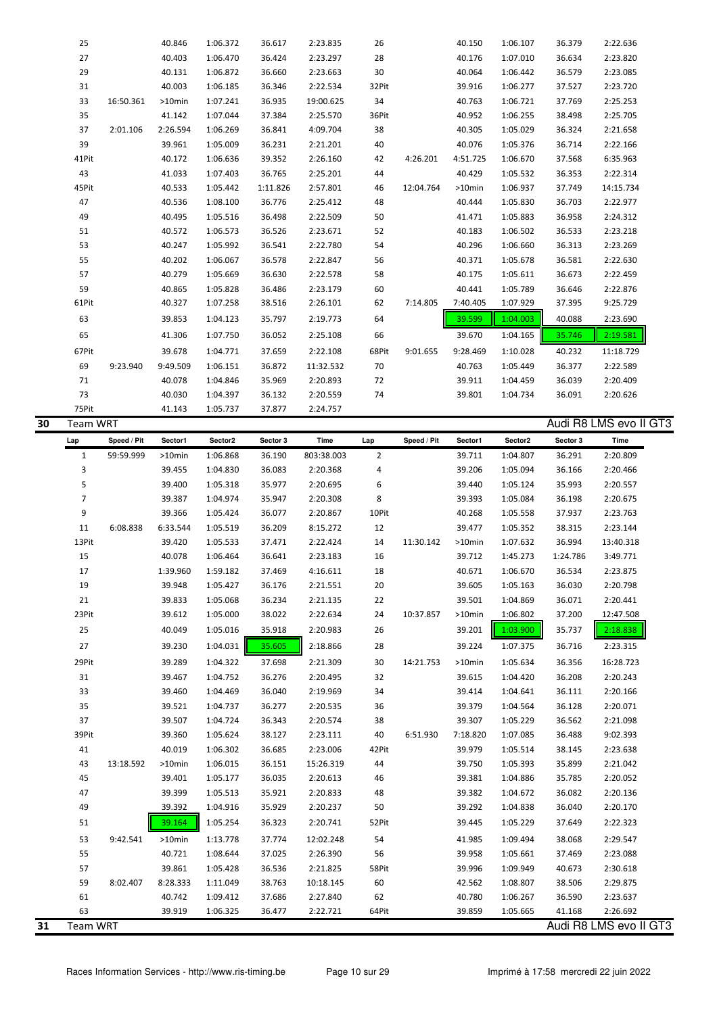|    | 25              |             | 40.846           | 1:06.372             | 36.617           | 2:23.835             | 26             |             | 40.150           | 1:06.107             | 36.379           | 2:22.636                           |  |
|----|-----------------|-------------|------------------|----------------------|------------------|----------------------|----------------|-------------|------------------|----------------------|------------------|------------------------------------|--|
|    | 27              |             | 40.403           | 1:06.470             | 36.424           | 2:23.297             | 28             |             | 40.176           | 1:07.010             | 36.634           | 2:23.820                           |  |
|    | 29              |             | 40.131           | 1:06.872             | 36.660           | 2:23.663             | 30             |             | 40.064           | 1:06.442             | 36.579           | 2:23.085                           |  |
|    | 31              |             | 40.003           | 1:06.185             | 36.346           | 2:22.534             | 32Pit          |             | 39.916           | 1:06.277             | 37.527           | 2:23.720                           |  |
|    | 33              | 16:50.361   | >10min           | 1:07.241             | 36.935           | 19:00.625            | 34             |             | 40.763           | 1:06.721             | 37.769           | 2:25.253                           |  |
|    | 35              |             | 41.142           | 1:07.044             | 37.384           | 2:25.570             | 36Pit          |             | 40.952           | 1:06.255             | 38.498           | 2:25.705                           |  |
|    | 37              | 2:01.106    | 2:26.594         | 1:06.269             | 36.841           | 4:09.704             | 38             |             | 40.305           | 1:05.029             | 36.324           | 2:21.658                           |  |
|    | 39              |             | 39.961           | 1:05.009             | 36.231           | 2:21.201             | 40             |             | 40.076           | 1:05.376             | 36.714           | 2:22.166                           |  |
|    | 41Pit           |             | 40.172           | 1:06.636             | 39.352           | 2:26.160             | 42             | 4:26.201    | 4:51.725         | 1:06.670             | 37.568           | 6:35.963                           |  |
|    | 43              |             | 41.033           | 1:07.403             | 36.765           | 2:25.201             | 44             |             | 40.429           | 1:05.532             | 36.353           | 2:22.314                           |  |
|    | 45Pit           |             | 40.533           | 1:05.442             | 1:11.826         | 2:57.801             | 46             | 12:04.764   | >10min           | 1:06.937             | 37.749           | 14:15.734                          |  |
|    | 47              |             | 40.536           | 1:08.100             | 36.776           | 2:25.412             | 48             |             | 40.444           | 1:05.830             | 36.703           | 2:22.977                           |  |
|    | 49              |             | 40.495           | 1:05.516             | 36.498           | 2:22.509             | 50             |             | 41.471           | 1:05.883             | 36.958           | 2:24.312                           |  |
|    | 51              |             | 40.572           | 1:06.573             | 36.526           | 2:23.671             | 52             |             | 40.183           | 1:06.502             | 36.533           | 2:23.218                           |  |
|    | 53              |             | 40.247           | 1:05.992             | 36.541           | 2:22.780             | 54             |             | 40.296           | 1:06.660             | 36.313           | 2:23.269                           |  |
|    | 55              |             | 40.202           | 1:06.067             | 36.578           | 2:22.847             | 56             |             | 40.371           | 1:05.678             | 36.581           | 2:22.630                           |  |
|    | 57              |             | 40.279           | 1:05.669             | 36.630           | 2:22.578             | 58             |             | 40.175           | 1:05.611             | 36.673           | 2:22.459                           |  |
|    | 59              |             | 40.865           | 1:05.828             | 36.486           | 2:23.179             | 60             |             | 40.441           | 1:05.789             | 36.646           | 2:22.876                           |  |
|    | 61Pit           |             | 40.327           | 1:07.258             | 38.516           | 2:26.101             | 62             | 7:14.805    | 7:40.405         | 1:07.929             | 37.395           | 9:25.729                           |  |
|    | 63              |             | 39.853           | 1:04.123             | 35.797           | 2:19.773             | 64             |             | 39.599           | 1:04.003             | 40.088           | 2:23.690                           |  |
|    | 65              |             | 41.306           | 1:07.750             | 36.052           | 2:25.108             | 66             |             | 39.670           | 1:04.165             | 35.746           | 2:19.581                           |  |
|    | 67Pit           |             | 39.678           | 1:04.771             | 37.659           | 2:22.108             | 68Pit          | 9:01.655    | 9:28.469         | 1:10.028             | 40.232           | 11:18.729                          |  |
|    | 69              | 9:23.940    | 9:49.509         | 1:06.151             | 36.872           | 11:32.532            | 70             |             | 40.763           | 1:05.449             | 36.377           | 2:22.589                           |  |
|    | 71              |             | 40.078           | 1:04.846             | 35.969           | 2:20.893             | 72             |             | 39.911           | 1:04.459             | 36.039           | 2:20.409                           |  |
|    | 73              |             | 40.030           | 1:04.397             | 36.132           | 2:20.559             | 74             |             | 39.801           | 1:04.734             | 36.091           | 2:20.626                           |  |
|    | 75Pit           |             | 41.143           | 1:05.737             | 37.877           | 2:24.757             |                |             |                  |                      |                  |                                    |  |
| 30 | <b>Team WRT</b> |             |                  |                      |                  |                      |                |             |                  |                      |                  | Audi R8 LMS evo II GT3             |  |
|    | Lap             | Speed / Pit | Sector1          | Sector2              | Sector 3         | Time                 | Lap            | Speed / Pit | Sector1          | Sector2              | Sector 3         | Time                               |  |
|    | $\mathbf{1}$    | 59:59.999   | >10min           | 1:06.868             | 36.190           | 803:38.003           | $\overline{2}$ |             | 39.711           | 1:04.807             | 36.291           | 2:20.809                           |  |
|    | 3               |             | 39.455           | 1:04.830             | 36.083           | 2:20.368             | 4              |             | 39.206           | 1:05.094             | 36.166           | 2:20.466                           |  |
|    | 5               |             | 39.400           | 1:05.318             | 35.977           | 2:20.695             | 6              |             | 39.440           | 1:05.124             | 35.993           | 2:20.557                           |  |
|    | $\overline{7}$  |             | 39.387           | 1:04.974             | 35.947           | 2:20.308             | 8              |             | 39.393           | 1:05.084             | 36.198           | 2:20.675                           |  |
|    | 9               |             | 39.366           | 1:05.424             | 36.077           | 2:20.867             | 10Pit          |             | 40.268           | 1:05.558             | 37.937           | 2:23.763                           |  |
|    | 11              | 6:08.838    | 6:33.544         | 1:05.519             | 36.209           | 8:15.272             | 12             |             | 39.477           | 1:05.352             | 38.315           | 2:23.144                           |  |
|    | 13Pit           |             | 39.420           | 1:05.533             | 37.471           | 2:22.424             | 14             | 11:30.142   | >10min           | 1:07.632             | 36.994           | 13:40.318                          |  |
|    | 15              |             | 40.078           | 1:06.464             | 36.641           | 2:23.183             | 16             |             | 39.712           | 1:45.273             | 1:24.786         | 3:49.771                           |  |
|    | 17              |             | 1:39.960         | 1:59.182             | 37.469           | 4:16.611             | 18             |             | 40.671           | 1:06.670             | 36.534           | 2:23.875                           |  |
|    | 19              |             | 39.948           | 1:05.427             | 36.176           | 2:21.551             | 20             |             | 39.605           | 1:05.163             | 36.030           | 2:20.798                           |  |
|    | 21              |             | 39.833           | 1:05.068             | 36.234           | 2:21.135             | 22             |             | 39.501           | 1:04.869             | 36.071           | 2:20.441                           |  |
|    | 23Pit           |             | 39.612           | 1:05.000             | 38.022           | 2:22.634             | 24             | 10:37.857   | >10min           | 1:06.802             | 37.200           | 12:47.508                          |  |
|    | 25              |             | 40.049           | 1:05.016             | 35.918           | 2:20.983             | 26             |             | 39.201           | 1:03.900             | 35.737           | 2:18.838                           |  |
|    | 27              |             | 39.230           | 1:04.031             | 35.605           | 2:18.866             | 28             |             | 39.224           | 1:07.375             | 36.716           | 2:23.315                           |  |
|    | 29Pit           |             |                  |                      |                  |                      |                |             |                  |                      |                  |                                    |  |
|    |                 |             | 39.289           | 1:04.322             | 37.698           | 2:21.309             | 30             | 14:21.753   | >10min           | 1:05.634             | 36.356           | 16:28.723                          |  |
|    | 31<br>33        |             | 39.467<br>39.460 | 1:04.752<br>1:04.469 | 36.276<br>36.040 | 2:20.495<br>2:19.969 | 32<br>34       |             | 39.615<br>39.414 | 1:04.420<br>1:04.641 | 36.208<br>36.111 | 2:20.243<br>2:20.166               |  |
|    |                 |             |                  |                      |                  |                      |                |             |                  |                      |                  |                                    |  |
|    | 35<br>37        |             | 39.521<br>39.507 | 1:04.737<br>1:04.724 | 36.277<br>36.343 | 2:20.535<br>2:20.574 | 36             |             | 39.379<br>39.307 | 1:04.564<br>1:05.229 | 36.128<br>36.562 | 2:20.071<br>2:21.098               |  |
|    | 39Pit           |             |                  |                      | 38.127           |                      | 38<br>40       | 6:51.930    |                  |                      |                  |                                    |  |
|    |                 |             | 39.360<br>40.019 | 1:05.624             |                  | 2:23.111             |                |             | 7:18.820         | 1:07.085             | 36.488           | 9:02.393                           |  |
|    | 41              |             |                  | 1:06.302             | 36.685           | 2:23.006             | 42Pit          |             | 39.979           | 1:05.514             | 38.145           | 2:23.638                           |  |
|    | 43              | 13:18.592   | $>10$ min        | 1:06.015             | 36.151           | 15:26.319            | 44             |             | 39.750           | 1:05.393             | 35.899           | 2:21.042                           |  |
|    | 45<br>47        |             | 39.401           | 1:05.177             | 36.035           | 2:20.613             | 46             |             | 39.381           | 1:04.886             | 35.785           | 2:20.052                           |  |
|    |                 |             | 39.399           | 1:05.513             | 35.921           | 2:20.833             | 48             |             | 39.382           | 1:04.672             | 36.082           | 2:20.136                           |  |
|    | 49              |             | 39.392           | 1:04.916             | 35.929           | 2:20.237             | 50             |             | 39.292           | 1:04.838             | 36.040           | 2:20.170                           |  |
|    | 51              |             | 39.164           | 1:05.254             | 36.323           | 2:20.741             | 52Pit          |             | 39.445           | 1:05.229             | 37.649           | 2:22.323                           |  |
|    | 53              | 9:42.541    | >10min           | 1:13.778             | 37.774           | 12:02.248            | 54             |             | 41.985           | 1:09.494             | 38.068           | 2:29.547                           |  |
|    | 55              |             | 40.721           | 1:08.644             | 37.025           | 2:26.390             | 56             |             | 39.958           | 1:05.661             | 37.469           | 2:23.088                           |  |
|    | 57              |             | 39.861           | 1:05.428             | 36.536           | 2:21.825             | 58Pit          |             | 39.996           | 1:09.949             | 40.673           | 2:30.618                           |  |
|    |                 | 8:02.407    | 8:28.333         | 1:11.049             | 38.763           | 10:18.145            | 60             |             | 42.562           | 1:08.807             | 38.506           | 2:29.875                           |  |
|    | 59              |             |                  |                      |                  |                      |                |             |                  |                      |                  |                                    |  |
|    | 61              |             | 40.742           | 1:09.412             | 37.686           | 2:27.840             | 62             |             | 40.780           | 1:06.267             | 36.590           | 2:23.637                           |  |
| 31 | 63<br>Team WRT  |             | 39.919           | 1:06.325             | 36.477           | 2:22.721             | 64Pit          |             | 39.859           | 1:05.665             | 41.168           | 2:26.692<br>Audi R8 LMS evo II GT3 |  |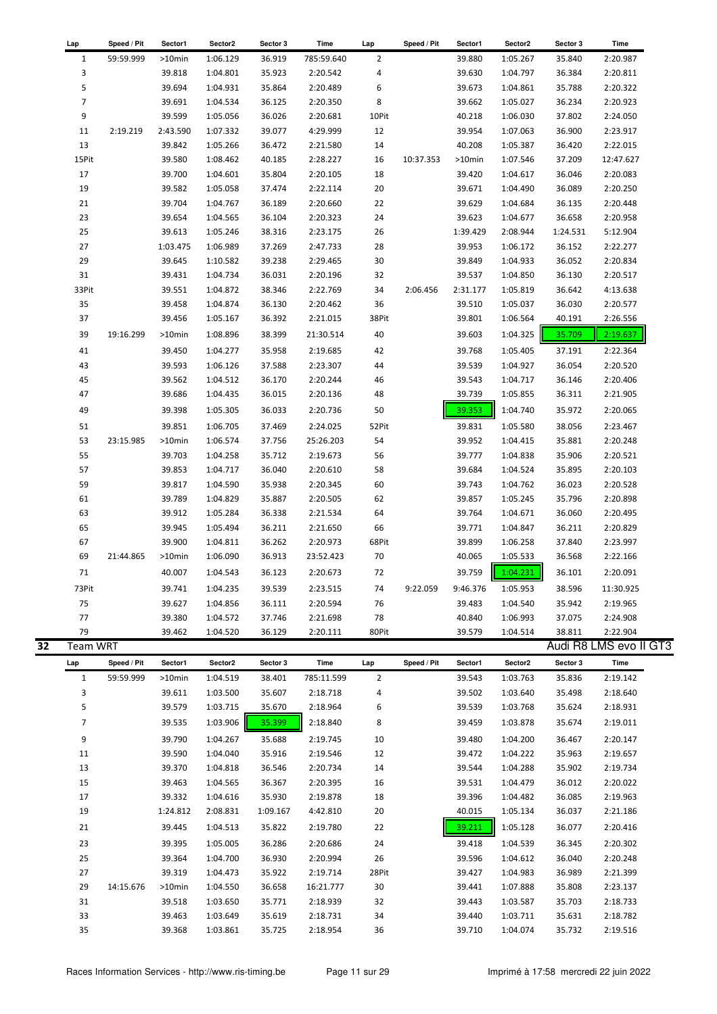| Lap             | Speed / Pit | Sector1  | Sector2  | Sector 3 | Time       | Lap            | Speed / Pit | Sector1  | Sector <sub>2</sub> | Sector 3               | Time      |
|-----------------|-------------|----------|----------|----------|------------|----------------|-------------|----------|---------------------|------------------------|-----------|
| 1               | 59:59.999   | >10min   | 1:06.129 | 36.919   | 785:59.640 | $\overline{2}$ |             | 39.880   | 1:05.267            | 35.840                 | 2:20.987  |
| 3               |             | 39.818   | 1:04.801 | 35.923   | 2:20.542   | 4              |             | 39.630   | 1:04.797            | 36.384                 | 2:20.811  |
| 5               |             | 39.694   | 1:04.931 | 35.864   | 2:20.489   | 6              |             | 39.673   | 1:04.861            | 35.788                 | 2:20.322  |
| $\overline{7}$  |             | 39.691   | 1:04.534 | 36.125   | 2:20.350   | 8              |             | 39.662   | 1:05.027            | 36.234                 | 2:20.923  |
| 9               |             | 39.599   | 1:05.056 | 36.026   | 2:20.681   | 10Pit          |             | 40.218   | 1:06.030            | 37.802                 | 2:24.050  |
| 11              | 2:19.219    | 2:43.590 | 1:07.332 | 39.077   | 4:29.999   | 12             |             | 39.954   | 1:07.063            | 36.900                 | 2:23.917  |
| 13              |             | 39.842   | 1:05.266 | 36.472   | 2:21.580   | 14             |             | 40.208   | 1:05.387            | 36.420                 | 2:22.015  |
| 15Pit           |             | 39.580   | 1:08.462 | 40.185   | 2:28.227   | 16             | 10:37.353   | >10min   | 1:07.546            | 37.209                 | 12:47.627 |
| 17              |             | 39.700   | 1:04.601 | 35.804   | 2:20.105   | 18             |             | 39.420   | 1:04.617            | 36.046                 | 2:20.083  |
| 19              |             | 39.582   | 1:05.058 | 37.474   | 2:22.114   | 20             |             | 39.671   | 1:04.490            | 36.089                 | 2:20.250  |
| 21              |             | 39.704   | 1:04.767 | 36.189   | 2:20.660   | 22             |             | 39.629   | 1:04.684            | 36.135                 | 2:20.448  |
| 23              |             | 39.654   | 1:04.565 | 36.104   | 2:20.323   | 24             |             | 39.623   | 1:04.677            | 36.658                 | 2:20.958  |
| 25              |             | 39.613   | 1:05.246 | 38.316   | 2:23.175   | 26             |             | 1:39.429 | 2:08.944            | 1:24.531               | 5:12.904  |
| 27              |             | 1:03.475 | 1:06.989 | 37.269   | 2:47.733   | 28             |             | 39.953   | 1:06.172            | 36.152                 | 2:22.277  |
| 29              |             | 39.645   | 1:10.582 | 39.238   | 2:29.465   | 30             |             | 39.849   | 1:04.933            | 36.052                 | 2:20.834  |
| 31              |             | 39.431   | 1:04.734 | 36.031   | 2:20.196   | 32             |             | 39.537   | 1:04.850            | 36.130                 | 2:20.517  |
| 33Pit           |             | 39.551   | 1:04.872 | 38.346   | 2:22.769   | 34             | 2:06.456    | 2:31.177 | 1:05.819            | 36.642                 | 4:13.638  |
| 35              |             | 39.458   | 1:04.874 | 36.130   | 2:20.462   | 36             |             | 39.510   | 1:05.037            | 36.030                 | 2:20.577  |
| 37              |             | 39.456   | 1:05.167 | 36.392   | 2:21.015   | 38Pit          |             | 39.801   | 1:06.564            | 40.191                 | 2:26.556  |
| 39              | 19:16.299   | >10min   | 1:08.896 | 38.399   | 21:30.514  | 40             |             | 39.603   | 1:04.325            | 35.709                 | 2:19.637  |
| 41              |             | 39.450   | 1:04.277 | 35.958   | 2:19.685   | 42             |             | 39.768   | 1:05.405            | 37.191                 | 2:22.364  |
| 43              |             | 39.593   | 1:06.126 | 37.588   | 2:23.307   | 44             |             | 39.539   | 1:04.927            | 36.054                 | 2:20.520  |
| 45              |             | 39.562   | 1:04.512 | 36.170   | 2:20.244   | 46             |             | 39.543   | 1:04.717            | 36.146                 | 2:20.406  |
| 47              |             | 39.686   | 1:04.435 | 36.015   | 2:20.136   | 48             |             | 39.739   | 1:05.855            | 36.311                 | 2:21.905  |
| 49              |             | 39.398   | 1:05.305 | 36.033   | 2:20.736   | 50             |             | 39.353   | 1:04.740            | 35.972                 | 2:20.065  |
|                 |             |          |          |          |            |                |             |          |                     |                        |           |
| 51              |             | 39.851   | 1:06.705 | 37.469   | 2:24.025   | 52Pit          |             | 39.831   | 1:05.580            | 38.056                 | 2:23.467  |
| 53              | 23:15.985   | >10min   | 1:06.574 | 37.756   | 25:26.203  | 54             |             | 39.952   | 1:04.415            | 35.881                 | 2:20.248  |
| 55              |             | 39.703   | 1:04.258 | 35.712   | 2:19.673   | 56             |             | 39.777   | 1:04.838            | 35.906                 | 2:20.521  |
| 57              |             | 39.853   | 1:04.717 | 36.040   | 2:20.610   | 58             |             | 39.684   | 1:04.524            | 35.895                 | 2:20.103  |
| 59              |             | 39.817   | 1:04.590 | 35.938   | 2:20.345   | 60             |             | 39.743   | 1:04.762            | 36.023                 | 2:20.528  |
| 61              |             | 39.789   | 1:04.829 | 35.887   | 2:20.505   | 62             |             | 39.857   | 1:05.245            | 35.796                 | 2:20.898  |
| 63              |             | 39.912   | 1:05.284 | 36.338   | 2:21.534   | 64             |             | 39.764   | 1:04.671            | 36.060                 | 2:20.495  |
| 65              |             | 39.945   | 1:05.494 | 36.211   | 2:21.650   | 66             |             | 39.771   | 1:04.847            | 36.211                 | 2:20.829  |
| 67              |             | 39.900   | 1:04.811 | 36.262   | 2:20.973   | 68Pit          |             | 39.899   | 1:06.258            | 37.840                 | 2:23.997  |
| 69              | 21:44.865   | >10min   | 1:06.090 | 36.913   | 23:52.423  | 70             |             | 40.065   | 1:05.533            | 36.568                 | 2:22.166  |
| 71              |             | 40.007   | 1:04.543 | 36.123   | 2:20.673   | 72             |             | 39.759   | 1:04.231            | 36.101                 | 2:20.091  |
| 73Pit           |             | 39.741   | 1:04.235 | 39.539   | 2:23.515   | 74             | 9:22.059    | 9:46.376 | 1:05.953            | 38.596                 | 11:30.925 |
| 75              |             | 39.627   | 1:04.856 | 36.111   | 2:20.594   | 76             |             | 39.483   | 1:04.540            | 35.942                 | 2:19.965  |
| 77              |             | 39.380   | 1:04.572 | 37.746   | 2:21.698   | 78             |             | 40.840   | 1:06.993            | 37.075                 | 2:24.908  |
| 79              |             | 39.462   | 1:04.520 | 36.129   | 2:20.111   | 80Pit          |             | 39.579   | 1:04.514            | 38.811                 | 2:22.904  |
| <b>Team WRT</b> |             |          |          |          |            |                |             |          |                     | Audi R8 LMS evo II GT3 |           |
| Lap             | Speed / Pit | Sector1  | Sector2  | Sector 3 | Time       | Lap            | Speed / Pit | Sector1  | Sector2             | Sector 3               | Time      |
| $\mathbf{1}$    | 59:59.999   | >10min   | 1:04.519 | 38.401   | 785:11.599 | $\overline{2}$ |             | 39.543   | 1:03.763            | 35.836                 | 2:19.142  |
| 3               |             | 39.611   | 1:03.500 | 35.607   | 2:18.718   | 4              |             | 39.502   | 1:03.640            | 35.498                 | 2:18.640  |
| 5               |             | 39.579   | 1:03.715 | 35.670   | 2:18.964   | 6              |             | 39.539   | 1:03.768            | 35.624                 | 2:18.931  |
| $\overline{7}$  |             | 39.535   | 1:03.906 | 35.399   | 2:18.840   | 8              |             | 39.459   | 1:03.878            | 35.674                 | 2:19.011  |
| 9               |             | 39.790   | 1:04.267 | 35.688   | 2:19.745   | 10             |             | 39.480   | 1:04.200            | 36.467                 | 2:20.147  |
| 11              |             | 39.590   | 1:04.040 | 35.916   | 2:19.546   | 12             |             | 39.472   | 1:04.222            | 35.963                 | 2:19.657  |
|                 |             |          |          | 36.546   |            |                |             |          |                     |                        |           |
| 13              |             | 39.370   | 1:04.818 |          | 2:20.734   | 14             |             | 39.544   | 1:04.288            | 35.902                 | 2:19.734  |
| 15              |             | 39.463   | 1:04.565 | 36.367   | 2:20.395   | 16             |             | 39.531   | 1:04.479            | 36.012                 | 2:20.022  |
| 17              |             | 39.332   | 1:04.616 | 35.930   | 2:19.878   | 18             |             | 39.396   | 1:04.482            | 36.085                 | 2:19.963  |
| 19              |             | 1:24.812 | 2:08.831 | 1:09.167 | 4:42.810   | 20             |             | 40.015   | 1:05.134            | 36.037                 | 2:21.186  |
| 21              |             | 39.445   | 1:04.513 | 35.822   | 2:19.780   | 22             |             | 39.211   | 1:05.128            | 36.077                 | 2:20.416  |
| 23              |             | 39.395   | 1:05.005 | 36.286   | 2:20.686   | 24             |             | 39.418   | 1:04.539            | 36.345                 | 2:20.302  |
| 25              |             | 39.364   | 1:04.700 | 36.930   | 2:20.994   | 26             |             | 39.596   | 1:04.612            | 36.040                 | 2:20.248  |
| 27              |             | 39.319   | 1:04.473 | 35.922   | 2:19.714   | 28Pit          |             | 39.427   | 1:04.983            | 36.989                 | 2:21.399  |
| 29              | 14:15.676   | >10min   | 1:04.550 | 36.658   | 16:21.777  | 30             |             | 39.441   | 1:07.888            | 35.808                 | 2:23.137  |
| 31              |             | 39.518   | 1:03.650 | 35.771   | 2:18.939   | 32             |             | 39.443   | 1:03.587            | 35.703                 | 2:18.733  |
| 33              |             |          |          |          |            |                |             |          |                     |                        |           |
|                 |             | 39.463   | 1:03.649 | 35.619   | 2:18.731   | 34             |             | 39.440   | 1:03.711            | 35.631                 | 2:18.782  |
| 35              |             | 39.368   | 1:03.861 | 35.725   | 2:18.954   | 36             |             | 39.710   | 1:04.074            | 35.732                 | 2:19.516  |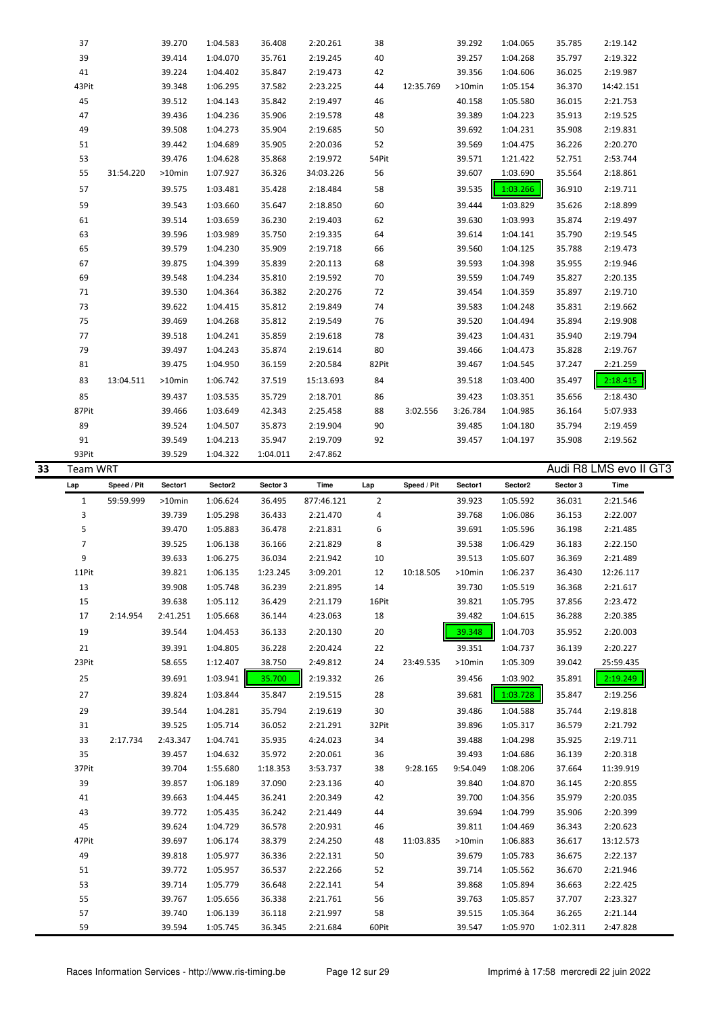|    | 37              |             | 39.270             | 1:04.583             | 36.408           | 2:20.261             | 38          |             | 39.292           | 1:04.065             | 35.785             | 2:19.142               |
|----|-----------------|-------------|--------------------|----------------------|------------------|----------------------|-------------|-------------|------------------|----------------------|--------------------|------------------------|
|    | 39              |             | 39.414             | 1:04.070             | 35.761           | 2:19.245             | 40          |             | 39.257           | 1:04.268             | 35.797             | 2:19.322               |
|    | 41              |             | 39.224             | 1:04.402             | 35.847           | 2:19.473             | 42          |             | 39.356           | 1:04.606             | 36.025             | 2:19.987               |
|    | 43Pit           |             | 39.348             | 1:06.295             | 37.582           | 2:23.225             | 44          | 12:35.769   | >10min           | 1:05.154             | 36.370             | 14:42.151              |
|    | 45              |             | 39.512             | 1:04.143             | 35.842           | 2:19.497             | 46          |             | 40.158           | 1:05.580             | 36.015             | 2:21.753               |
|    | 47              |             | 39.436             | 1:04.236             | 35.906           | 2:19.578             | 48          |             | 39.389           | 1:04.223             | 35.913             | 2:19.525               |
|    | 49              |             | 39.508             | 1:04.273             | 35.904           | 2:19.685             | 50          |             | 39.692           | 1:04.231             | 35.908             | 2:19.831               |
|    | 51              |             | 39.442             | 1:04.689             | 35.905           | 2:20.036             | 52          |             | 39.569           | 1:04.475             | 36.226             | 2:20.270               |
|    | 53              |             | 39.476             | 1:04.628             | 35.868           | 2:19.972             | 54Pit       |             | 39.571           | 1:21.422             | 52.751             | 2:53.744               |
|    | 55              | 31:54.220   | >10min             | 1:07.927             | 36.326           | 34:03.226            | 56          |             | 39.607           | 1:03.690             | 35.564             | 2:18.861               |
|    |                 |             |                    |                      |                  |                      |             |             |                  |                      |                    |                        |
|    | 57              |             | 39.575             | 1:03.481             | 35.428           | 2:18.484             | 58          |             | 39.535           | 1:03.266             | 36.910             | 2:19.711               |
|    | 59              |             | 39.543             | 1:03.660             | 35.647           | 2:18.850             | 60          |             | 39.444           | 1:03.829             | 35.626             | 2:18.899               |
|    | 61              |             | 39.514             | 1:03.659             | 36.230           | 2:19.403             | 62          |             | 39.630           | 1:03.993             | 35.874             | 2:19.497               |
|    | 63              |             | 39.596             | 1:03.989             | 35.750           | 2:19.335             | 64          |             | 39.614           | 1:04.141             | 35.790             | 2:19.545               |
|    | 65              |             | 39.579             | 1:04.230             | 35.909           | 2:19.718             | 66          |             | 39.560           | 1:04.125             | 35.788             | 2:19.473               |
|    | 67              |             | 39.875             | 1:04.399             | 35.839           | 2:20.113             | 68          |             | 39.593           | 1:04.398             | 35.955             | 2:19.946               |
|    | 69              |             | 39.548             | 1:04.234             | 35.810           | 2:19.592             | 70          |             | 39.559           | 1:04.749             | 35.827             | 2:20.135               |
|    | 71              |             | 39.530             | 1:04.364             | 36.382           | 2:20.276             | 72          |             | 39.454           | 1:04.359             | 35.897             | 2:19.710               |
|    | 73              |             | 39.622             | 1:04.415             | 35.812           | 2:19.849             | 74          |             | 39.583           | 1:04.248             | 35.831             | 2:19.662               |
|    | 75              |             | 39.469             | 1:04.268             | 35.812           | 2:19.549             | 76          |             | 39.520           | 1:04.494             | 35.894             | 2:19.908               |
|    | 77              |             | 39.518             | 1:04.241             | 35.859           | 2:19.618             | 78          |             | 39.423           | 1:04.431             | 35.940             | 2:19.794               |
|    | 79              |             | 39.497             | 1:04.243             | 35.874           | 2:19.614             | 80          |             | 39.466           | 1:04.473             | 35.828             | 2:19.767               |
|    | 81              |             | 39.475             | 1:04.950             | 36.159           | 2:20.584             | 82Pit       |             | 39.467           | 1:04.545             | 37.247             | 2:21.259               |
|    | 83              | 13:04.511   | $>10$ min          | 1:06.742             | 37.519           | 15:13.693            | 84          |             | 39.518           | 1:03.400             | 35.497             | 2:18.415               |
|    |                 |             |                    |                      |                  |                      |             |             |                  |                      |                    |                        |
|    | 85              |             | 39.437             | 1:03.535             | 35.729           | 2:18.701             | 86          |             | 39.423           | 1:03.351             | 35.656             | 2:18.430               |
|    | 87Pit           |             | 39.466             | 1:03.649             | 42.343           | 2:25.458             | 88          | 3:02.556    | 3:26.784         | 1:04.985             | 36.164             | 5:07.933               |
|    | 89              |             | 39.524             | 1:04.507             | 35.873           | 2:19.904             | 90          |             | 39.485           | 1:04.180             | 35.794             | 2:19.459               |
|    | 91              |             | 39.549             | 1:04.213             | 35.947           | 2:19.709             | 92          |             | 39.457           | 1:04.197             | 35.908             | 2:19.562               |
|    | 93Pit           |             | 39.529             | 1:04.322             | 1:04.011         | 2:47.862             |             |             |                  |                      |                    |                        |
| 33 | <b>Team WRT</b> |             |                    |                      |                  |                      |             |             |                  |                      |                    | Audi R8 LMS evo II GT3 |
|    |                 |             |                    |                      |                  |                      |             |             |                  |                      |                    |                        |
|    | Lap             | Speed / Pit | Sector1            | Sector2              | Sector 3         | Time                 | Lap         | Speed / Pit | Sector1          | Sector2              | Sector 3           | Time                   |
|    | $\mathbf{1}$    | 59:59.999   | >10min             | 1:06.624             | 36.495           | 877:46.121           | 2           |             | 39.923           | 1:05.592             | 36.031             | 2:21.546               |
|    | 3               |             | 39.739             | 1:05.298             | 36.433           | 2:21.470             | 4           |             | 39.768           | 1:06.086             | 36.153             | 2:22.007               |
|    | 5               |             | 39.470             | 1:05.883             | 36.478           | 2:21.831             | 6           |             | 39.691           | 1:05.596             | 36.198             | 2:21.485               |
|    | $\overline{7}$  |             | 39.525             | 1:06.138             | 36.166           | 2:21.829             | 8           |             | 39.538           | 1:06.429             | 36.183             | 2:22.150               |
|    | 9               |             | 39.633             | 1:06.275             | 36.034           | 2:21.942             | 10          |             | 39.513           | 1:05.607             | 36.369             | 2:21.489               |
|    | 11Pit           |             | 39.821             | 1:06.135             | 1:23.245         | 3:09.201             | 12          | 10:18.505   | >10min           | 1:06.237             | 36.430             | 12:26.117              |
|    | 13              |             | 39.908             | 1:05.748             | 36.239           | 2:21.895             | 14          |             | 39.730           | 1:05.519             | 36.368             | 2:21.617               |
|    | 15              |             |                    |                      |                  |                      |             |             |                  |                      |                    |                        |
|    | 17              | 2:14.954    | 39.638<br>2:41.251 | 1:05.112<br>1:05.668 | 36.429<br>36.144 | 2:21.179<br>4:23.063 | 16Pit<br>18 |             | 39.821<br>39.482 | 1:05.795             | 37.856<br>36.288   | 2:23.472<br>2:20.385   |
|    |                 |             |                    |                      |                  |                      |             |             |                  | 1:04.615             |                    |                        |
|    | 19              |             | 39.544             | 1:04.453             | 36.133           | 2:20.130             | 20          |             | 39.348           | 1:04.703             | 35.952             | 2:20.003               |
|    | 21              |             | 39.391             | 1:04.805             | 36.228           | 2:20.424             | 22          |             | 39.351           | 1:04.737             | 36.139             | 2:20.227               |
|    | 23Pit           |             | 58.655             | 1:12.407             | 38.750           | 2:49.812             | 24          | 23:49.535   | >10min           | 1:05.309             | 39.042             | 25:59.435              |
|    | 25              |             | 39.691             | 1:03.941             | 35.700           | 2:19.332             | 26          |             | 39.456           | 1:03.902             | 35.891             | 2:19.249               |
|    | 27              |             | 39.824             | 1:03.844             | 35.847           | 2:19.515             | 28          |             | 39.681           | 1:03.728             | 35.847             | 2:19.256               |
|    | 29              |             | 39.544             | 1:04.281             | 35.794           | 2:19.619             | 30          |             | 39.486           | 1:04.588             | 35.744             | 2:19.818               |
|    | 31              |             | 39.525             | 1:05.714             | 36.052           | 2:21.291             | 32Pit       |             | 39.896           | 1:05.317             | 36.579             | 2:21.792               |
|    | 33              | 2:17.734    | 2:43.347           | 1:04.741             | 35.935           | 4:24.023             | 34          |             | 39.488           | 1:04.298             | 35.925             | 2:19.711               |
|    | 35              |             | 39.457             | 1:04.632             | 35.972           | 2:20.061             | 36          |             | 39.493           | 1:04.686             | 36.139             | 2:20.318               |
|    | 37Pit           |             | 39.704             | 1:55.680             | 1:18.353         | 3:53.737             | 38          | 9:28.165    | 9:54.049         | 1:08.206             | 37.664             | 11:39.919              |
|    |                 |             |                    |                      |                  |                      |             |             |                  |                      |                    |                        |
|    | 39              |             | 39.857             | 1:06.189             | 37.090           | 2:23.136             | 40          |             | 39.840<br>39.700 | 1:04.870             | 36.145             | 2:20.855               |
|    | 41              |             | 39.663             | 1:04.445             | 36.241           | 2:20.349             | 42          |             |                  | 1:04.356             | 35.979             | 2:20.035               |
|    | 43              |             | 39.772             | 1:05.435             | 36.242           | 2:21.449             | 44          |             | 39.694           | 1:04.799             | 35.906             | 2:20.399               |
|    | 45              |             | 39.624             | 1:04.729             | 36.578           | 2:20.931             | 46          |             | 39.811           | 1:04.469             | 36.343             | 2:20.623               |
|    | 47Pit           |             | 39.697             | 1:06.174             | 38.379           | 2:24.250             | 48          | 11:03.835   | >10min           | 1:06.883             | 36.617             | 13:12.573              |
|    | 49              |             | 39.818             | 1:05.977             | 36.336           | 2:22.131             | 50          |             | 39.679           | 1:05.783             | 36.675             | 2:22.137               |
|    | 51              |             | 39.772             | 1:05.957             | 36.537           | 2:22.266             | 52          |             | 39.714           | 1:05.562             | 36.670             | 2:21.946               |
|    | 53              |             | 39.714             | 1:05.779             | 36.648           | 2:22.141             | 54          |             | 39.868           | 1:05.894             | 36.663             | 2:22.425               |
|    | 55              |             | 39.767             | 1:05.656             | 36.338           | 2:21.761             | 56          |             | 39.763           | 1:05.857             | 37.707             | 2:23.327               |
|    | 57<br>59        |             | 39.740<br>39.594   | 1:06.139<br>1:05.745 | 36.118<br>36.345 | 2:21.997<br>2:21.684 | 58<br>60Pit |             | 39.515<br>39.547 | 1:05.364<br>1:05.970 | 36.265<br>1:02.311 | 2:21.144<br>2:47.828   |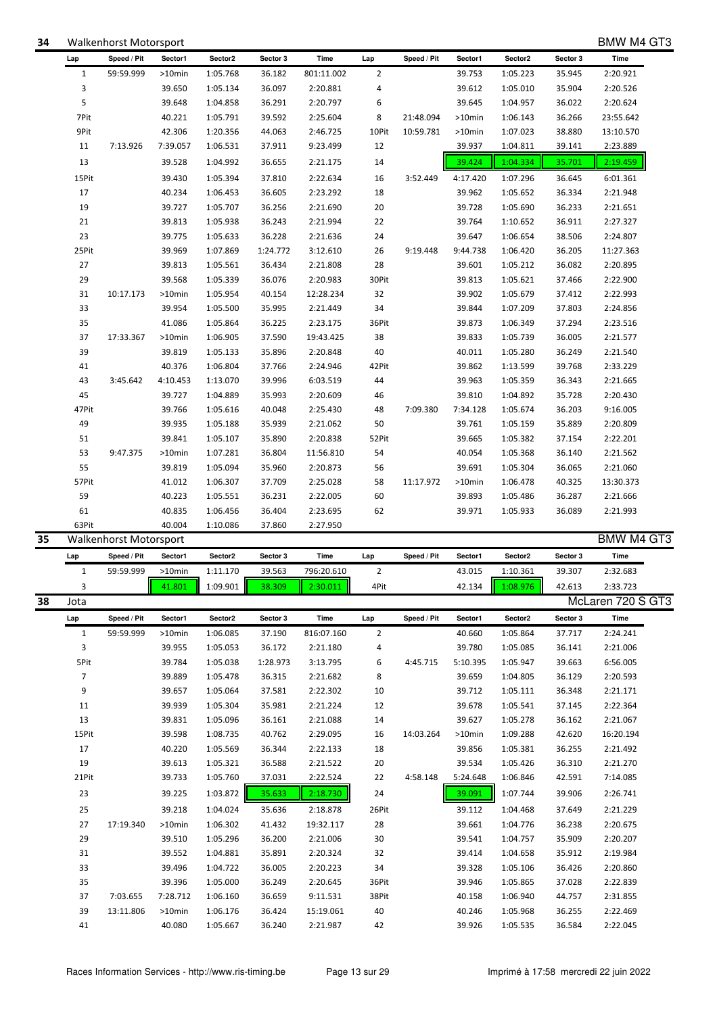| 13    |           | 39.831   | 1:05.096                                              | 36.161 | 2:21.088  | 14             |           | 39.627   | 1:05.278 | 36.162 | 2:21.067                              |  |
|-------|-----------|----------|-------------------------------------------------------|--------|-----------|----------------|-----------|----------|----------|--------|---------------------------------------|--|
| 15Pit |           | 39.598   | 1:08.735                                              | 40.762 | 2:29.095  | 16             | 14:03.264 | >10min   | 1:09.288 | 42.620 | 16:20.194                             |  |
| 17    |           | 40.220   | 1:05.569                                              | 36.344 | 2:22.133  | 18             |           | 39.856   | 1:05.381 | 36.255 | 2:21.492                              |  |
| 19    |           | 39.613   | 1:05.321                                              | 36.588 | 2:21.522  | 20             |           | 39.534   | 1:05.426 | 36.310 | 2:21.270                              |  |
| 21Pit |           | 39.733   | 1:05.760                                              | 37.031 | 2:22.524  | 22             | 4:58.148  | 5:24.648 | 1:06.846 | 42.591 | 7:14.085                              |  |
| 23    |           | 39.225   | 1:03.872                                              | 35.633 | 2:18.730  | 24             |           | 39.091   | 1:07.744 | 39.906 | 2:26.741                              |  |
| 25    |           | 39.218   | 1:04.024                                              | 35.636 | 2:18.878  | 26Pit          |           | 39.112   | 1:04.468 | 37.649 | 2:21.229                              |  |
| 27    | 17:19.340 | >10min   | 1:06.302                                              | 41.432 | 19:32.117 | 28             |           | 39.661   | 1:04.776 | 36.238 | 2:20.675                              |  |
| 29    |           | 39.510   | 1:05.296                                              | 36.200 | 2:21.006  | 30             |           | 39.541   | 1:04.757 | 35.909 | 2:20.207                              |  |
| 31    |           | 39.552   | 1:04.881                                              | 35.891 | 2:20.324  | 32             |           | 39.414   | 1:04.658 | 35.912 | 2:19.984                              |  |
| 33    |           | 39.496   | 1:04.722                                              | 36.005 | 2:20.223  | 34             |           | 39.328   | 1:05.106 | 36.426 | 2:20.860                              |  |
| 35    |           | 39.396   | 1:05.000                                              | 36.249 | 2:20.645  | 36Pit          |           | 39.946   | 1:05.865 | 37.028 | 2:22.839                              |  |
| 37    | 7:03.655  | 7:28.712 | 1:06.160                                              | 36.659 | 9:11.531  | 38Pit          |           | 40.158   | 1:06.940 | 44.757 | 2:31.855                              |  |
| 39    | 13:11.806 | >10min   | 1:06.176                                              | 36.424 | 15:19.061 | 40             |           | 40.246   | 1:05.968 | 36.255 | 2:22.469                              |  |
| 41    |           | 40.080   | 1:05.667                                              | 36.240 | 2:21.987  | 42             |           | 39.926   | 1:05.535 | 36.584 | 2:22.045                              |  |
|       |           |          |                                                       |        |           |                |           |          |          |        |                                       |  |
|       |           |          | Races Information Services - http://www.ris-timing.be |        |           | Page 13 sur 29 |           |          |          |        | Imprimé à 17:58 mercredi 22 juin 2022 |  |

| 13    |           | 39.528    | 1:04.992 | 36.655   | 2:21.175  | 14    |          | 39.424   | 1:04.334 | 35.701 | 2:19.459  |
|-------|-----------|-----------|----------|----------|-----------|-------|----------|----------|----------|--------|-----------|
| 15Pit |           | 39.430    | 1:05.394 | 37.810   | 2:22.634  | 16    | 3:52.449 | 4:17.420 | 1:07.296 | 36.645 | 6:01.361  |
| 17    |           | 40.234    | 1:06.453 | 36.605   | 2:23.292  | 18    |          | 39.962   | 1:05.652 | 36.334 | 2:21.948  |
| 19    |           | 39.727    | 1:05.707 | 36.256   | 2:21.690  | 20    |          | 39.728   | 1:05.690 | 36.233 | 2:21.651  |
| 21    |           | 39.813    | 1:05.938 | 36.243   | 2:21.994  | 22    |          | 39.764   | 1:10.652 | 36.911 | 2:27.327  |
| 23    |           | 39.775    | 1:05.633 | 36.228   | 2:21.636  | 24    |          | 39.647   | 1:06.654 | 38.506 | 2:24.807  |
| 25Pit |           | 39.969    | 1:07.869 | 1:24.772 | 3:12.610  | 26    | 9:19.448 | 9:44.738 | 1:06.420 | 36.205 | 11:27.363 |
| 27    |           | 39.813    | 1:05.561 | 36.434   | 2:21.808  | 28    |          | 39.601   | 1:05.212 | 36.082 | 2:20.895  |
| 29    |           | 39.568    | 1:05.339 | 36.076   | 2:20.983  | 30Pit |          | 39.813   | 1:05.621 | 37.466 | 2:22.900  |
| 31    | 10:17.173 | $>10$ min | 1:05.954 | 40.154   | 12:28.234 | 32    |          | 39.902   | 1:05.679 | 37.412 | 2:22.993  |
| 33    |           | 39.954    | 1:05.500 | 35.995   | 2:21.449  | 34    |          | 39.844   | 1:07.209 | 37.803 | 2:24.856  |
| 35    |           | 41.086    | 1:05.864 | 36.225   | 2:23.175  | 36Pit |          | 39.873   | 1:06.349 | 37.294 | 2:23.516  |
| 37    | 17:33.367 | $>10$ min | 1:06.905 | 37.590   | 19:43.425 | 38    |          | 39.833   | 1:05.739 | 36.005 | 2:21.577  |
| 39    |           | 39.819    | 1:05.133 | 35.896   | 2:20.848  | 40    |          | 40.011   | 1:05.280 | 36.249 | 2:21.540  |
| 41    |           | 40.376    | 1:06.804 | 37.766   | 2:24.946  | 42Pit |          | 39.862   | 1:13.599 | 39.768 | 2:33.229  |
| 43    | 3:45.642  | 4:10.453  | 1:13.070 | 39.996   | 6:03.519  | 44    |          | 39.963   | 1:05.359 | 36.343 | 2:21.665  |
| 45    |           | 39.727    | 1:04.889 | 35.993   | 2:20.609  | 46    |          | 39.810   | 1:04.892 | 35.728 | 2:20.430  |
| 47Pit |           | 39.766    | 1:05.616 | 40.048   | 2:25.430  | 48    | 7:09.380 | 7:34.128 | 1:05.674 | 36.203 | 9:16.005  |
| 49    |           | 39.935    | 1:05.188 | 35.939   | 2:21.062  | 50    |          | 39.761   | 1:05.159 | 35.889 | 2:20.809  |
| 51    |           | 39.841    | 1:05.107 | 35.890   | 2:20.838  | 52Pit |          | 39.665   | 1:05.382 | 37.154 | 2:22.201  |
| 53    | 9:47.375  | $>10$ min | 1:07.281 | 36.804   | 11:56.810 | 54    |          | 40.054   | 1:05.368 | 36.140 | 2:21.562  |

63Pit 40.004 1:10.086 37.860 2:27.950

**Lap Speed / Pit Sector1 Sector2 Sector 3 Time Lap Speed / Pit Sector1 Sector2 Sector 3 Time** 1 59:59.999 >10min 1:05.768 36.182 801:11.002 2 39.753 1:05.223 35.945 2:20.921 3 39.650 1:05.134 36.097 2:20.881 4 39.612 1:05.010 35.904 2:20.526 5 39.648 1:04.858 36.291 2:20.797 6 39.645 1:04.957 36.022 2:20.624 7Pit 40.221 1:05.791 39.592 2:25.604 8 21:48.094 >10min 1:06.143 36.266 23:55.642 9Pit 42.306 1:20.356 44.063 2:46.725 10Pit 10:59.781 >10min 1:07.023 38.880 13:10.570 11 7:13.926 7:39.057 1:06.531 37.911 9:23.499 12 39.937 1:04.811 39.141 2:23.889

## **34** Walkenhorst Motorsport **BMW M4 GT3**

**35** Walkenhorst Motorsport BMW M4 GT3

|    | Lap            | Speed / Pit | Sector1   | Sector2      | Sector 3 | Time       | Lap            | Speed / Pit | Sector1   | Sector2  | Sector 3      | Time              |  |
|----|----------------|-------------|-----------|--------------|----------|------------|----------------|-------------|-----------|----------|---------------|-------------------|--|
|    | $\mathbf{1}$   | 59:59.999   | $>10$ min | 1:11.170     | 39.563   | 796:20.610 | $\overline{2}$ |             | 43.015    | 1:10.361 | 39.307        | 2:32.683          |  |
|    | 3              |             | 41.801    | 1:09.901     | 38.309   | 2:30.011   | 4Pit           |             | 42.134    | 1:08.976 | 42.613        | 2:33.723          |  |
| 38 | Jota           |             |           |              |          |            |                |             |           |          |               | McLaren 720 S GT3 |  |
|    | Lap            | Speed / Pit | Sector1   | Sector2      | Sector 3 | Time       | Lap            | Speed / Pit | Sector1   | Sector2  | Sector 3      | Time              |  |
|    | 1              | 59:59.999   | $>10$ min | 1:06.085     | 37.190   | 816:07.160 | 2              |             | 40.660    | 1:05.864 | 37.717        | 2:24.241          |  |
|    | 3              |             | 39.955    | 1:05.053     | 36.172   | 2:21.180   | 4              |             | 39.780    | 1:05.085 | 36.141        | 2:21.006          |  |
|    | 5Pit           |             | 39.784    | 1:05.038     | 1:28.973 | 3:13.795   | 6              | 4:45.715    | 5:10.395  | 1:05.947 | 39.663        | 6:56.005          |  |
|    | $\overline{7}$ |             | 39.889    | 1:05.478     | 36.315   | 2:21.682   | 8              |             | 39.659    | 1:04.805 | 36.129        | 2:20.593          |  |
|    | 9              |             | 39.657    | 1:05.064     | 37.581   | 2:22.302   | 10             |             | 39.712    | 1:05.111 | 36.348        | 2:21.171          |  |
|    | 11             |             | 39.939    | 1:05.304     | 35.981   | 2:21.224   | 12             |             | 39.678    | 1:05.541 | 37.145        | 2:22.364          |  |
|    | 13             |             | 39.831    | 1:05.096     | 36.161   | 2:21.088   | 14             |             | 39.627    | 1:05.278 | 36.162        | 2:21.067          |  |
|    | 15Pit          |             | 39.598    | 1:08.735     | 40.762   | 2:29.095   | 16             | 14:03.264   | $>10$ min | 1:09.288 | 42.620        | 16:20.194         |  |
|    | 17             |             | 40.220    | 1:05.569     | 36.344   | 2:22.133   | 18             |             | 39.856    | 1:05.381 | 36.255        | 2:21.492          |  |
|    | 19             |             | 39.613    | 1:05.321     | 36.588   | 2:21.522   | 20             |             | 39.534    | 1:05.426 | 36.310        | 2:21.270          |  |
|    | 21Pit          |             | 39.733    | 1:05.760     | 37.031   | 2:22.524   | 22             | 4:58.148    | 5:24.648  | 1:06.846 | 42.591        | 7:14.085          |  |
|    | 23             |             | 39.225    | 1:03.872     | 35.633   | 2:18.730   | 24             |             | 39.091    | 1:07.744 | 39.906        | 2:26.741          |  |
|    | 25             |             | 39.218    | 1:04.024     | 35.636   | 2:18.878   | 26Pit          |             | 39.112    | 1:04.468 | 37.649        | 2:21.229          |  |
|    | 27             | 17:19.340   | $>10$ min | 1:06.302     | 41.432   | 19:32.117  | 28             |             | 39.661    | 1:04.776 | 36.238        | 2:20.675          |  |
|    | 29             |             | 39.510    | 1:05.296     | 36.200   | 2:21.006   | 30             |             | 39.541    | 1:04.757 | 35.909        | 2:20.207          |  |
|    | 31             |             | 39.552    | 1:04.881     | 35.891   | 2:20.324   | 32             |             | 39.414    | 1:04.658 | 35.912        | 2:19.984          |  |
|    | 33             |             | 39.496    | 1:04.722     | 36.005   | 2:20.223   | 34             |             | 39.328    | 1:05.106 | 36.426        | 2:20.860          |  |
|    | 35             |             | 39.396    | 1:05.000     | 36.249   | 2:20.645   | 36Pit          |             | 39.946    | 1:05.865 | 37.028        | 2:22.839          |  |
|    | 37             | 7:03.655    | 7:28.712  | 1:06.160     | 36.659   | 9:11.531   | 38Pit          |             | 40.158    | 1:06.940 | 44.757        | 2:31.855          |  |
|    | 39             | 13:11.806   | $>10$ min | 1:06.176     | 36.424   | 15:19.061  | 40             |             | 40.246    | 1:05.968 | 36.255        | 2:22.469          |  |
|    | $\Lambda$ 1    |             | 10.000    | $1.05$ $CCT$ | 2C210    | 2.21027    | $\sqrt{2}$     |             | 20.02C    | 1.05E2E  | <b>DE EOA</b> | $2.220.45$        |  |

55 39.819 1:05.094 35.960 2:20.873 56 39.691 1:05.304 36.065 2:21.060 57Pit 41.012 1:06.307 37.709 2:25.028 58 11:17.972 >10min 1:06.478 40.325 13:30.373 59 40.223 1:05.551 36.231 2:22.005 60 39.893 1:05.486 36.287 2:21.666 61 40.835 1:06.456 36.404 2:23.695 62 39.971 1:05.933 36.089 2:21.993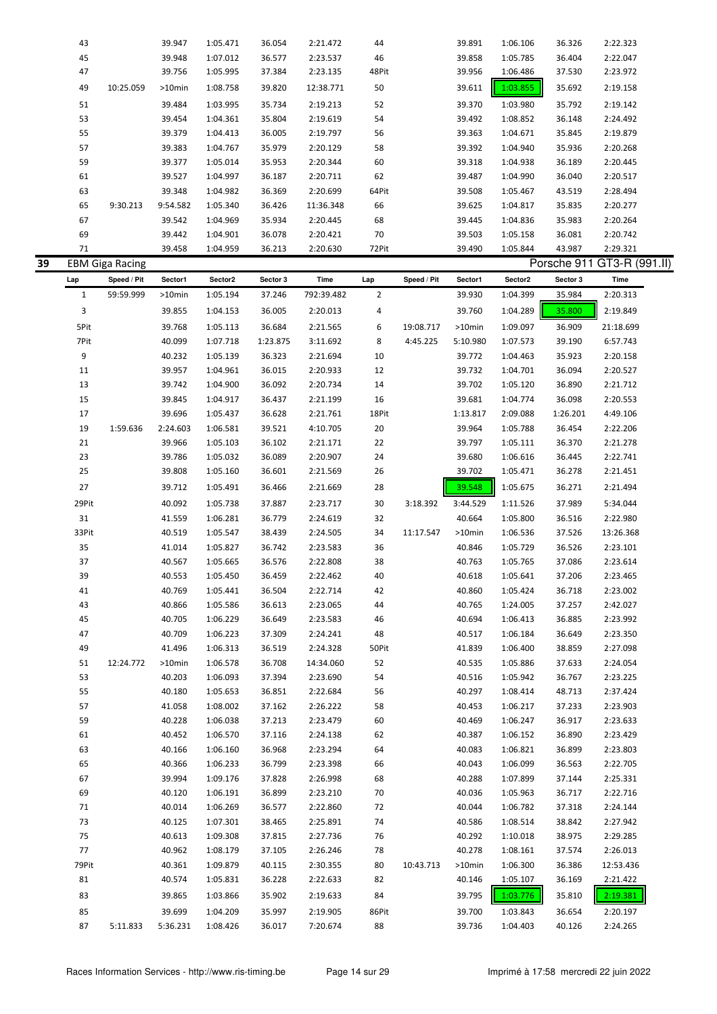|    | 43           |                        | 39.947    | 1:05.471 | 36.054   | 2:21.472   | 44             |             | 39.891   | 1:06.106 | 36.326   | 2:22.323                   |  |
|----|--------------|------------------------|-----------|----------|----------|------------|----------------|-------------|----------|----------|----------|----------------------------|--|
|    | 45           |                        | 39.948    | 1:07.012 | 36.577   | 2:23.537   | 46             |             | 39.858   | 1:05.785 | 36.404   | 2:22.047                   |  |
|    | 47           |                        |           |          |          |            | 48Pit          |             | 39.956   |          |          |                            |  |
|    |              |                        | 39.756    | 1:05.995 | 37.384   | 2:23.135   |                |             |          | 1:06.486 | 37.530   | 2:23.972                   |  |
|    | 49           | 10:25.059              | >10min    | 1:08.758 | 39.820   | 12:38.771  | 50             |             | 39.611   | 1:03.855 | 35.692   | 2:19.158                   |  |
|    | 51           |                        | 39.484    | 1:03.995 | 35.734   | 2:19.213   | 52             |             | 39.370   | 1:03.980 | 35.792   | 2:19.142                   |  |
|    | 53           |                        | 39.454    | 1:04.361 | 35.804   | 2:19.619   | 54             |             | 39.492   | 1:08.852 | 36.148   | 2:24.492                   |  |
|    | 55           |                        | 39.379    | 1:04.413 | 36.005   | 2:19.797   | 56             |             | 39.363   | 1:04.671 | 35.845   | 2:19.879                   |  |
|    | 57           |                        | 39.383    | 1:04.767 | 35.979   | 2:20.129   | 58             |             | 39.392   | 1:04.940 | 35.936   | 2:20.268                   |  |
|    | 59           |                        | 39.377    | 1:05.014 | 35.953   | 2:20.344   | 60             |             | 39.318   | 1:04.938 | 36.189   | 2:20.445                   |  |
|    | 61           |                        | 39.527    | 1:04.997 | 36.187   | 2:20.711   | 62             |             | 39.487   | 1:04.990 | 36.040   | 2:20.517                   |  |
|    | 63           |                        | 39.348    | 1:04.982 | 36.369   | 2:20.699   | 64Pit          |             | 39.508   | 1:05.467 | 43.519   | 2:28.494                   |  |
|    | 65           | 9:30.213               | 9:54.582  | 1:05.340 | 36.426   | 11:36.348  | 66             |             | 39.625   | 1:04.817 | 35.835   | 2:20.277                   |  |
|    | 67           |                        | 39.542    | 1:04.969 | 35.934   | 2:20.445   | 68             |             | 39.445   | 1:04.836 | 35.983   | 2:20.264                   |  |
|    | 69           |                        | 39.442    | 1:04.901 | 36.078   | 2:20.421   | 70             |             | 39.503   | 1:05.158 | 36.081   | 2:20.742                   |  |
|    | 71           |                        | 39.458    | 1:04.959 | 36.213   | 2:20.630   | 72Pit          |             | 39.490   | 1:05.844 | 43.987   | 2:29.321                   |  |
| 39 |              | <b>EBM Giga Racing</b> |           |          |          |            |                |             |          |          |          | Porsche 911 GT3-R (991.II) |  |
|    | Lap          | Speed / Pit            | Sector1   | Sector2  | Sector 3 | Time       | Lap            | Speed / Pit | Sector1  | Sector2  | Sector 3 | Time                       |  |
|    | $\mathbf{1}$ | 59:59.999              | $>10$ min | 1:05.194 | 37.246   | 792:39.482 | $\overline{2}$ |             | 39.930   | 1:04.399 | 35.984   | 2:20.313                   |  |
|    | 3            |                        | 39.855    | 1:04.153 | 36.005   | 2:20.013   | 4              |             | 39.760   | 1:04.289 | 35.800   | 2:19.849                   |  |
|    |              |                        |           |          |          |            |                |             |          |          |          |                            |  |
|    | 5Pit         |                        | 39.768    | 1:05.113 | 36.684   | 2:21.565   | 6              | 19:08.717   | >10min   | 1:09.097 | 36.909   | 21:18.699                  |  |
|    | 7Pit         |                        | 40.099    | 1:07.718 | 1:23.875 | 3:11.692   | 8              | 4:45.225    | 5:10.980 | 1:07.573 | 39.190   | 6:57.743                   |  |
|    | 9            |                        | 40.232    | 1:05.139 | 36.323   | 2:21.694   | 10             |             | 39.772   | 1:04.463 | 35.923   | 2:20.158                   |  |
|    | 11           |                        | 39.957    | 1:04.961 | 36.015   | 2:20.933   | 12             |             | 39.732   | 1:04.701 | 36.094   | 2:20.527                   |  |
|    | 13           |                        | 39.742    | 1:04.900 | 36.092   | 2:20.734   | 14             |             | 39.702   | 1:05.120 | 36.890   | 2:21.712                   |  |
|    | 15           |                        | 39.845    | 1:04.917 | 36.437   | 2:21.199   | 16             |             | 39.681   | 1:04.774 | 36.098   | 2:20.553                   |  |
|    | 17           |                        | 39.696    | 1:05.437 | 36.628   | 2:21.761   | 18Pit          |             | 1:13.817 | 2:09.088 | 1:26.201 | 4:49.106                   |  |
|    | 19           | 1:59.636               | 2:24.603  | 1:06.581 | 39.521   | 4:10.705   | 20             |             | 39.964   | 1:05.788 | 36.454   | 2:22.206                   |  |
|    | 21           |                        | 39.966    | 1:05.103 | 36.102   | 2:21.171   | 22             |             | 39.797   | 1:05.111 | 36.370   | 2:21.278                   |  |
|    | 23           |                        | 39.786    | 1:05.032 | 36.089   | 2:20.907   | 24             |             | 39.680   | 1:06.616 | 36.445   | 2:22.741                   |  |
|    | 25           |                        | 39.808    | 1:05.160 | 36.601   | 2:21.569   | 26             |             | 39.702   | 1:05.471 | 36.278   | 2:21.451                   |  |
|    | 27           |                        | 39.712    | 1:05.491 | 36.466   | 2:21.669   | 28             |             | 39.548   | 1:05.675 | 36.271   | 2:21.494                   |  |
|    | 29Pit        |                        | 40.092    | 1:05.738 | 37.887   | 2:23.717   | 30             | 3:18.392    | 3:44.529 | 1:11.526 | 37.989   | 5:34.044                   |  |
|    | 31           |                        | 41.559    | 1:06.281 | 36.779   | 2:24.619   | 32             |             | 40.664   | 1:05.800 | 36.516   | 2:22.980                   |  |
|    | 33Pit        |                        | 40.519    | 1:05.547 | 38.439   | 2:24.505   | 34             | 11:17.547   | >10min   | 1:06.536 | 37.526   | 13:26.368                  |  |
|    | 35           |                        | 41.014    | 1:05.827 | 36.742   | 2:23.583   | 36             |             | 40.846   | 1:05.729 | 36.526   | 2:23.101                   |  |
|    | 37           |                        | 40.567    | 1:05.665 | 36.576   | 2:22.808   | 38             |             | 40.763   | 1:05.765 | 37.086   | 2:23.614                   |  |
|    | 39           |                        | 40.553    | 1:05.450 | 36.459   | 2:22.462   | 40             |             | 40.618   | 1:05.641 | 37.206   | 2:23.465                   |  |
|    | 41           |                        | 40.769    | 1:05.441 | 36.504   | 2:22.714   | 42             |             | 40.860   | 1:05.424 | 36.718   | 2:23.002                   |  |
|    | 43           |                        | 40.866    | 1:05.586 | 36.613   | 2:23.065   | 44             |             | 40.765   | 1:24.005 | 37.257   | 2:42.027                   |  |
|    | 45           |                        | 40.705    | 1:06.229 | 36.649   | 2:23.583   | 46             |             | 40.694   | 1:06.413 | 36.885   | 2:23.992                   |  |
|    | 47           |                        | 40.709    | 1:06.223 | 37.309   | 2:24.241   | 48             |             | 40.517   | 1:06.184 | 36.649   | 2:23.350                   |  |
|    | 49           |                        | 41.496    |          |          |            |                |             |          |          |          |                            |  |
|    |              |                        |           | 1:06.313 | 36.519   | 2:24.328   | 50Pit          |             | 41.839   | 1:06.400 | 38.859   | 2:27.098                   |  |
|    | 51           | 12:24.772              | >10min    | 1:06.578 | 36.708   | 14:34.060  | 52             |             | 40.535   | 1:05.886 | 37.633   | 2:24.054                   |  |
|    | 53           |                        | 40.203    | 1:06.093 | 37.394   | 2:23.690   | 54             |             | 40.516   | 1:05.942 | 36.767   | 2:23.225                   |  |
|    | 55           |                        | 40.180    | 1:05.653 | 36.851   | 2:22.684   | 56             |             | 40.297   | 1:08.414 | 48.713   | 2:37.424                   |  |
|    | 57           |                        | 41.058    | 1:08.002 | 37.162   | 2:26.222   | 58             |             | 40.453   | 1:06.217 | 37.233   | 2:23.903                   |  |
|    | 59           |                        | 40.228    | 1:06.038 | 37.213   | 2:23.479   | 60             |             | 40.469   | 1:06.247 | 36.917   | 2:23.633                   |  |
|    | 61           |                        | 40.452    | 1:06.570 | 37.116   | 2:24.138   | 62             |             | 40.387   | 1:06.152 | 36.890   | 2:23.429                   |  |
|    | 63           |                        | 40.166    | 1:06.160 | 36.968   | 2:23.294   | 64             |             | 40.083   | 1:06.821 | 36.899   | 2:23.803                   |  |
|    | 65           |                        | 40.366    | 1:06.233 | 36.799   | 2:23.398   | 66             |             | 40.043   | 1:06.099 | 36.563   | 2:22.705                   |  |
|    | 67           |                        | 39.994    | 1:09.176 | 37.828   | 2:26.998   | 68             |             | 40.288   | 1:07.899 | 37.144   | 2:25.331                   |  |
|    | 69           |                        | 40.120    | 1:06.191 | 36.899   | 2:23.210   | 70             |             | 40.036   | 1:05.963 | 36.717   | 2:22.716                   |  |
|    | 71           |                        | 40.014    | 1:06.269 | 36.577   | 2:22.860   | 72             |             | 40.044   | 1:06.782 | 37.318   | 2:24.144                   |  |
|    | 73           |                        | 40.125    | 1:07.301 | 38.465   | 2:25.891   | 74             |             | 40.586   | 1:08.514 | 38.842   | 2:27.942                   |  |
|    | 75           |                        | 40.613    | 1:09.308 | 37.815   | 2:27.736   | 76             |             | 40.292   | 1:10.018 | 38.975   | 2:29.285                   |  |
|    | 77           |                        | 40.962    | 1:08.179 | 37.105   | 2:26.246   | 78             |             | 40.278   | 1:08.161 | 37.574   | 2:26.013                   |  |
|    | 79Pit        |                        | 40.361    | 1:09.879 | 40.115   | 2:30.355   | 80             | 10:43.713   | >10min   | 1:06.300 | 36.386   | 12:53.436                  |  |
|    | 81           |                        | 40.574    | 1:05.831 | 36.228   | 2:22.633   | 82             |             | 40.146   | 1:05.107 | 36.169   | 2:21.422                   |  |
|    | 83           |                        | 39.865    | 1:03.866 | 35.902   | 2:19.633   | 84             |             | 39.795   | 1:03.776 | 35.810   | 2:19.381                   |  |
|    | 85           |                        | 39.699    | 1:04.209 | 35.997   | 2:19.905   | 86Pit          |             | 39.700   | 1:03.843 | 36.654   | 2:20.197                   |  |
|    | 87           | 5:11.833               | 5:36.231  | 1:08.426 | 36.017   | 7:20.674   | 88             |             | 39.736   | 1:04.403 | 40.126   | 2:24.265                   |  |
|    |              |                        |           |          |          |            |                |             |          |          |          |                            |  |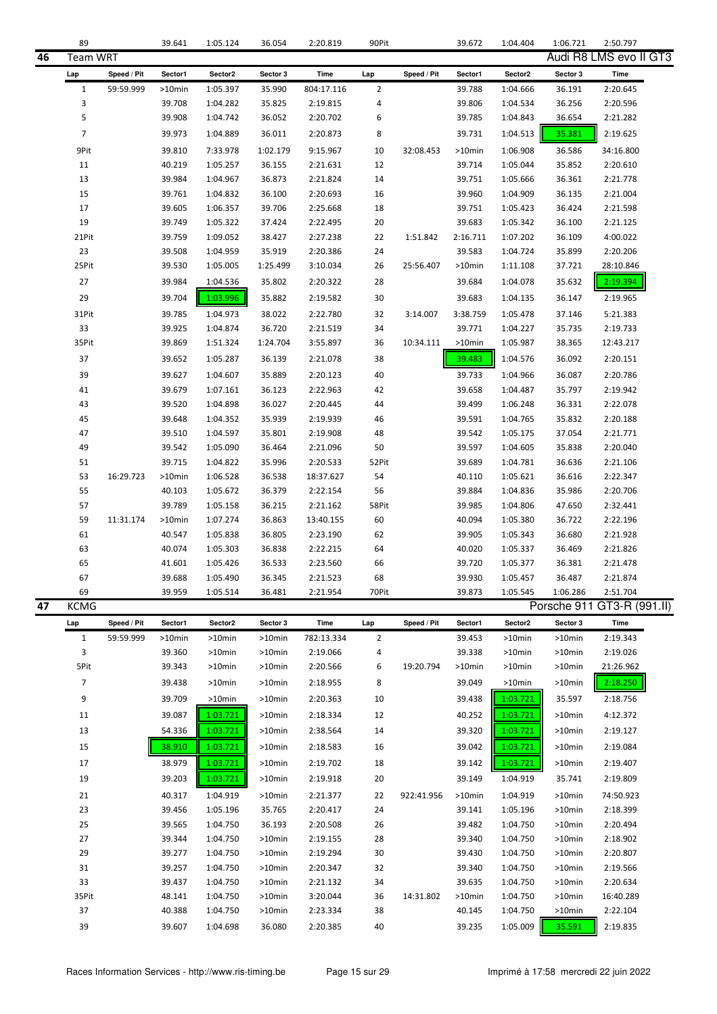|    | 89             |             | 39.641           | 1:05.124             | 36.054           | 2:20.819             | 90Pit          |             | 39.672           | 1:04.404             | 1:06.721         | 2:50.797                   |
|----|----------------|-------------|------------------|----------------------|------------------|----------------------|----------------|-------------|------------------|----------------------|------------------|----------------------------|
| 46 | Team WRT       |             |                  |                      |                  |                      |                |             |                  |                      |                  | Audi R8 LMS evo II GT3     |
|    | Lap            | Speed / Pit | Sector1          | Sector2              | Sector 3         | Time                 | Lap            | Speed / Pit | Sector1          | Sector2              | Sector 3         | Time                       |
|    | $\mathbf{1}$   | 59:59.999   | >10min           | 1:05.397             | 35.990           | 804:17.116           | $\overline{2}$ |             | 39.788           | 1:04.666             | 36.191           | 2:20.645                   |
|    | 3              |             | 39.708           | 1:04.282             | 35.825           | 2:19.815             | 4              |             | 39.806           | 1:04.534             | 36.256           | 2:20.596                   |
|    | 5              |             | 39.908           | 1:04.742             | 36.052           | 2:20.702             | 6              |             | 39.785           | 1:04.843             | 36.654           | 2:21.282                   |
|    | $\overline{7}$ |             | 39.973           | 1:04.889             | 36.011           | 2:20.873             | 8              |             | 39.731           | 1:04.513             | 35.381           | 2:19.625                   |
|    | 9Pit           |             | 39.810           | 7:33.978             | 1:02.179         | 9:15.967             | 10             | 32:08.453   | >10min           | 1:06.908             | 36.586           | 34:16.800                  |
|    | 11             |             | 40.219           | 1:05.257             | 36.155           | 2:21.631             | 12             |             | 39.714           | 1:05.044             | 35.852           | 2:20.610                   |
|    | 13             |             | 39.984           | 1:04.967             | 36.873           | 2:21.824             | 14             |             | 39.751           | 1:05.666             | 36.361           | 2:21.778                   |
|    | 15             |             | 39.761           | 1:04.832             | 36.100           | 2:20.693             | 16             |             | 39.960           | 1:04.909             | 36.135           | 2:21.004                   |
|    | 17             |             | 39.605           | 1:06.357             | 39.706           | 2:25.668             | 18             |             | 39.751           | 1:05.423             | 36.424           | 2:21.598                   |
|    | 19             |             | 39.749           | 1:05.322             | 37.424           | 2:22.495             | 20             |             | 39.683           | 1:05.342             | 36.100           | 2:21.125                   |
|    | 21Pit          |             | 39.759           | 1:09.052             | 38.427           | 2:27.238             | 22             | 1:51.842    | 2:16.711         | 1:07.202             | 36.109           | 4:00.022                   |
|    | 23             |             | 39.508           | 1:04.959             | 35.919           | 2:20.386             | 24             |             | 39.583           | 1:04.724             | 35.899           | 2:20.206                   |
|    | 25Pit          |             | 39.530           | 1:05.005             | 1:25.499         | 3:10.034             | 26             | 25:56.407   | >10min           | 1:11.108             | 37.721           | 28:10.846                  |
|    | 27             |             | 39.984           | 1:04.536             | 35.802           | 2:20.322             | 28             |             | 39.684           | 1:04.078             | 35.632           | 2:19.394                   |
|    | 29             |             | 39.704           | 1:03.996             | 35.882           | 2:19.582             | 30             |             | 39.683           | 1:04.135             | 36.147           | 2:19.965                   |
|    | 31Pit          |             | 39.785           | 1:04.973             | 38.022           | 2:22.780             | 32             | 3:14.007    | 3:38.759         | 1:05.478             | 37.146           | 5:21.383                   |
|    | 33             |             | 39.925           | 1:04.874             | 36.720           | 2:21.519             | 34             |             | 39.771           | 1:04.227             | 35.735           | 2:19.733                   |
|    | 35Pit          |             | 39.869           | 1:51.324             | 1:24.704         | 3:55.897             | 36             | 10:34.111   | >10min           | 1:05.987             | 38.365           | 12:43.217                  |
|    | 37             |             | 39.652           | 1:05.287             | 36.139           | 2:21.078             | 38             |             | 39.483           | 1:04.576             | 36.092           | 2:20.151                   |
|    | 39             |             | 39.627           | 1:04.607             | 35.889           | 2:20.123             | 40             |             | 39.733           | 1:04.966             | 36.087           | 2:20.786                   |
|    | 41             |             | 39.679           | 1:07.161             | 36.123           | 2:22.963             | 42             |             | 39.658           | 1:04.487             | 35.797           | 2:19.942                   |
|    | 43             |             | 39.520           | 1:04.898             | 36.027           | 2:20.445             | 44             |             | 39.499           | 1:06.248             | 36.331           | 2:22.078                   |
|    | 45<br>47       |             | 39.648           | 1:04.352             | 35.939           | 2:19.939             | 46<br>48       |             | 39.591           | 1:04.765             | 35.832           | 2:20.188                   |
|    | 49             |             | 39.510<br>39.542 | 1:04.597<br>1:05.090 | 35.801<br>36.464 | 2:19.908<br>2:21.096 | 50             |             | 39.542<br>39.597 | 1:05.175<br>1:04.605 | 37.054<br>35.838 | 2:21.771<br>2:20.040       |
|    | 51             |             | 39.715           | 1:04.822             | 35.996           | 2:20.533             | 52Pit          |             | 39.689           | 1:04.781             | 36.636           | 2:21.106                   |
|    | 53             | 16:29.723   | >10min           | 1:06.528             | 36.538           | 18:37.627            | 54             |             | 40.110           | 1:05.621             | 36.616           | 2:22.347                   |
|    | 55             |             | 40.103           | 1:05.672             | 36.379           | 2:22.154             | 56             |             | 39.884           | 1:04.836             | 35.986           | 2:20.706                   |
|    | 57             |             | 39.789           | 1:05.158             | 36.215           | 2:21.162             | 58Pit          |             | 39.985           | 1:04.806             | 47.650           | 2:32.441                   |
|    | 59             | 11:31.174   | >10min           | 1:07.274             | 36.863           | 13:40.155            | 60             |             | 40.094           | 1:05.380             | 36.722           | 2:22.196                   |
|    | 61             |             | 40.547           | 1:05.838             | 36.805           | 2:23.190             | 62             |             | 39.905           | 1:05.343             | 36.680           | 2:21.928                   |
|    | 63             |             | 40.074           | 1:05.303             | 36.838           | 2:22.215             | 64             |             | 40.020           | 1:05.337             | 36.469           | 2:21.826                   |
|    | 65             |             | 41.601           | 1:05.426             | 36.533           | 2:23.560             | 66             |             | 39.720           | 1:05.377             | 36.381           | 2:21.478                   |
|    | 67             |             | 39.688           | 1:05.490             | 36.345           | 2:21.523             | 68             |             | 39.930           | 1:05.457             | 36.487           | 2:21.874                   |
|    | 69             |             | 39.959           | 1:05.514             | 36.481           | 2:21.954             | 70Pit          |             | 39.873           | 1:05.545             | 1:06.286         | 2:51.704                   |
| 47 | <b>KCMG</b>    |             |                  |                      |                  |                      |                |             |                  |                      |                  | Porsche 911 GT3-R (991.II) |
|    | Lap            | Speed / Pit | Sector1          | Sector2              | Sector 3         | Time                 | Lap            | Speed / Pit | Sector1          | Sector2              | Sector 3         | Time                       |
|    | $\mathbf{1}$   | 59:59.999   | >10min           | >10min               | >10min           | 782:13.334           | $\overline{2}$ |             | 39.453           | >10min               | >10min           | 2:19.343                   |
|    | 3              |             | 39.360           | >10min               | >10min           | 2:19.066             | 4              |             | 39.338           | >10min               | >10min           | 2:19.026                   |
|    | 5Pit           |             | 39.343           | >10min               | >10min           | 2:20.566             | 6              | 19:20.794   | >10min           | >10min               | $>10$ min        | 21:26.962                  |
|    | $\overline{7}$ |             | 39.438           | >10min               | $>10$ min        | 2:18.955             | 8              |             | 39.049           | >10min               | >10min           | 2:18.250                   |
|    | 9              |             | 39.709           | >10min               | $>10$ min        | 2:20.363             | 10             |             | 39.438           | 1:03.721             | 35.597           | 2:18.756                   |
|    | 11             |             | 39.087           | 1:03.721             | >10min           | 2:18.334             | 12             |             | 40.252           | 1:03.721             | $>10$ min        | 4:12.372                   |
|    | 13             |             | 54.336           | 1:03.721             | $>10$ min        | 2:38.564             | 14             |             | 39.320           | 1:03.721             | >10min           | 2:19.127                   |
|    | 15             |             | 38.910           | 1:03.721             | $>10$ min        | 2:18.583             | 16             |             | 39.042           | 1:03.721             | >10min           | 2:19.084                   |
|    | 17             |             | 38.979           | 1:03.721             | $>10$ min        | 2:19.702             | 18             |             | 39.142           | 1:03.721             | >10min           | 2:19.407                   |
|    | 19             |             | 39.203           | 1:03.721             | >10min           | 2:19.918             | 20             |             | 39.149           | 1:04.919             | 35.741           | 2:19.809                   |
|    | 21             |             | 40.317           | 1:04.919             | $>10$ min        | 2:21.377             | 22             | 922:41.956  | >10min           | 1:04.919             | >10min           | 74:50.923                  |
|    | 23             |             | 39.456           | 1:05.196             | 35.765           | 2:20.417             | 24             |             | 39.141           | 1:05.196             | >10min           | 2:18.399                   |
|    | 25             |             | 39.565           | 1:04.750             | 36.193           | 2:20.508             | 26             |             | 39.482           | 1:04.750             | >10min           | 2:20.494                   |
|    | 27             |             | 39.344           | 1:04.750             | >10min           | 2:19.155             | 28             |             | 39.340           | 1:04.750             | >10min           | 2:18.902                   |
|    | 29             |             | 39.277           | 1:04.750             | >10min           | 2:19.294             | 30             |             | 39.430           | 1:04.750             | >10min           | 2:20.807                   |
|    | 31             |             | 39.257           | 1:04.750             | >10min           | 2:20.347             | 32             |             | 39.340           | 1:04.750             | >10min           | 2:19.566                   |
|    | 33<br>35Pit    |             | 39.437<br>48.141 | 1:04.750             | >10min<br>>10min | 2:21.132<br>3:20.044 | 34<br>36       | 14:31.802   | 39.635<br>>10min | 1:04.750             | >10min           | 2:20.634<br>16:40.289      |
|    | 37             |             | 40.388           | 1:04.750<br>1:04.750 | >10min           | 2:23.334             | 38             |             | 40.145           | 1:04.750<br>1:04.750 | >10min<br>>10min | 2:22.104                   |
|    | 39             |             | 39.607           | 1:04.698             | 36.080           | 2:20.385             | 40             |             | 39.235           | 1:05.009             | 35.591           | 2:19.835                   |
|    |                |             |                  |                      |                  |                      |                |             |                  |                      |                  |                            |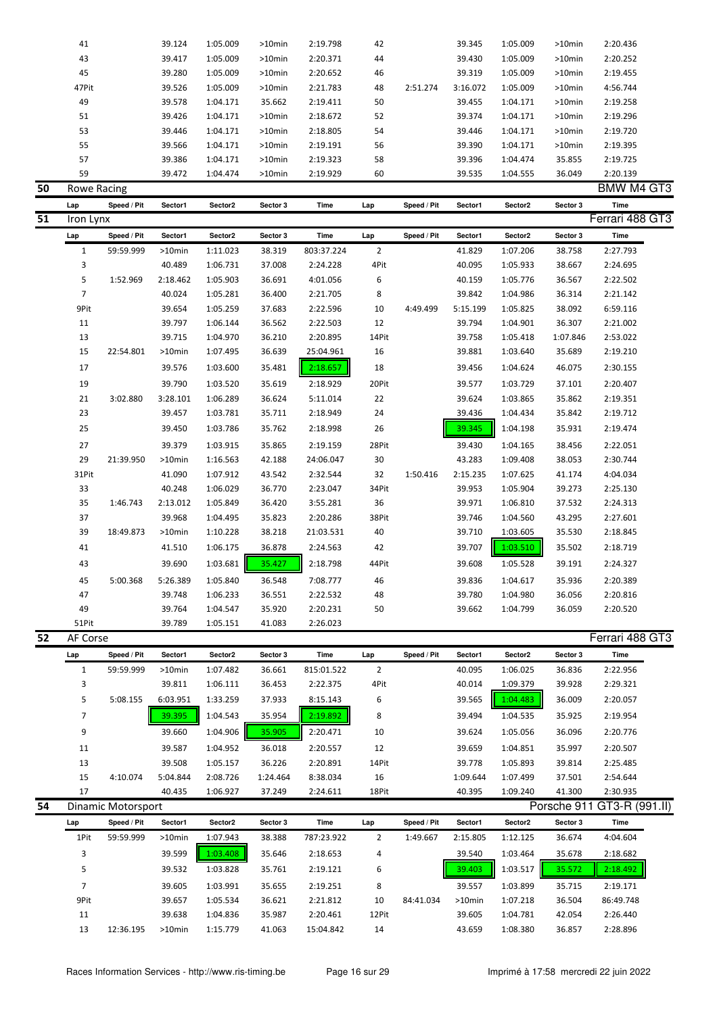| 50 | Rowe Racing |        |          |           |          |    |          |          |          |           | BMW M4 GT3 |
|----|-------------|--------|----------|-----------|----------|----|----------|----------|----------|-----------|------------|
|    | 59          | 39.472 | 1:04.474 | $>10$ min | 2:19.929 | 60 |          | 39.535   | 1:04.555 | 36.049    | 2:20.139   |
|    | 57          | 39.386 | 1:04.171 | $>10$ min | 2:19.323 | 58 |          | 39.396   | 1:04.474 | 35.855    | 2:19.725   |
|    | 55          | 39.566 | 1:04.171 | $>10$ min | 2:19.191 | 56 |          | 39.390   | 1:04.171 | $>10$ min | 2:19.395   |
|    | 53          | 39.446 | 1:04.171 | $>10$ min | 2:18.805 | 54 |          | 39.446   | 1:04.171 | $>10$ min | 2:19.720   |
|    | 51          | 39.426 | 1:04.171 | $>10$ min | 2:18.672 | 52 |          | 39.374   | 1:04.171 | $>10$ min | 2:19.296   |
|    | 49          | 39.578 | 1:04.171 | 35.662    | 2:19.411 | 50 |          | 39.455   | 1:04.171 | $>10$ min | 2:19.258   |
|    | 47Pit       | 39.526 | 1:05.009 | $>10$ min | 2:21.783 | 48 | 2:51.274 | 3:16.072 | 1:05.009 | $>10$ min | 4:56.744   |
|    | 45          | 39.280 | 1:05.009 | $>10$ min | 2:20.652 | 46 |          | 39.319   | 1:05.009 | $>10$ min | 2:19.455   |
|    | 43          | 39.417 | 1:05.009 | $>10$ min | 2:20.371 | 44 |          | 39.430   | 1:05.009 | $>10$ min | 2:20.252   |
|    | 41          | 39.124 | 1:05.009 | $>10$ min | 2:19.798 | 42 |          | 39.345   | 1:05.009 | $>10$ min | 2:20.436   |
|    |             |        |          |           |          |    |          |          |          |           |            |

**Lap Speed / Pit Sector1 Sector2 Sector 3 Time Lap Speed / Pit Sector1 Sector2 Sector 3 Time 51** Iron Lynx Ferrari 488 GT3 Lap Speed / Pit Sector1 Sector2 Sector 3 Time Lap Speed / Pit Sector1 Sector2 Sector 3 Time 1 59:59.999 >10min 1:11.023 38.319 803:37.224 2 41.829 1:07.206 38.758 2:27.793 3 40.489 1:06.731 37.008 2:24.228 4Pit 40.095 1:05.933 38.667 2:24.695 5 1:52.969 2:18.462 1:05.903 36.691 4:01.056 6 40.159 1:05.776 36.567 2:22.502 7 40.024 1:05.281 36.400 2:21.705 8 39.842 1:04.986 36.314 2:21.142 9Pit 39.654 1:05.259 37.683 2:22.596 10 4:49.499 5:15.199 1:05.825 38.092 6:59.116 11 39.797 1:06.144 36.562 2:22.503 12 39.794 1:04.901 36.307 2:21.002 13 39.715 1:04.970 36.210 2:20.895 14Pit 39.758 1:05.418 1:07.846 2:53.022 15 22:54.801 >10min 1:07.495 36.639 25:04.961 16 39.881 1:03.640 35.689 2:19.210 17 39.576 1:03.600 35.481 2:18.657 18 39.456 1:04.624 46.075 2:30.155 19 39.790 1:03.520 35.619 2:18.929 20Pit 39.577 1:03.729 37.101 2:20.407 21 3:02.880 3:28.101 1:06.289 36.624 5:11.014 22 39.624 1:03.865 35.862 2:19.351 23 39.457 1:03.781 35.711 2:18.949 24 39.436 1:04.434 35.842 2:19.712 25 39.450 1:03.786 35.762 2:18.998 26 39.345 1:04.198 35.931 2:19.474 27 39.379 1:03.915 35.865 2:19.159 28Pit 39.430 1:04.165 38.456 2:22.051 29 21:39.950 >10min 1:16.563 42.188 24:06.047 30 43.283 1:09.408 38.053 2:30.744 31Pit 41.090 1:07.912 43.542 2:32.544 32 1:50.416 2:15.235 1:07.625 41.174 4:04.034 33 40.248 1:06.029 36.770 2:23.047 34Pit 39.953 1:05.904 39.273 2:25.130 35 1:46.743 2:13.012 1:05.849 36.420 3:55.281 36 39.971 1:06.810 37.532 2:24.313 37 39.968 1:04.495 35.823 2:20.286 38Pit 39.746 1:04.560 43.295 2:27.601 39 18:49.873 >10min 1:10.228 38.218 21:03.531 40 39.710 1:03.605 35.530 2:18.845 41 41.510 1:06.175 36.878 2:24.563 42 39.707 1:03.510 35.502 2:18.719 43 39.690 1:03.681 35.427 2:18.798 44Pit 39.608 1:05.528 39.191 2:24.327 45 5:00.368 5:26.389 1:05.840 36.548 7:08.777 46 39.836 1:04.617 35.936 2:20.389 47 39.748 1:06.233 36.551 2:22.532 48 39.780 1:04.980 36.056 2:20.816 49 39.764 1:04.547 35.920 2:20.231 50 39.662 1:04.799 36.059 2:20.520 51Pit 39.789 1:05.151 41.083 2:26.023

| 52 | AF Corse |                    |           |          |          |            |       |             |          |                     |          | Ferrari 488 GT3            |
|----|----------|--------------------|-----------|----------|----------|------------|-------|-------------|----------|---------------------|----------|----------------------------|
|    | Lap      | Speed / Pit        | Sector1   | Sector2  | Sector 3 | Time       | Lap   | Speed / Pit | Sector1  | Sector <sub>2</sub> | Sector 3 | Time                       |
|    |          | 59:59.999          | $>10$ min | 1:07.482 | 36.661   | 815:01.522 | 2     |             | 40.095   | 1:06.025            | 36.836   | 2:22.956                   |
|    | 3        |                    | 39.811    | 1:06.111 | 36.453   | 2:22.375   | 4Pit  |             | 40.014   | 1:09.379            | 39.928   | 2:29.321                   |
|    | 5        | 5:08.155           | 6:03.951  | 1:33.259 | 37.933   | 8:15.143   | 6     |             | 39.565   | 1:04.483            | 36.009   | 2:20.057                   |
|    | 7        |                    | 39.395    | 1:04.543 | 35.954   | 2:19.892   | 8     |             | 39.494   | 1:04.535            | 35.925   | 2:19.954                   |
|    | 9        |                    | 39.660    | 1:04.906 | 35.905   | 2:20.471   | 10    |             | 39.624   | 1:05.056            | 36.096   | 2:20.776                   |
|    | 11       |                    | 39.587    | 1:04.952 | 36.018   | 2:20.557   | 12    |             | 39.659   | 1:04.851            | 35.997   | 2:20.507                   |
|    | 13       |                    | 39.508    | 1:05.157 | 36.226   | 2:20.891   | 14Pit |             | 39.778   | 1:05.893            | 39.814   | 2:25.485                   |
|    | 15       | 4:10.074           | 5:04.844  | 2:08.726 | 1:24.464 | 8:38.034   | 16    |             | 1:09.644 | 1:07.499            | 37.501   | 2:54.644                   |
|    | 17       |                    | 40.435    | 1:06.927 | 37.249   | 2:24.611   | 18Pit |             | 40.395   | 1:09.240            | 41.300   | 2:30.935                   |
| 54 |          | Dinamic Motorsport |           |          |          |            |       |             |          |                     |          | Porsche 911 GT3-R (991.II) |

| Lap  | Speed / Pit | Sector1   | Sector <sub>2</sub> | Sector 3 | Time       | Lap   | Speed / Pit | Sector1   | Sector <sub>2</sub> | Sector 3 | Time      |
|------|-------------|-----------|---------------------|----------|------------|-------|-------------|-----------|---------------------|----------|-----------|
| 1Pit | 59:59.999   | $>10$ min | 1:07.943            | 38.388   | 787:23.922 |       | 1:49.667    | 2:15.805  | 1:12.125            | 36.674   | 4:04.604  |
| 3    |             | 39.599    | 1:03.408            | 35.646   | 2:18.653   | 4     |             | 39.540    | 1:03.464            | 35.678   | 2:18.682  |
| 5    |             | 39.532    | 1:03.828            | 35.761   | 2:19.121   | 6     |             | 39.403    | 1:03.517            | 35.572   | 2:18.492  |
|      |             | 39.605    | 1:03.991            | 35.655   | 2:19.251   | 8     |             | 39.557    | 1:03.899            | 35.715   | 2:19.171  |
| 9Pit |             | 39.657    | 1:05.534            | 36.621   | 2:21.812   | 10    | 84:41.034   | $>10$ min | 1:07.218            | 36.504   | 86:49.748 |
| 11   |             | 39.638    | 1:04.836            | 35.987   | 2:20.461   | 12Pit |             | 39.605    | 1:04.781            | 42.054   | 2:26.440  |
| 13   | 12:36.195   | $>10$ min | 1:15.779            | 41.063   | 15:04.842  | 14    |             | 43.659    | 1:08.380            | 36.857   | 2:28.896  |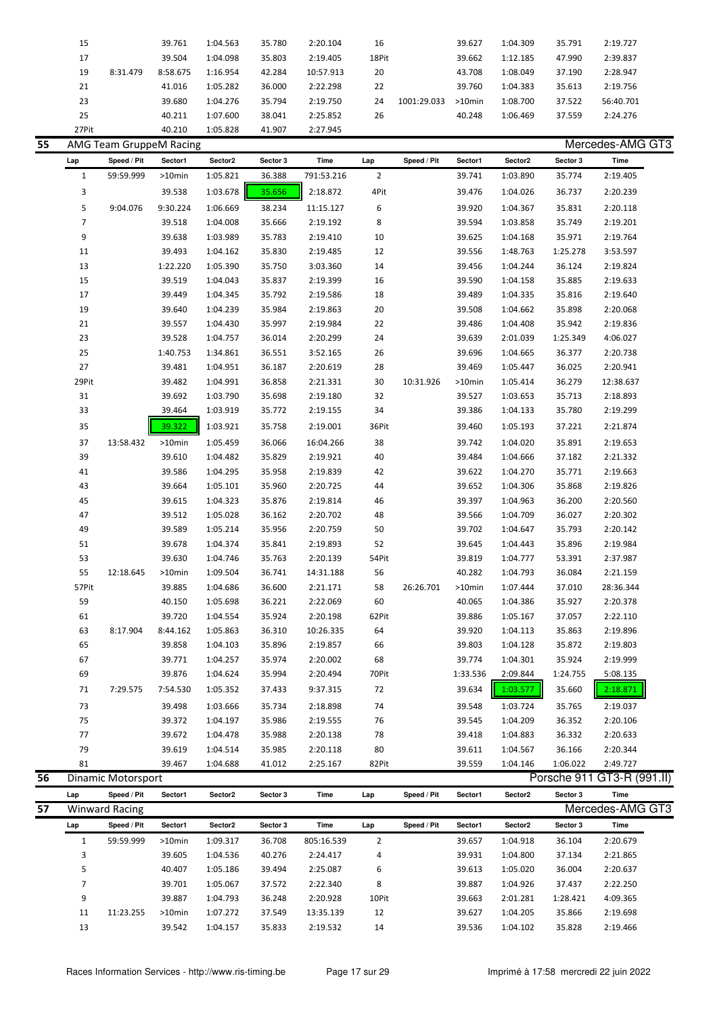| 15    |          | 39.761   | 1:04.563 | 35.780 | 2:20.104  | 16    |             | 39.627    | 1:04.309 | 35.791 | 2:19.727  |  |
|-------|----------|----------|----------|--------|-----------|-------|-------------|-----------|----------|--------|-----------|--|
| 17    |          | 39.504   | 1:04.098 | 35.803 | 2:19.405  | 18Pit |             | 39.662    | 1:12.185 | 47.990 | 2:39.837  |  |
| 19    | 8:31.479 | 8:58.675 | 1:16.954 | 42.284 | 10:57.913 | 20    |             | 43.708    | 1:08.049 | 37.190 | 2:28.947  |  |
| 21    |          | 41.016   | 1:05.282 | 36.000 | 2:22.298  | 22    |             | 39.760    | 1:04.383 | 35.613 | 2:19.756  |  |
| 23    |          | 39.680   | 1:04.276 | 35.794 | 2:19.750  | 24    | 1001:29.033 | $>10$ min | 1:08.700 | 37.522 | 56:40.701 |  |
| 25    |          | 40.211   | 1:07.600 | 38.041 | 2:25.852  | 26    |             | 40.248    | 1:06.469 | 37.559 | 2:24.276  |  |
| 27Pit |          | 40.210   | 1:05.828 | 41.907 | 2:27.945  |       |             |           |          |        |           |  |

| 55 |                | AMG Team GruppeM Racing |          |          |          |            |                |             |          |          |          | Mercedes-AMG GT3           |
|----|----------------|-------------------------|----------|----------|----------|------------|----------------|-------------|----------|----------|----------|----------------------------|
|    | Lap            | Speed / Pit             | Sector1  | Sector2  | Sector 3 | Time       | Lap            | Speed / Pit | Sector1  | Sector2  | Sector 3 | Time                       |
|    | 1              | 59:59.999               | >10min   | 1:05.821 | 36.388   | 791:53.216 | $\overline{2}$ |             | 39.741   | 1:03.890 | 35.774   | 2:19.405                   |
|    | 3              |                         | 39.538   | 1:03.678 | 35.656   | 2:18.872   | 4Pit           |             | 39.476   | 1:04.026 | 36.737   | 2:20.239                   |
|    | 5              | 9:04.076                | 9:30.224 | 1:06.669 | 38.234   | 11:15.127  | 6              |             | 39.920   | 1:04.367 | 35.831   | 2:20.118                   |
|    | $\overline{7}$ |                         | 39.518   | 1:04.008 | 35.666   | 2:19.192   | 8              |             | 39.594   | 1:03.858 | 35.749   | 2:19.201                   |
|    | 9              |                         | 39.638   | 1:03.989 | 35.783   | 2:19.410   | 10             |             | 39.625   | 1:04.168 | 35.971   | 2:19.764                   |
|    | 11             |                         | 39.493   | 1:04.162 | 35.830   | 2:19.485   | 12             |             | 39.556   | 1:48.763 | 1:25.278 | 3:53.597                   |
|    | 13             |                         | 1:22.220 | 1:05.390 | 35.750   | 3:03.360   | 14             |             | 39.456   | 1:04.244 | 36.124   | 2:19.824                   |
|    | 15             |                         | 39.519   | 1:04.043 | 35.837   | 2:19.399   | 16             |             | 39.590   | 1:04.158 | 35.885   | 2:19.633                   |
|    | 17             |                         | 39.449   | 1:04.345 | 35.792   | 2:19.586   | 18             |             | 39.489   | 1:04.335 | 35.816   | 2:19.640                   |
|    | 19             |                         | 39.640   | 1:04.239 | 35.984   | 2:19.863   | 20             |             | 39.508   | 1:04.662 | 35.898   | 2:20.068                   |
|    | 21             |                         | 39.557   | 1:04.430 | 35.997   | 2:19.984   | 22             |             | 39.486   | 1:04.408 | 35.942   | 2:19.836                   |
|    | 23             |                         | 39.528   | 1:04.757 | 36.014   | 2:20.299   | 24             |             | 39.639   | 2:01.039 | 1:25.349 | 4:06.027                   |
|    | 25             |                         | 1:40.753 | 1:34.861 | 36.551   | 3:52.165   | 26             |             | 39.696   | 1:04.665 | 36.377   | 2:20.738                   |
|    | 27             |                         | 39.481   | 1:04.951 | 36.187   | 2:20.619   | 28             |             | 39.469   | 1:05.447 | 36.025   | 2:20.941                   |
|    | 29Pit          |                         | 39.482   | 1:04.991 | 36.858   | 2:21.331   | 30             | 10:31.926   | >10min   | 1:05.414 | 36.279   | 12:38.637                  |
|    | 31             |                         | 39.692   | 1:03.790 | 35.698   | 2:19.180   | 32             |             | 39.527   | 1:03.653 | 35.713   | 2:18.893                   |
|    | 33             |                         | 39.464   | 1:03.919 | 35.772   | 2:19.155   | 34             |             | 39.386   | 1:04.133 | 35.780   | 2:19.299                   |
|    | 35             |                         | 39.322   | 1:03.921 | 35.758   | 2:19.001   | 36Pit          |             | 39.460   | 1:05.193 | 37.221   | 2:21.874                   |
|    | 37             | 13:58.432               | >10min   | 1:05.459 | 36.066   | 16:04.266  | 38             |             | 39.742   | 1:04.020 | 35.891   | 2:19.653                   |
|    | 39             |                         | 39.610   | 1:04.482 | 35.829   | 2:19.921   | 40             |             | 39.484   | 1:04.666 | 37.182   | 2:21.332                   |
|    | 41             |                         | 39.586   | 1:04.295 | 35.958   | 2:19.839   | 42             |             | 39.622   | 1:04.270 | 35.771   | 2:19.663                   |
|    | 43             |                         | 39.664   | 1:05.101 | 35.960   | 2:20.725   | 44             |             | 39.652   | 1:04.306 | 35.868   | 2:19.826                   |
|    | 45             |                         | 39.615   | 1:04.323 | 35.876   | 2:19.814   | 46             |             | 39.397   | 1:04.963 | 36.200   | 2:20.560                   |
|    | 47             |                         | 39.512   | 1:05.028 | 36.162   | 2:20.702   | 48             |             | 39.566   | 1:04.709 | 36.027   | 2:20.302                   |
|    | 49             |                         | 39.589   | 1:05.214 | 35.956   | 2:20.759   | 50             |             | 39.702   | 1:04.647 | 35.793   | 2:20.142                   |
|    | 51             |                         | 39.678   | 1:04.374 | 35.841   | 2:19.893   | 52             |             | 39.645   | 1:04.443 | 35.896   | 2:19.984                   |
|    | 53             |                         | 39.630   | 1:04.746 | 35.763   | 2:20.139   | 54Pit          |             | 39.819   | 1:04.777 | 53.391   | 2:37.987                   |
|    | 55             | 12:18.645               | >10min   | 1:09.504 | 36.741   | 14:31.188  | 56             |             | 40.282   | 1:04.793 | 36.084   | 2:21.159                   |
|    | 57Pit          |                         | 39.885   | 1:04.686 | 36.600   | 2:21.171   | 58             | 26:26.701   | >10min   | 1:07.444 | 37.010   | 28:36.344                  |
|    | 59             |                         | 40.150   | 1:05.698 | 36.221   | 2:22.069   | 60             |             | 40.065   | 1:04.386 | 35.927   | 2:20.378                   |
|    | 61             |                         | 39.720   | 1:04.554 | 35.924   | 2:20.198   | 62Pit          |             | 39.886   | 1:05.167 | 37.057   | 2:22.110                   |
|    | 63             | 8:17.904                | 8:44.162 | 1:05.863 | 36.310   | 10:26.335  | 64             |             | 39.920   | 1:04.113 | 35.863   | 2:19.896                   |
|    | 65             |                         | 39.858   | 1:04.103 | 35.896   | 2:19.857   | 66             |             | 39.803   | 1:04.128 | 35.872   | 2:19.803                   |
|    | 67             |                         | 39.771   | 1:04.257 | 35.974   | 2:20.002   | 68             |             | 39.774   | 1:04.301 | 35.924   | 2:19.999                   |
|    | 69             |                         | 39.876   | 1:04.624 | 35.994   | 2:20.494   | 70Pit          |             | 1:33.536 | 2:09.844 | 1:24.755 | 5:08.135                   |
|    | 71             | 7:29.575                | 7:54.530 | 1:05.352 | 37.433   | 9:37.315   | 72             |             | 39.634   | 1:03.577 | 35.660   | 2:18.871                   |
|    | 73             |                         | 39.498   | 1:03.666 | 35.734   | 2:18.898   | 74             |             | 39.548   | 1:03.724 | 35.765   | 2:19.037                   |
|    | 75             |                         | 39.372   | 1:04.197 | 35.986   | 2:19.555   | 76             |             | 39.545   | 1:04.209 | 36.352   | 2:20.106                   |
|    | 77             |                         | 39.672   | 1:04.478 | 35.988   | 2:20.138   | 78             |             | 39.418   | 1:04.883 | 36.332   | 2:20.633                   |
|    | 79             |                         | 39.619   | 1:04.514 | 35.985   | 2:20.118   | 80             |             | 39.611   | 1:04.567 | 36.166   | 2:20.344                   |
|    | 81             |                         | 39.467   | 1:04.688 | 41.012   | 2:25.167   | 82Pit          |             | 39.559   | 1:04.146 | 1:06.022 | 2:49.727                   |
| 56 |                | Dinamic Motorsport      |          |          |          |            |                |             |          |          |          | Porsche 911 GT3-R (991.II) |
|    | Lap            | Speed / Pit             | Sector1  | Sector2  | Sector 3 | Time       | Lap            | Speed / Pit | Sector1  | Sector2  | Sector 3 | Time                       |
| 57 |                | <b>Winward Racing</b>   |          |          |          |            |                |             |          |          |          | Mercedes-AMG GT3           |

| 57 |     | <b>Winward Racing</b> |           |          |          |            |       |             |         |          |          | Mercedes-AMG GT3 |  |
|----|-----|-----------------------|-----------|----------|----------|------------|-------|-------------|---------|----------|----------|------------------|--|
|    | Lap | Speed / Pit           | Sector1   | Sector2  | Sector 3 | Time       | Lap   | Speed / Pit | Sector1 | Sector2  | Sector 3 | Time             |  |
|    |     | 59:59.999             | $>10$ min | 1:09.317 | 36.708   | 805:16.539 | 2     |             | 39.657  | 1:04.918 | 36.104   | 2:20.679         |  |
|    | 3   |                       | 39.605    | 1:04.536 | 40.276   | 2:24.417   | 4     |             | 39.931  | 1:04.800 | 37.134   | 2:21.865         |  |
|    | 5   |                       | 40.407    | 1:05.186 | 39.494   | 2:25.087   | 6     |             | 39.613  | 1:05.020 | 36.004   | 2:20.637         |  |
|    |     |                       | 39.701    | 1:05.067 | 37.572   | 2:22.340   | 8     |             | 39.887  | 1:04.926 | 37.437   | 2:22.250         |  |
|    | 9   |                       | 39.887    | 1:04.793 | 36.248   | 2:20.928   | 10Pit |             | 39.663  | 2:01.281 | 1:28.421 | 4:09.365         |  |
|    | 11  | 11:23.255             | $>10$ min | 1:07.272 | 37.549   | 13:35.139  | 12    |             | 39.627  | 1:04.205 | 35.866   | 2:19.698         |  |
|    | 13  |                       | 39.542    | 1:04.157 | 35.833   | 2:19.532   | 14    |             | 39.536  | 1:04.102 | 35.828   | 2:19.466         |  |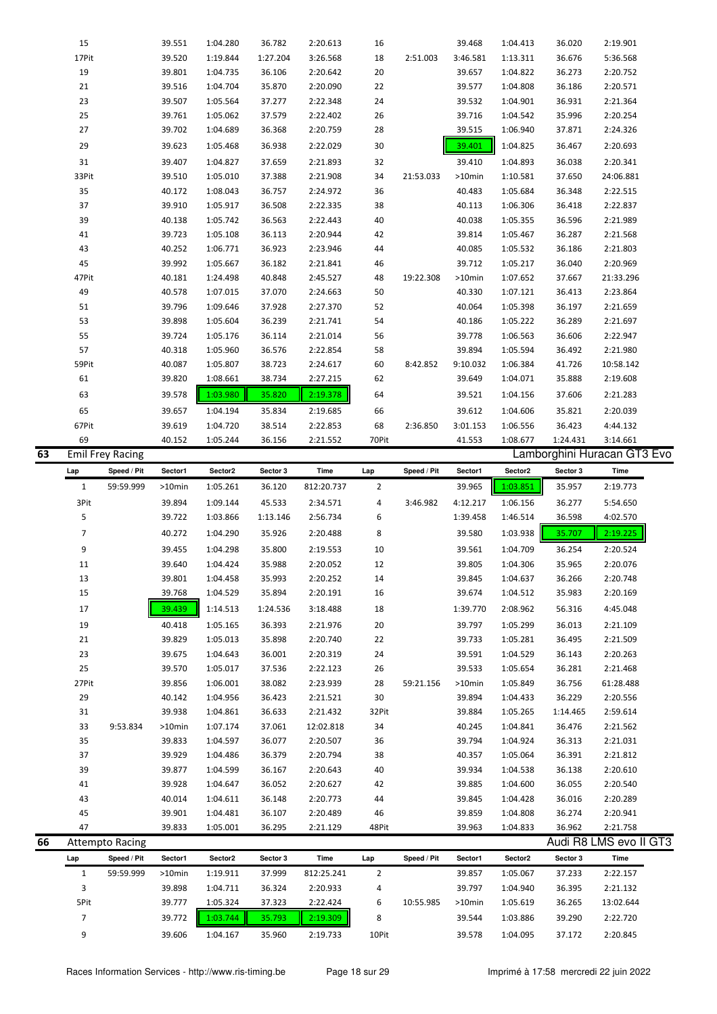|    | 15             |                         | 39.551           | 1:04.280 | 36.782   | 2:20.613   | 16             |             | 39.468    | 1:04.413 | 36.020   | 2:19.901                    |
|----|----------------|-------------------------|------------------|----------|----------|------------|----------------|-------------|-----------|----------|----------|-----------------------------|
|    | 17Pit          |                         | 39.520           | 1:19.844 | 1:27.204 | 3:26.568   | 18             | 2:51.003    | 3:46.581  | 1:13.311 | 36.676   | 5:36.568                    |
|    | 19             |                         | 39.801           | 1:04.735 | 36.106   | 2:20.642   | 20             |             | 39.657    | 1:04.822 | 36.273   | 2:20.752                    |
|    | 21             |                         | 39.516           | 1:04.704 | 35.870   | 2:20.090   | 22             |             | 39.577    | 1:04.808 | 36.186   | 2:20.571                    |
|    | 23             |                         | 39.507           | 1:05.564 | 37.277   | 2:22.348   | 24             |             | 39.532    | 1:04.901 | 36.931   | 2:21.364                    |
|    | 25             |                         | 39.761           | 1:05.062 | 37.579   | 2:22.402   | 26             |             | 39.716    | 1:04.542 | 35.996   | 2:20.254                    |
|    | 27             |                         | 39.702           | 1:04.689 | 36.368   | 2:20.759   | 28             |             | 39.515    | 1:06.940 | 37.871   | 2:24.326                    |
|    | 29             |                         | 39.623           |          | 36.938   | 2:22.029   | $30\,$         |             |           | 1:04.825 | 36.467   | 2:20.693                    |
|    |                |                         |                  | 1:05.468 |          |            |                |             | 39.401    |          |          |                             |
|    | 31             |                         | 39.407           | 1:04.827 | 37.659   | 2:21.893   | 32             |             | 39.410    | 1:04.893 | 36.038   | 2:20.341                    |
|    | 33Pit          |                         | 39.510           | 1:05.010 | 37.388   | 2:21.908   | 34             | 21:53.033   | $>10$ min | 1:10.581 | 37.650   | 24:06.881                   |
|    | 35             |                         | 40.172           | 1:08.043 | 36.757   | 2:24.972   | 36             |             | 40.483    | 1:05.684 | 36.348   | 2:22.515                    |
|    | 37             |                         | 39.910           | 1:05.917 | 36.508   | 2:22.335   | 38             |             | 40.113    | 1:06.306 | 36.418   | 2:22.837                    |
|    | 39             |                         | 40.138           | 1:05.742 | 36.563   | 2:22.443   | 40             |             | 40.038    | 1:05.355 | 36.596   | 2:21.989                    |
|    | 41             |                         | 39.723           | 1:05.108 | 36.113   | 2:20.944   | 42             |             | 39.814    | 1:05.467 | 36.287   | 2:21.568                    |
|    | 43             |                         | 40.252           |          | 36.923   |            |                |             | 40.085    |          |          | 2:21.803                    |
|    |                |                         |                  | 1:06.771 |          | 2:23.946   | 44             |             |           | 1:05.532 | 36.186   |                             |
|    | 45             |                         | 39.992           | 1:05.667 | 36.182   | 2:21.841   | 46             |             | 39.712    | 1:05.217 | 36.040   | 2:20.969                    |
|    | 47Pit          |                         | 40.181           | 1:24.498 | 40.848   | 2:45.527   | 48             | 19:22.308   | $>10$ min | 1:07.652 | 37.667   | 21:33.296                   |
|    | 49             |                         | 40.578           | 1:07.015 | 37.070   | 2:24.663   | 50             |             | 40.330    | 1:07.121 | 36.413   | 2:23.864                    |
|    | 51             |                         | 39.796           | 1:09.646 | 37.928   | 2:27.370   | 52             |             | 40.064    | 1:05.398 | 36.197   | 2:21.659                    |
|    | 53             |                         | 39.898           | 1:05.604 | 36.239   | 2:21.741   | 54             |             | 40.186    | 1:05.222 | 36.289   | 2:21.697                    |
|    | 55             |                         | 39.724           | 1:05.176 | 36.114   | 2:21.014   | 56             |             | 39.778    | 1:06.563 | 36.606   | 2:22.947                    |
|    | 57             |                         | 40.318           | 1:05.960 | 36.576   | 2:22.854   | 58             |             | 39.894    | 1:05.594 | 36.492   | 2:21.980                    |
|    |                |                         |                  |          |          |            |                |             |           |          |          |                             |
|    | 59Pit          |                         | 40.087           | 1:05.807 | 38.723   | 2:24.617   | 60             | 8:42.852    | 9:10.032  | 1:06.384 | 41.726   | 10:58.142                   |
|    | 61             |                         | 39.820           | 1:08.661 | 38.734   | 2:27.215   | 62             |             | 39.649    | 1:04.071 | 35.888   | 2:19.608                    |
|    | 63             |                         | 39.578           | 1:03.980 | 35.820   | 2:19.378   | 64             |             | 39.521    | 1:04.156 | 37.606   | 2:21.283                    |
|    | 65             |                         | 39.657           | 1:04.194 | 35.834   | 2:19.685   | 66             |             | 39.612    | 1:04.606 | 35.821   | 2:20.039                    |
|    | 67Pit          |                         | 39.619           | 1:04.720 | 38.514   | 2:22.853   | 68             | 2:36.850    | 3:01.153  | 1:06.556 | 36.423   | 4:44.132                    |
|    | 69             |                         | 40.152           | 1:05.244 | 36.156   | 2:21.552   | 70Pit          |             | 41.553    | 1:08.677 | 1:24.431 | 3:14.661                    |
| 63 |                | <b>Emil Frey Racing</b> |                  |          |          |            |                |             |           |          |          | Lamborghini Huracan GT3 Evo |
|    |                |                         |                  |          |          |            |                |             |           |          |          |                             |
|    | Lap            | Speed / Pit             | Sector1          | Sector2  | Sector 3 | Time       | Lap            | Speed / Pit | Sector1   | Sector2  | Sector 3 | Time                        |
|    |                |                         |                  |          |          |            |                |             |           |          |          |                             |
|    | $\mathbf{1}$   | 59:59.999               | >10min           | 1:05.261 | 36.120   | 812:20.737 | $\overline{2}$ |             | 39.965    | 1:03.851 | 35.957   | 2:19.773                    |
|    | 3Pit           |                         | 39.894           | 1:09.144 | 45.533   | 2:34.571   | 4              | 3:46.982    | 4:12.217  | 1:06.156 | 36.277   | 5:54.650                    |
|    | 5              |                         | 39.722           | 1:03.866 | 1:13.146 | 2:56.734   | 6              |             | 1:39.458  | 1:46.514 | 36.598   | 4:02.570                    |
|    |                |                         |                  |          |          |            |                |             |           |          |          |                             |
|    | $\overline{7}$ |                         | 40.272           | 1:04.290 | 35.926   | 2:20.488   | 8              |             | 39.580    | 1:03.938 | 35.707   | 2:19.225                    |
|    | 9              |                         | 39.455           | 1:04.298 | 35.800   | 2:19.553   | 10             |             | 39.561    | 1:04.709 | 36.254   | 2:20.524                    |
|    | 11             |                         | 39.640           | 1:04.424 | 35.988   | 2:20.052   | 12             |             | 39.805    | 1:04.306 | 35.965   | 2:20.076                    |
|    | 13             |                         | 39.801           | 1:04.458 | 35.993   | 2:20.252   | 14             |             | 39.845    | 1:04.637 | 36.266   | 2:20.748                    |
|    | 15             |                         | 39.768           | 1:04.529 | 35.894   | 2:20.191   | 16             |             | 39.674    | 1:04.512 | 35.983   | 2:20.169                    |
|    | 17             |                         | 39.439           | 1:14.513 | 1:24.536 | 3:18.488   | 18             |             | 1:39.770  | 2:08.962 | 56.316   | 4:45.048                    |
|    |                |                         |                  |          |          |            |                |             |           |          |          |                             |
|    | 19             |                         | 40.418           | 1:05.165 | 36.393   | 2:21.976   | 20             |             | 39.797    | 1:05.299 | 36.013   | 2:21.109                    |
|    | 21             |                         | 39.829           | 1:05.013 | 35.898   | 2:20.740   | 22             |             | 39.733    | 1:05.281 | 36.495   | 2:21.509                    |
|    | 23             |                         | 39.675           | 1:04.643 | 36.001   | 2:20.319   | 24             |             | 39.591    | 1:04.529 | 36.143   | 2:20.263                    |
|    | 25             |                         | 39.570           | 1:05.017 | 37.536   | 2:22.123   | 26             |             | 39.533    | 1:05.654 | 36.281   | 2:21.468                    |
|    | 27Pit          |                         | 39.856           | 1:06.001 | 38.082   | 2:23.939   | 28             | 59:21.156   | >10min    | 1:05.849 | 36.756   | 61:28.488                   |
|    | 29             |                         | 40.142           | 1:04.956 | 36.423   | 2:21.521   | 30             |             | 39.894    | 1:04.433 | 36.229   | 2:20.556                    |
|    | 31             |                         | 39.938           | 1:04.861 | 36.633   | 2:21.432   | 32Pit          |             | 39.884    | 1:05.265 | 1:14.465 | 2:59.614                    |
|    | 33             | 9:53.834                | >10min           | 1:07.174 | 37.061   | 12:02.818  | 34             |             | 40.245    | 1:04.841 | 36.476   | 2:21.562                    |
|    |                |                         |                  |          |          |            |                |             |           |          |          |                             |
|    | 35             |                         | 39.833           | 1:04.597 | 36.077   | 2:20.507   | 36             |             | 39.794    | 1:04.924 | 36.313   | 2:21.031                    |
|    | 37             |                         | 39.929           | 1:04.486 | 36.379   | 2:20.794   | 38             |             | 40.357    | 1:05.064 | 36.391   | 2:21.812                    |
|    | 39             |                         | 39.877           | 1:04.599 | 36.167   | 2:20.643   | 40             |             | 39.934    | 1:04.538 | 36.138   | 2:20.610                    |
|    | 41             |                         | 39.928           | 1:04.647 | 36.052   | 2:20.627   | 42             |             | 39.885    | 1:04.600 | 36.055   | 2:20.540                    |
|    | 43             |                         | 40.014           | 1:04.611 | 36.148   | 2:20.773   | 44             |             | 39.845    | 1:04.428 | 36.016   | 2:20.289                    |
|    | 45             |                         | 39.901           | 1:04.481 | 36.107   | 2:20.489   | 46             |             | 39.859    | 1:04.808 | 36.274   | 2:20.941                    |
|    | 47             |                         | 39.833           | 1:05.001 | 36.295   | 2:21.129   | 48Pit          |             | 39.963    | 1:04.833 | 36.962   | 2:21.758                    |
| 66 |                | <b>Attempto Racing</b>  |                  |          |          |            |                |             |           |          |          | Audi R8 LMS evo II GT3      |
|    | Lap            | Speed / Pit             | Sector1          | Sector2  | Sector 3 | Time       | Lap            | Speed / Pit | Sector1   | Sector2  | Sector 3 | Time                        |
|    | $\mathbf{1}$   | 59:59.999               | >10min           | 1:19.911 | 37.999   | 812:25.241 | 2              |             | 39.857    | 1:05.067 | 37.233   | 2:22.157                    |
|    |                |                         |                  |          |          |            |                |             |           |          |          |                             |
|    | 3              |                         | 39.898           | 1:04.711 | 36.324   | 2:20.933   | 4              |             | 39.797    | 1:04.940 | 36.395   | 2:21.132                    |
|    | 5Pit           |                         | 39.777           | 1:05.324 | 37.323   | 2:22.424   | 6              | 10:55.985   | >10min    | 1:05.619 | 36.265   | 13:02.644                   |
|    | $\overline{7}$ |                         | 39.772<br>39.606 | 1:03.744 | 35.793   | 2:19.309   | 8              |             | 39.544    | 1:03.886 | 39.290   | 2:22.720                    |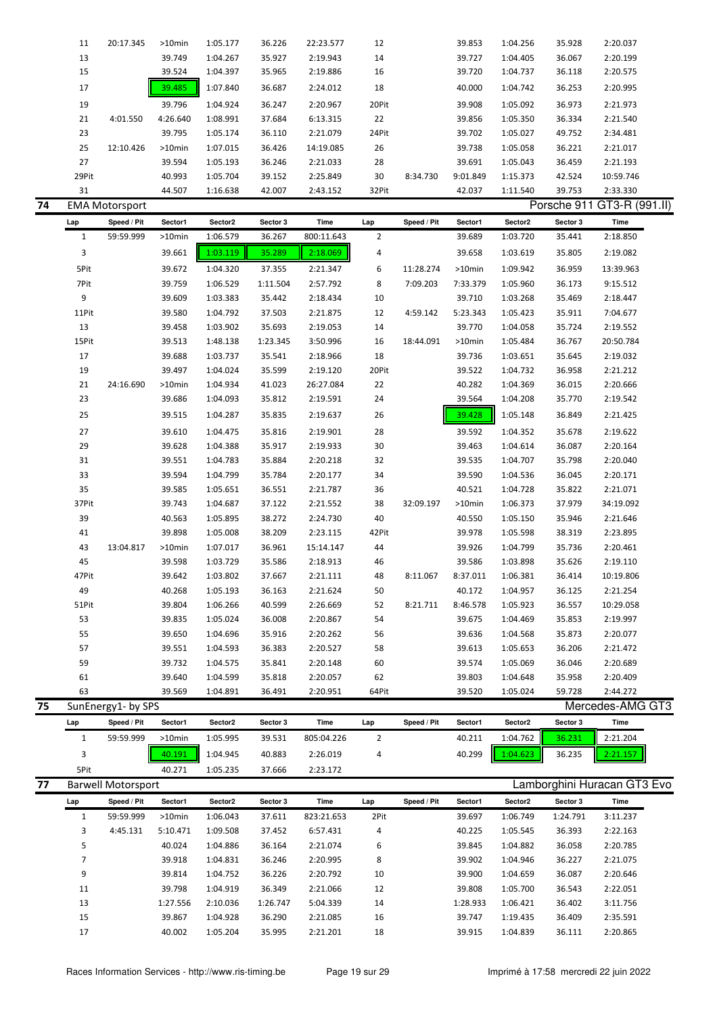|    | 11             | 20:17.345                 | >10min    | 1:05.177 | 36.226   | 22:23.577  | 12             |             | 39.853    | 1:04.256 | 35.928   | 2:20.037                    |
|----|----------------|---------------------------|-----------|----------|----------|------------|----------------|-------------|-----------|----------|----------|-----------------------------|
|    |                |                           |           |          |          |            |                |             |           |          |          | 2:20.199                    |
|    | 13             |                           | 39.749    | 1:04.267 | 35.927   | 2:19.943   | 14             |             | 39.727    | 1:04.405 | 36.067   |                             |
|    | 15             |                           | 39.524    | 1:04.397 | 35.965   | 2:19.886   | 16             |             | 39.720    | 1:04.737 | 36.118   | 2:20.575                    |
|    | 17             |                           | 39.485    | 1:07.840 | 36.687   | 2:24.012   | 18             |             | 40.000    | 1:04.742 | 36.253   | 2:20.995                    |
|    | 19             |                           | 39.796    | 1:04.924 | 36.247   | 2:20.967   | 20Pit          |             | 39.908    | 1:05.092 | 36.973   | 2:21.973                    |
|    | 21             | 4:01.550                  | 4:26.640  | 1:08.991 | 37.684   | 6:13.315   | 22             |             | 39.856    | 1:05.350 | 36.334   | 2:21.540                    |
|    | 23             |                           | 39.795    | 1:05.174 | 36.110   | 2:21.079   | 24Pit          |             | 39.702    | 1:05.027 | 49.752   | 2:34.481                    |
|    | 25             | 12:10.426                 | $>10$ min | 1:07.015 | 36.426   | 14:19.085  | 26             |             | 39.738    | 1:05.058 | 36.221   | 2:21.017                    |
|    |                |                           |           |          |          |            |                |             |           |          |          |                             |
|    | 27             |                           | 39.594    | 1:05.193 | 36.246   | 2:21.033   | 28             |             | 39.691    | 1:05.043 | 36.459   | 2:21.193                    |
|    | 29Pit          |                           | 40.993    | 1:05.704 | 39.152   | 2:25.849   | 30             | 8:34.730    | 9:01.849  | 1:15.373 | 42.524   | 10:59.746                   |
|    | 31             |                           | 44.507    | 1:16.638 | 42.007   | 2:43.152   | 32Pit          |             | 42.037    | 1:11.540 | 39.753   | 2:33.330                    |
| 74 |                | <b>EMA Motorsport</b>     |           |          |          |            |                |             |           |          |          | Porsche 911 GT3-R (991.II)  |
|    | Lap            | Speed / Pit               | Sector1   | Sector2  | Sector 3 | Time       | Lap            | Speed / Pit | Sector1   | Sector2  | Sector 3 | Time                        |
|    | $\mathbf{1}$   | 59:59.999                 | $>10$ min | 1:06.579 | 36.267   | 800:11.643 | $\mathbf 2$    |             | 39.689    | 1:03.720 | 35.441   | 2:18.850                    |
|    | 3              |                           | 39.661    | 1:03.119 | 35.289   | 2:18.069   | 4              |             | 39.658    | 1:03.619 | 35.805   | 2:19.082                    |
|    | 5Pit           |                           |           |          |          |            | 6              | 11:28.274   | $>10$ min |          |          |                             |
|    |                |                           | 39.672    | 1:04.320 | 37.355   | 2:21.347   |                |             |           | 1:09.942 | 36.959   | 13:39.963                   |
|    | 7Pit           |                           | 39.759    | 1:06.529 | 1:11.504 | 2:57.792   | 8              | 7:09.203    | 7:33.379  | 1:05.960 | 36.173   | 9:15.512                    |
|    | 9              |                           | 39.609    | 1:03.383 | 35.442   | 2:18.434   | 10             |             | 39.710    | 1:03.268 | 35.469   | 2:18.447                    |
|    | 11Pit          |                           | 39.580    | 1:04.792 | 37.503   | 2:21.875   | 12             | 4:59.142    | 5:23.343  | 1:05.423 | 35.911   | 7:04.677                    |
|    | 13             |                           | 39.458    | 1:03.902 | 35.693   | 2:19.053   | 14             |             | 39.770    | 1:04.058 | 35.724   | 2:19.552                    |
|    | 15Pit          |                           | 39.513    | 1:48.138 | 1:23.345 | 3:50.996   | 16             | 18:44.091   | >10min    | 1:05.484 | 36.767   | 20:50.784                   |
|    | 17             |                           | 39.688    | 1:03.737 | 35.541   | 2:18.966   | 18             |             | 39.736    | 1:03.651 | 35.645   | 2:19.032                    |
|    | 19             |                           | 39.497    | 1:04.024 | 35.599   | 2:19.120   | 20Pit          |             | 39.522    | 1:04.732 | 36.958   | 2:21.212                    |
|    | 21             | 24:16.690                 | >10min    | 1:04.934 | 41.023   | 26:27.084  | 22             |             | 40.282    | 1:04.369 | 36.015   | 2:20.666                    |
|    | 23             |                           | 39.686    | 1:04.093 | 35.812   | 2:19.591   | 24             |             | 39.564    | 1:04.208 | 35.770   | 2:19.542                    |
|    | 25             |                           | 39.515    | 1:04.287 |          |            | 26             |             |           | 1:05.148 | 36.849   |                             |
|    |                |                           |           |          | 35.835   | 2:19.637   |                |             | 39.428    |          |          | 2:21.425                    |
|    | 27             |                           | 39.610    | 1:04.475 | 35.816   | 2:19.901   | 28             |             | 39.592    | 1:04.352 | 35.678   | 2:19.622                    |
|    | 29             |                           | 39.628    | 1:04.388 | 35.917   | 2:19.933   | 30             |             | 39.463    | 1:04.614 | 36.087   | 2:20.164                    |
|    | 31             |                           | 39.551    | 1:04.783 | 35.884   | 2:20.218   | 32             |             | 39.535    | 1:04.707 | 35.798   | 2:20.040                    |
|    | 33             |                           | 39.594    | 1:04.799 | 35.784   | 2:20.177   | 34             |             | 39.590    | 1:04.536 | 36.045   | 2:20.171                    |
|    | 35             |                           | 39.585    | 1:05.651 | 36.551   | 2:21.787   | 36             |             | 40.521    | 1:04.728 | 35.822   | 2:21.071                    |
|    | 37Pit          |                           | 39.743    | 1:04.687 | 37.122   | 2:21.552   | 38             | 32:09.197   | $>10$ min | 1:06.373 | 37.979   | 34:19.092                   |
|    | 39             |                           | 40.563    | 1:05.895 | 38.272   | 2:24.730   | 40             |             | 40.550    | 1:05.150 | 35.946   | 2:21.646                    |
|    | 41             |                           | 39.898    | 1:05.008 | 38.209   | 2:23.115   | 42Pit          |             | 39.978    | 1:05.598 | 38.319   | 2:23.895                    |
|    | 43             | 13:04.817                 | >10min    | 1:07.017 | 36.961   | 15:14.147  | 44             |             | 39.926    | 1:04.799 | 35.736   | 2:20.461                    |
|    | 45             |                           |           |          |          |            |                |             | 39.586    |          |          |                             |
|    |                |                           | 39.598    | 1:03.729 | 35.586   | 2:18.913   | 46             |             |           | 1:03.898 | 35.626   | 2:19.110                    |
|    | 47Pit          |                           | 39.642    | 1:03.802 | 37.667   | 2:21.111   | 48             | 8:11.067    | 8:37.011  | 1:06.381 | 36.414   | 10:19.806                   |
|    | 49             |                           | 40.268    | 1:05.193 | 36.163   | 2:21.624   | 50             |             | 40.172    | 1:04.957 | 36.125   | 2:21.254                    |
|    | 51Pit          |                           | 39.804    | 1:06.266 | 40.599   | 2:26.669   | 52             | 8:21.711    | 8:46.578  | 1:05.923 | 36.557   | 10:29.058                   |
|    | 53             |                           | 39.835    | 1:05.024 | 36.008   | 2:20.867   | 54             |             | 39.675    | 1:04.469 | 35.853   | 2:19.997                    |
|    | 55             |                           | 39.650    | 1:04.696 | 35.916   | 2:20.262   | 56             |             | 39.636    | 1:04.568 | 35.873   | 2:20.077                    |
|    | 57             |                           | 39.551    | 1:04.593 | 36.383   | 2:20.527   | 58             |             | 39.613    | 1:05.653 | 36.206   | 2:21.472                    |
|    | 59             |                           | 39.732    | 1:04.575 | 35.841   | 2:20.148   | 60             |             | 39.574    | 1:05.069 | 36.046   | 2:20.689                    |
|    | 61             |                           | 39.640    | 1:04.599 | 35.818   | 2:20.057   | 62             |             | 39.803    | 1:04.648 | 35.958   | 2:20.409                    |
|    | 63             |                           | 39.569    | 1:04.891 | 36.491   | 2:20.951   | 64Pit          |             | 39.520    | 1:05.024 | 59.728   | 2:44.272                    |
| 75 |                | SunEnergy1- by SPS        |           |          |          |            |                |             |           |          |          | Mercedes-AMG GT3            |
|    |                | Speed / Pit               | Sector1   | Sector2  | Sector 3 | Time       | Lap            | Speed / Pit | Sector1   | Sector2  | Sector 3 | Time                        |
|    | Lap            |                           |           |          |          |            |                |             |           |          |          |                             |
|    | $\mathbf{1}$   | 59:59.999                 | >10min    | 1:05.995 | 39.531   | 805:04.226 | $\overline{2}$ |             | 40.211    | 1:04.762 | 36.231   | 2:21.204                    |
|    | 3              |                           | 40.191    | 1:04.945 | 40.883   | 2:26.019   | 4              |             | 40.299    | 1:04.623 | 36.235   | 2:21.157                    |
|    | 5Pit           |                           | 40.271    | 1:05.235 | 37.666   | 2:23.172   |                |             |           |          |          |                             |
| 77 |                | <b>Barwell Motorsport</b> |           |          |          |            |                |             |           |          |          | Lamborghini Huracan GT3 Evo |
|    | Lap            | Speed / Pit               | Sector1   | Sector2  | Sector 3 | Time       | Lap            | Speed / Pit | Sector1   | Sector2  | Sector 3 | Time                        |
|    | $\mathbf{1}$   | 59:59.999                 | >10min    | 1:06.043 | 37.611   | 823:21.653 | 2Pit           |             | 39.697    | 1:06.749 | 1:24.791 | 3:11.237                    |
|    | 3              | 4:45.131                  | 5:10.471  | 1:09.508 | 37.452   | 6:57.431   | 4              |             | 40.225    | 1:05.545 | 36.393   | 2:22.163                    |
|    | 5              |                           | 40.024    | 1:04.886 | 36.164   | 2:21.074   | 6              |             | 39.845    | 1:04.882 | 36.058   | 2:20.785                    |
|    | $\overline{7}$ |                           | 39.918    | 1:04.831 | 36.246   | 2:20.995   | 8              |             | 39.902    | 1:04.946 | 36.227   | 2:21.075                    |
|    | 9              |                           | 39.814    | 1:04.752 | 36.226   | 2:20.792   | 10             |             | 39.900    | 1:04.659 | 36.087   | 2:20.646                    |
|    | 11             |                           | 39.798    | 1:04.919 | 36.349   | 2:21.066   | 12             |             | 39.808    | 1:05.700 | 36.543   | 2:22.051                    |
|    | 13             |                           | 1:27.556  | 2:10.036 | 1:26.747 | 5:04.339   | 14             |             | 1:28.933  | 1:06.421 | 36.402   | 3:11.756                    |
|    |                |                           | 39.867    | 1:04.928 |          |            |                |             |           |          | 36.409   |                             |
|    | 15             |                           |           |          | 36.290   | 2:21.085   | 16             |             | 39.747    | 1:19.435 |          | 2:35.591                    |
|    | 17             |                           | 40.002    | 1:05.204 | 35.995   | 2:21.201   | 18             |             | 39.915    | 1:04.839 | 36.111   | 2:20.865                    |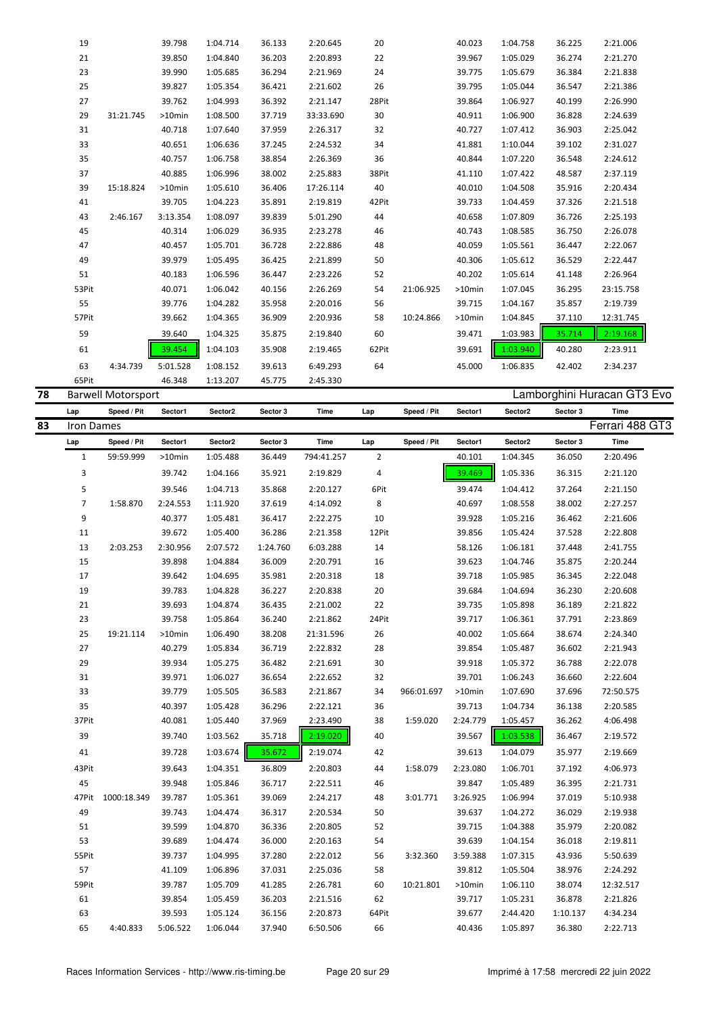| 19    |           | 39.798    | 1:04.714 | 36.133 | 2:20.645  | 20    |           | 40.023    | 1:04.758 | 36.225 | 2:21.006  |
|-------|-----------|-----------|----------|--------|-----------|-------|-----------|-----------|----------|--------|-----------|
| 21    |           | 39.850    | 1:04.840 | 36.203 | 2:20.893  | 22    |           | 39.967    | 1:05.029 | 36.274 | 2:21.270  |
| 23    |           | 39.990    | 1:05.685 | 36.294 | 2:21.969  | 24    |           | 39.775    | 1:05.679 | 36.384 | 2:21.838  |
| 25    |           | 39.827    | 1:05.354 | 36.421 | 2:21.602  | 26    |           | 39.795    | 1:05.044 | 36.547 | 2:21.386  |
| 27    |           | 39.762    | 1:04.993 | 36.392 | 2:21.147  | 28Pit |           | 39.864    | 1:06.927 | 40.199 | 2:26.990  |
| 29    | 31:21.745 | $>10$ min | 1:08.500 | 37.719 | 33:33.690 | 30    |           | 40.911    | 1:06.900 | 36.828 | 2:24.639  |
| 31    |           | 40.718    | 1:07.640 | 37.959 | 2:26.317  | 32    |           | 40.727    | 1:07.412 | 36.903 | 2:25.042  |
| 33    |           | 40.651    | 1:06.636 | 37.245 | 2:24.532  | 34    |           | 41.881    | 1:10.044 | 39.102 | 2:31.027  |
| 35    |           | 40.757    | 1:06.758 | 38.854 | 2:26.369  | 36    |           | 40.844    | 1:07.220 | 36.548 | 2:24.612  |
| 37    |           | 40.885    | 1:06.996 | 38.002 | 2:25.883  | 38Pit |           | 41.110    | 1:07.422 | 48.587 | 2:37.119  |
| 39    | 15:18.824 | $>10$ min | 1:05.610 | 36.406 | 17:26.114 | 40    |           | 40.010    | 1:04.508 | 35.916 | 2:20.434  |
| 41    |           | 39.705    | 1:04.223 | 35.891 | 2:19.819  | 42Pit |           | 39.733    | 1:04.459 | 37.326 | 2:21.518  |
| 43    | 2:46.167  | 3:13.354  | 1:08.097 | 39.839 | 5:01.290  | 44    |           | 40.658    | 1:07.809 | 36.726 | 2:25.193  |
| 45    |           | 40.314    | 1:06.029 | 36.935 | 2:23.278  | 46    |           | 40.743    | 1:08.585 | 36.750 | 2:26.078  |
| 47    |           | 40.457    | 1:05.701 | 36.728 | 2:22.886  | 48    |           | 40.059    | 1:05.561 | 36.447 | 2:22.067  |
| 49    |           | 39.979    | 1:05.495 | 36.425 | 2:21.899  | 50    |           | 40.306    | 1:05.612 | 36.529 | 2:22.447  |
| 51    |           | 40.183    | 1:06.596 | 36.447 | 2:23.226  | 52    |           | 40.202    | 1:05.614 | 41.148 | 2:26.964  |
| 53Pit |           | 40.071    | 1:06.042 | 40.156 | 2:26.269  | 54    | 21:06.925 | $>10$ min | 1:07.045 | 36.295 | 23:15.758 |
| 55    |           | 39.776    | 1:04.282 | 35.958 | 2:20.016  | 56    |           | 39.715    | 1:04.167 | 35.857 | 2:19.739  |
| 57Pit |           | 39.662    | 1:04.365 | 36.909 | 2:20.936  | 58    | 10:24.866 | >10min    | 1:04.845 | 37.110 | 12:31.745 |
| 59    |           | 39.640    | 1:04.325 | 35.875 | 2:19.840  | 60    |           | 39.471    | 1:03.983 | 35.714 | 2:19.168  |
| 61    |           | 39.454    | 1:04.103 | 35.908 | 2:19.465  | 62Pit |           | 39.691    | 1:03.940 | 40.280 | 2:23.911  |
| 63    | 4:34.739  | 5:01.528  | 1:08.152 | 39.613 | 6:49.293  | 64    |           | 45.000    | 1:06.835 | 42.402 | 2:34.237  |
| 65Pit |           | 46.348    | 1:13.207 | 45.775 | 2:45.330  |       |           |           |          |        |           |

| 78 |                | <b>Barwell Motorsport</b> |          |          |          |            |       |             |          |          |          | Lamborghini Huracan GT3 Evo |
|----|----------------|---------------------------|----------|----------|----------|------------|-------|-------------|----------|----------|----------|-----------------------------|
|    | Lap            | Speed / Pit               | Sector1  | Sector2  | Sector 3 | Time       | Lap   | Speed / Pit | Sector1  | Sector2  | Sector 3 | Time                        |
| 83 | Iron Dames     |                           |          |          |          |            |       |             |          |          |          | Ferrari 488 GT3             |
|    | Lap            | Speed / Pit               | Sector1  | Sector2  | Sector 3 | Time       | Lap   | Speed / Pit | Sector1  | Sector2  | Sector 3 | Time                        |
|    | $\mathbf{1}$   | 59:59.999                 | >10min   | 1:05.488 | 36.449   | 794:41.257 | 2     |             | 40.101   | 1:04.345 | 36.050   | 2:20.496                    |
|    | 3              |                           | 39.742   | 1:04.166 | 35.921   | 2:19.829   | 4     |             | 39.469   | 1:05.336 | 36.315   | 2:21.120                    |
|    | 5              |                           | 39.546   | 1:04.713 | 35.868   | 2:20.127   | 6Pit  |             | 39.474   | 1:04.412 | 37.264   | 2:21.150                    |
|    | $\overline{7}$ | 1:58.870                  | 2:24.553 | 1:11.920 | 37.619   | 4:14.092   | 8     |             | 40.697   | 1:08.558 | 38.002   | 2:27.257                    |
|    | 9              |                           | 40.377   | 1:05.481 | 36.417   | 2:22.275   | 10    |             | 39.928   | 1:05.216 | 36.462   | 2:21.606                    |
|    | 11             |                           | 39.672   | 1:05.400 | 36.286   | 2:21.358   | 12Pit |             | 39.856   | 1:05.424 | 37.528   | 2:22.808                    |
|    | 13             | 2:03.253                  | 2:30.956 | 2:07.572 | 1:24.760 | 6:03.288   | 14    |             | 58.126   | 1:06.181 | 37.448   | 2:41.755                    |
|    | 15             |                           | 39.898   | 1:04.884 | 36.009   | 2:20.791   | 16    |             | 39.623   | 1:04.746 | 35.875   | 2:20.244                    |
|    | 17             |                           | 39.642   | 1:04.695 | 35.981   | 2:20.318   | 18    |             | 39.718   | 1:05.985 | 36.345   | 2:22.048                    |
|    | 19             |                           | 39.783   | 1:04.828 | 36.227   | 2:20.838   | 20    |             | 39.684   | 1:04.694 | 36.230   | 2:20.608                    |
|    | 21             |                           | 39.693   | 1:04.874 | 36.435   | 2:21.002   | 22    |             | 39.735   | 1:05.898 | 36.189   | 2:21.822                    |
|    | 23             |                           | 39.758   | 1:05.864 | 36.240   | 2:21.862   | 24Pit |             | 39.717   | 1:06.361 | 37.791   | 2:23.869                    |
|    | 25             | 19:21.114                 | >10min   | 1:06.490 | 38.208   | 21:31.596  | 26    |             | 40.002   | 1:05.664 | 38.674   | 2:24.340                    |
|    | 27             |                           | 40.279   | 1:05.834 | 36.719   | 2:22.832   | 28    |             | 39.854   | 1:05.487 | 36.602   | 2:21.943                    |
|    | 29             |                           | 39.934   | 1:05.275 | 36.482   | 2:21.691   | 30    |             | 39.918   | 1:05.372 | 36.788   | 2:22.078                    |
|    | 31             |                           | 39.971   | 1:06.027 | 36.654   | 2:22.652   | 32    |             | 39.701   | 1:06.243 | 36.660   | 2:22.604                    |
|    | 33             |                           | 39.779   | 1:05.505 | 36.583   | 2:21.867   | 34    | 966:01.697  | >10min   | 1:07.690 | 37.696   | 72:50.575                   |
|    | 35             |                           | 40.397   | 1:05.428 | 36.296   | 2:22.121   | 36    |             | 39.713   | 1:04.734 | 36.138   | 2:20.585                    |
|    | 37Pit          |                           | 40.081   | 1:05.440 | 37.969   | 2:23.490   | 38    | 1:59.020    | 2:24.779 | 1:05.457 | 36.262   | 4:06.498                    |
|    | 39             |                           | 39.740   | 1:03.562 | 35.718   | 2:19.020   | 40    |             | 39.567   | 1:03.538 | 36.467   | 2:19.572                    |
|    | 41             |                           | 39.728   | 1:03.674 | 35.672   | 2:19.074   | 42    |             | 39.613   | 1:04.079 | 35.977   | 2:19.669                    |
|    | 43Pit          |                           | 39.643   | 1:04.351 | 36.809   | 2:20.803   | 44    | 1:58.079    | 2:23.080 | 1:06.701 | 37.192   | 4:06.973                    |
|    | 45             |                           | 39.948   | 1:05.846 | 36.717   | 2:22.511   | 46    |             | 39.847   | 1:05.489 | 36.395   | 2:21.731                    |
|    | 47Pit          | 1000:18.349               | 39.787   | 1:05.361 | 39.069   | 2:24.217   | 48    | 3:01.771    | 3:26.925 | 1:06.994 | 37.019   | 5:10.938                    |
|    | 49             |                           | 39.743   | 1:04.474 | 36.317   | 2:20.534   | 50    |             | 39.637   | 1:04.272 | 36.029   | 2:19.938                    |
|    | 51             |                           | 39.599   | 1:04.870 | 36.336   | 2:20.805   | 52    |             | 39.715   | 1:04.388 | 35.979   | 2:20.082                    |
|    | 53             |                           | 39.689   | 1:04.474 | 36.000   | 2:20.163   | 54    |             | 39.639   | 1:04.154 | 36.018   | 2:19.811                    |
|    | 55Pit          |                           | 39.737   | 1:04.995 | 37.280   | 2:22.012   | 56    | 3:32.360    | 3:59.388 | 1:07.315 | 43.936   | 5:50.639                    |
|    | 57             |                           | 41.109   | 1:06.896 | 37.031   | 2:25.036   | 58    |             | 39.812   | 1:05.504 | 38.976   | 2:24.292                    |
|    | 59Pit          |                           | 39.787   | 1:05.709 | 41.285   | 2:26.781   | 60    | 10:21.801   | >10min   | 1:06.110 | 38.074   | 12:32.517                   |
|    | 61             |                           | 39.854   | 1:05.459 | 36.203   | 2:21.516   | 62    |             | 39.717   | 1:05.231 | 36.878   | 2:21.826                    |
|    | 63             |                           | 39.593   | 1:05.124 | 36.156   | 2:20.873   | 64Pit |             | 39.677   | 2:44.420 | 1:10.137 | 4:34.234                    |
|    | 65             | 4:40.833                  | 5:06.522 | 1:06.044 | 37.940   | 6:50.506   | 66    |             | 40.436   | 1:05.897 | 36.380   | 2:22.713                    |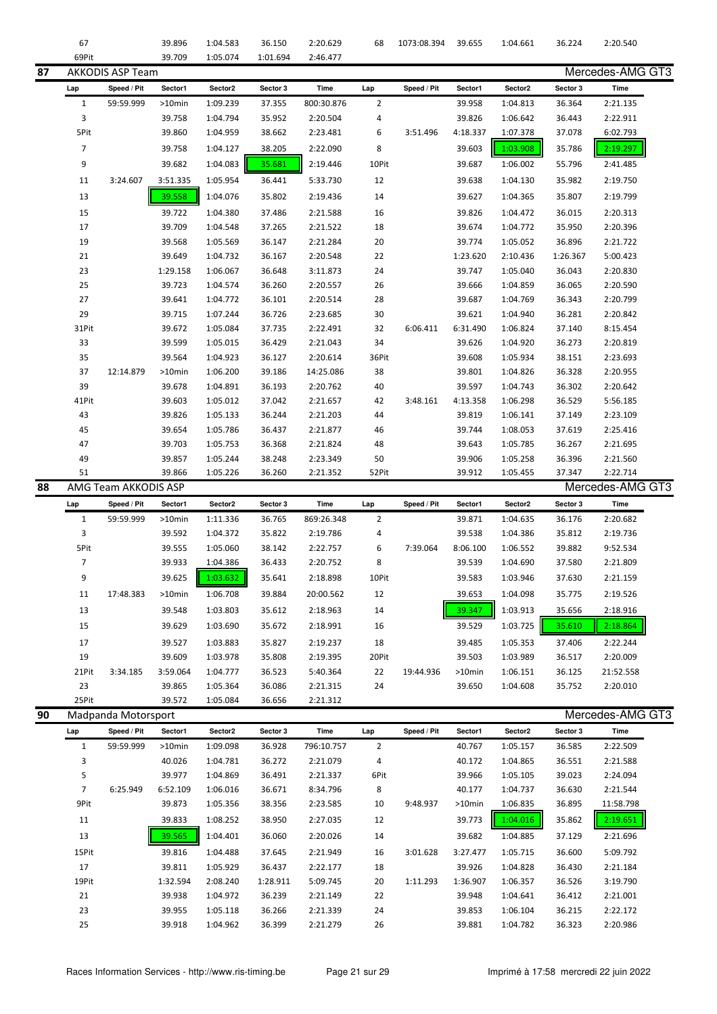|    | 67             |                         | 39.896   | 1:04.583 | 36.150   | 2:20.629    | 68             | 1073:08.394 | 39.655   | 1:04.661 | 36.224   | 2:20.540         |
|----|----------------|-------------------------|----------|----------|----------|-------------|----------------|-------------|----------|----------|----------|------------------|
|    | 69Pit          |                         | 39.709   | 1:05.074 | 1:01.694 | 2:46.477    |                |             |          |          |          |                  |
| 87 |                | <b>AKKODIS ASP Team</b> |          |          |          |             |                |             |          |          |          | Mercedes-AMG GT3 |
|    |                | Speed / Pit             | Sector1  | Sector2  | Sector 3 | <b>Time</b> | Lap            | Speed / Pit | Sector1  | Sector2  | Sector 3 | Time             |
|    | Lap            |                         |          |          |          |             |                |             |          |          |          |                  |
|    | $1\,$          | 59:59.999               | >10min   | 1:09.239 | 37.355   | 800:30.876  | $\overline{2}$ |             | 39.958   | 1:04.813 | 36.364   | 2:21.135         |
|    | 3              |                         | 39.758   | 1:04.794 | 35.952   | 2:20.504    | 4              |             | 39.826   | 1:06.642 | 36.443   | 2:22.911         |
|    | 5Pit           |                         | 39.860   | 1:04.959 | 38.662   | 2:23.481    | 6              | 3:51.496    | 4:18.337 | 1:07.378 | 37.078   | 6:02.793         |
|    | $\overline{7}$ |                         | 39.758   | 1:04.127 | 38.205   | 2:22.090    | 8              |             | 39.603   | 1:03.908 | 35.786   | 2:19.297         |
|    | 9              |                         | 39.682   | 1:04.083 | 35.681   | 2:19.446    | 10Pit          |             | 39.687   | 1:06.002 | 55.796   | 2:41.485         |
|    | 11             | 3:24.607                | 3:51.335 | 1:05.954 | 36.441   | 5:33.730    | 12             |             | 39.638   | 1:04.130 | 35.982   | 2:19.750         |
|    | 13             |                         | 39.558   | 1:04.076 | 35.802   | 2:19.436    | 14             |             | 39.627   | 1:04.365 | 35.807   | 2:19.799         |
|    | 15             |                         | 39.722   | 1:04.380 | 37.486   | 2:21.588    | 16             |             | 39.826   | 1:04.472 | 36.015   | 2:20.313         |
|    | 17             |                         | 39.709   | 1:04.548 | 37.265   | 2:21.522    | 18             |             | 39.674   | 1:04.772 | 35.950   | 2:20.396         |
|    | 19             |                         | 39.568   | 1:05.569 |          |             | 20             |             | 39.774   | 1:05.052 | 36.896   |                  |
|    |                |                         |          |          | 36.147   | 2:21.284    |                |             |          |          |          | 2:21.722         |
|    | 21             |                         | 39.649   | 1:04.732 | 36.167   | 2:20.548    | 22             |             | 1:23.620 | 2:10.436 | 1:26.367 | 5:00.423         |
|    | 23             |                         | 1:29.158 | 1:06.067 | 36.648   | 3:11.873    | 24             |             | 39.747   | 1:05.040 | 36.043   | 2:20.830         |
|    | 25             |                         | 39.723   | 1:04.574 | 36.260   | 2:20.557    | 26             |             | 39.666   | 1:04.859 | 36.065   | 2:20.590         |
|    | 27             |                         | 39.641   | 1:04.772 | 36.101   | 2:20.514    | 28             |             | 39.687   | 1:04.769 | 36.343   | 2:20.799         |
|    | 29             |                         | 39.715   | 1:07.244 | 36.726   | 2:23.685    | 30             |             | 39.621   | 1:04.940 | 36.281   | 2:20.842         |
|    | 31Pit          |                         | 39.672   | 1:05.084 | 37.735   | 2:22.491    | 32             | 6:06.411    | 6:31.490 | 1:06.824 | 37.140   | 8:15.454         |
|    | 33             |                         | 39.599   | 1:05.015 | 36.429   | 2:21.043    | 34             |             | 39.626   | 1:04.920 | 36.273   | 2:20.819         |
|    | 35             |                         | 39.564   | 1:04.923 | 36.127   | 2:20.614    | 36Pit          |             | 39.608   | 1:05.934 | 38.151   | 2:23.693         |
|    | 37             | 12:14.879               | >10min   | 1:06.200 | 39.186   | 14:25.086   | 38             |             | 39.801   | 1:04.826 | 36.328   | 2:20.955         |
|    | 39             |                         | 39.678   | 1:04.891 | 36.193   | 2:20.762    | 40             |             | 39.597   | 1:04.743 | 36.302   | 2:20.642         |
|    | 41Pit          |                         | 39.603   | 1:05.012 | 37.042   | 2:21.657    | 42             | 3:48.161    | 4:13.358 | 1:06.298 | 36.529   | 5:56.185         |
|    | 43             |                         | 39.826   | 1:05.133 | 36.244   | 2:21.203    | 44             |             | 39.819   | 1:06.141 | 37.149   | 2:23.109         |
|    | 45             |                         | 39.654   | 1:05.786 | 36.437   | 2:21.877    | 46             |             | 39.744   | 1:08.053 | 37.619   | 2:25.416         |
|    | 47             |                         | 39.703   | 1:05.753 | 36.368   | 2:21.824    | 48             |             | 39.643   | 1:05.785 | 36.267   | 2:21.695         |
|    | 49             |                         | 39.857   | 1:05.244 | 38.248   | 2:23.349    | 50             |             | 39.906   | 1:05.258 | 36.396   | 2:21.560         |
|    | 51             |                         | 39.866   | 1:05.226 | 36.260   | 2:21.352    | 52Pit          |             | 39.912   | 1:05.455 | 37.347   | 2:22.714         |
|    |                |                         |          |          |          |             |                |             |          |          |          |                  |
| 88 |                | AMG Team AKKODIS ASP    |          |          |          |             |                |             |          |          |          | Mercedes-AMG GT3 |
|    | Lap            | Speed / Pit             | Sector1  | Sector2  | Sector 3 | <b>Time</b> | Lap            | Speed / Pit | Sector1  | Sector2  | Sector 3 | Time             |
|    | $\mathbf 1$    | 59:59.999               | >10min   | 1:11.336 | 36.765   | 869:26.348  | $\overline{2}$ |             | 39.871   | 1:04.635 | 36.176   | 2:20.682         |
|    |                |                         |          |          |          |             |                |             |          |          |          |                  |
|    | 3              |                         | 39.592   | 1:04.372 | 35.822   | 2:19.786    | 4              |             | 39.538   | 1:04.386 | 35.812   | 2:19.736         |
|    | 5Pit           |                         | 39.555   | 1:05.060 | 38.142   | 2:22.757    | 6              | 7:39.064    | 8:06.100 | 1:06.552 | 39.882   | 9:52.534         |
|    | $\overline{7}$ |                         | 39.933   | 1:04.386 | 36.433   | 2:20.752    | 8              |             | 39.539   | 1:04.690 | 37.580   | 2:21.809         |
|    | 9              |                         | 39.625   | 1:03.632 | 35.641   | 2:18.898    | 10Pit          |             | 39.583   | 1:03.946 | 37.630   | 2:21.159         |
|    | 11             | 17:48.383               | >10min   | 1:06.708 | 39.884   | 20:00.562   | 12             |             | 39.653   | 1:04.098 | 35.775   | 2:19.526         |
|    | 13             |                         | 39.548   | 1:03.803 | 35.612   | 2:18.963    | 14             |             | 39.347   | 1:03.913 | 35.656   | 2:18.916         |
|    | 15             |                         | 39.629   | 1:03.690 | 35.672   | 2:18.991    | 16             |             | 39.529   | 1:03.725 | 35.610   | 2:18.864         |
|    | 17             |                         | 39.527   | 1:03.883 | 35.827   | 2:19.237    | 18             |             | 39.485   | 1:05.353 | 37.406   | 2:22.244         |
|    | 19             |                         | 39.609   | 1:03.978 | 35.808   | 2:19.395    | 20Pit          |             | 39.503   | 1:03.989 | 36.517   | 2:20.009         |
|    | 21Pit          | 3:34.185                | 3:59.064 | 1:04.777 | 36.523   | 5:40.364    | 22             | 19:44.936   | >10min   | 1:06.151 | 36.125   | 21:52.558        |
|    | 23             |                         | 39.865   | 1:05.364 | 36.086   | 2:21.315    | 24             |             | 39.650   | 1:04.608 | 35.752   | 2:20.010         |
|    | 25Pit          |                         | 39.572   | 1:05.084 | 36.656   | 2:21.312    |                |             |          |          |          |                  |
| 90 |                |                         |          |          |          |             |                |             |          |          |          |                  |
|    |                | Madpanda Motorsport     |          |          |          |             |                |             |          |          |          | Mercedes-AMG GT3 |
|    | Lap            | Speed / Pit             | Sector1  | Sector2  | Sector 3 | Time        | Lap            | Speed / Pit | Sector1  | Sector2  | Sector 3 | Time             |
|    | $\mathbf{1}$   | 59:59.999               | >10min   | 1:09.098 | 36.928   | 796:10.757  | $\overline{2}$ |             | 40.767   | 1:05.157 | 36.585   | 2:22.509         |
|    | 3              |                         | 40.026   | 1:04.781 | 36.272   | 2:21.079    | 4              |             | 40.172   | 1:04.865 | 36.551   | 2:21.588         |
|    | 5              |                         | 39.977   | 1:04.869 | 36.491   | 2:21.337    | 6Pit           |             | 39.966   | 1:05.105 | 39.023   | 2:24.094         |
|    | $\overline{7}$ | 6:25.949                | 6:52.109 | 1:06.016 | 36.671   | 8:34.796    | 8              |             | 40.177   | 1:04.737 | 36.630   | 2:21.544         |
|    | 9Pit           |                         | 39.873   | 1:05.356 | 38.356   | 2:23.585    | 10             | 9:48.937    | >10min   | 1:06.835 | 36.895   | 11:58.798        |
|    | 11             |                         | 39.833   | 1:08.252 | 38.950   | 2:27.035    | 12             |             | 39.773   | 1:04.016 | 35.862   | 2:19.651         |
|    | 13             |                         | 39.565   | 1:04.401 | 36.060   | 2:20.026    | 14             |             | 39.682   | 1:04.885 | 37.129   | 2:21.696         |
|    | 15Pit          |                         | 39.816   | 1:04.488 | 37.645   | 2:21.949    | 16             | 3:01.628    | 3:27.477 | 1:05.715 | 36.600   | 5:09.792         |
|    | 17             |                         | 39.811   | 1:05.929 | 36.437   | 2:22.177    | 18             |             | 39.926   | 1:04.828 | 36.430   | 2:21.184         |
|    | 19Pit          |                         | 1:32.594 | 2:08.240 | 1:28.911 | 5:09.745    | 20             | 1:11.293    | 1:36.907 | 1:06.357 | 36.526   | 3:19.790         |
|    | 21             |                         | 39.938   | 1:04.972 | 36.239   | 2:21.149    | 22             |             | 39.948   | 1:04.641 | 36.412   | 2:21.001         |
|    | 23             |                         | 39.955   | 1:05.118 | 36.266   | 2:21.339    | 24             |             | 39.853   | 1:06.104 | 36.215   | 2:22.172         |
|    | 25             |                         | 39.918   | 1:04.962 | 36.399   | 2:21.279    | 26             |             | 39.881   | 1:04.782 | 36.323   | 2:20.986         |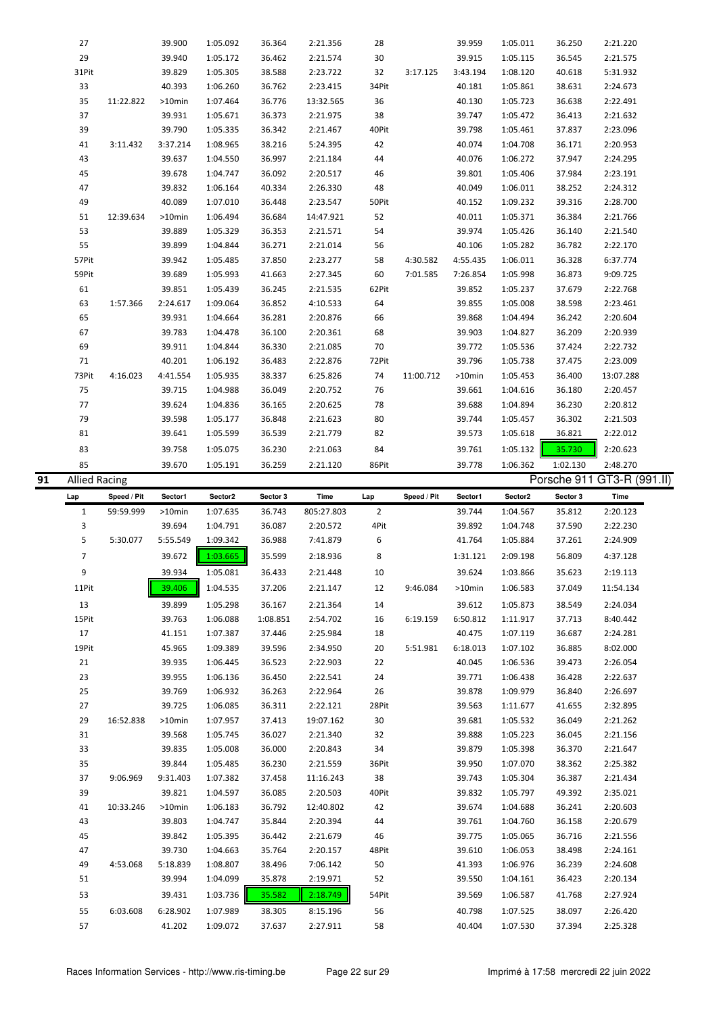|    | 27                   |             | 39.900             | 1:05.092             | 36.364           | 2:21.356             | 28             |             | 39.959           | 1:05.011             | 36.250           | 2:21.220                   |  |
|----|----------------------|-------------|--------------------|----------------------|------------------|----------------------|----------------|-------------|------------------|----------------------|------------------|----------------------------|--|
|    | 29                   |             | 39.940             | 1:05.172             | 36.462           | 2:21.574             | 30             |             | 39.915           | 1:05.115             | 36.545           | 2:21.575                   |  |
|    | 31Pit                |             | 39.829             | 1:05.305             | 38.588           | 2:23.722             | 32             | 3:17.125    | 3:43.194         | 1:08.120             | 40.618           | 5:31.932                   |  |
|    | 33                   |             | 40.393             | 1:06.260             | 36.762           | 2:23.415             | 34Pit          |             | 40.181           | 1:05.861             | 38.631           | 2:24.673                   |  |
|    | 35                   | 11:22.822   | >10min             | 1:07.464             | 36.776           | 13:32.565            | 36             |             | 40.130           | 1:05.723             | 36.638           | 2:22.491                   |  |
|    | 37                   |             | 39.931             | 1:05.671             | 36.373           | 2:21.975             | 38             |             | 39.747           | 1:05.472             | 36.413           | 2:21.632                   |  |
|    | 39                   |             | 39.790             | 1:05.335             | 36.342           | 2:21.467             | 40Pit          |             | 39.798           | 1:05.461             | 37.837           | 2:23.096                   |  |
|    | 41                   | 3:11.432    | 3:37.214           | 1:08.965             | 38.216           | 5:24.395             | 42             |             | 40.074           | 1:04.708             | 36.171           | 2:20.953                   |  |
|    | 43                   |             | 39.637             | 1:04.550             | 36.997           | 2:21.184             | 44             |             | 40.076           | 1:06.272             | 37.947           | 2:24.295                   |  |
|    | 45                   |             | 39.678             | 1:04.747             | 36.092           | 2:20.517             | 46             |             | 39.801           | 1:05.406             | 37.984           | 2:23.191                   |  |
|    | 47                   |             | 39.832             |                      |                  |                      |                |             |                  |                      |                  |                            |  |
|    |                      |             |                    | 1:06.164             | 40.334           | 2:26.330             | 48             |             | 40.049           | 1:06.011             | 38.252           | 2:24.312                   |  |
|    | 49                   |             | 40.089             | 1:07.010             | 36.448           | 2:23.547             | 50Pit          |             | 40.152           | 1:09.232             | 39.316           | 2:28.700                   |  |
|    | 51                   | 12:39.634   | >10min             | 1:06.494             | 36.684           | 14:47.921            | 52             |             | 40.011           | 1:05.371             | 36.384           | 2:21.766                   |  |
|    | 53                   |             | 39.889             | 1:05.329             | 36.353           | 2:21.571             | 54             |             | 39.974           | 1:05.426             | 36.140           | 2:21.540                   |  |
|    | 55                   |             | 39.899             | 1:04.844             | 36.271           | 2:21.014             | 56             |             | 40.106           | 1:05.282             | 36.782           | 2:22.170                   |  |
|    | 57Pit                |             | 39.942             | 1:05.485             | 37.850           | 2:23.277             | 58             | 4:30.582    | 4:55.435         | 1:06.011             | 36.328           | 6:37.774                   |  |
|    | 59Pit                |             | 39.689             | 1:05.993             | 41.663           | 2:27.345             | 60             | 7:01.585    | 7:26.854         | 1:05.998             | 36.873           | 9:09.725                   |  |
|    | 61                   |             | 39.851             | 1:05.439             | 36.245           | 2:21.535             | 62Pit          |             | 39.852           | 1:05.237             | 37.679           | 2:22.768                   |  |
|    | 63                   | 1:57.366    | 2:24.617           | 1:09.064             | 36.852           | 4:10.533             | 64             |             | 39.855           | 1:05.008             | 38.598           | 2:23.461                   |  |
|    | 65                   |             | 39.931             | 1:04.664             | 36.281           | 2:20.876             | 66             |             | 39.868           | 1:04.494             | 36.242           | 2:20.604                   |  |
|    | 67                   |             | 39.783             | 1:04.478             | 36.100           | 2:20.361             | 68             |             | 39.903           | 1:04.827             | 36.209           | 2:20.939                   |  |
|    | 69                   |             | 39.911             | 1:04.844             | 36.330           | 2:21.085             | 70             |             | 39.772           | 1:05.536             | 37.424           | 2:22.732                   |  |
|    | 71                   |             | 40.201             | 1:06.192             | 36.483           | 2:22.876             | 72Pit          |             | 39.796           | 1:05.738             | 37.475           | 2:23.009                   |  |
|    | 73Pit                | 4:16.023    | 4:41.554           | 1:05.935             | 38.337           | 6:25.826             | 74             | 11:00.712   | >10min           | 1:05.453             | 36.400           | 13:07.288                  |  |
|    | 75                   |             | 39.715             | 1:04.988             | 36.049           | 2:20.752             | 76             |             | 39.661           | 1:04.616             | 36.180           | 2:20.457                   |  |
|    | 77                   |             | 39.624             | 1:04.836             | 36.165           | 2:20.625             | 78             |             | 39.688           | 1:04.894             | 36.230           | 2:20.812                   |  |
|    | 79                   |             | 39.598             | 1:05.177             | 36.848           | 2:21.623             | 80             |             | 39.744           | 1:05.457             | 36.302           | 2:21.503                   |  |
|    | 81                   |             | 39.641             | 1:05.599             | 36.539           | 2:21.779             | 82             |             | 39.573           | 1:05.618             | 36.821           | 2:22.012                   |  |
|    | 83                   |             | 39.758             | 1:05.075             | 36.230           | 2:21.063             | 84             |             | 39.761           | 1:05.132             | 35.730           | 2:20.623                   |  |
|    | 85                   |             | 39.670             | 1:05.191             | 36.259           | 2:21.120             | 86Pit          |             | 39.778           | 1:06.362             | 1:02.130         | 2:48.270                   |  |
| 91 | <b>Allied Racing</b> |             |                    |                      |                  |                      |                |             |                  |                      |                  | Porsche 911 GT3-R (991.II) |  |
|    |                      |             |                    |                      |                  |                      |                |             |                  |                      |                  |                            |  |
|    |                      |             |                    |                      |                  |                      |                |             |                  |                      |                  |                            |  |
|    | Lap                  | Speed / Pit | Sector1            | Sector2              | Sector 3         | Time                 | Lap            | Speed / Pit | Sector1          | Sector2              | Sector 3         | Time                       |  |
|    | $\mathbf{1}$         | 59:59.999   | $>10$ min          | 1:07.635             | 36.743           | 805:27.803           | $\overline{2}$ |             | 39.744           | 1:04.567             | 35.812           | 2:20.123                   |  |
|    | 3                    |             | 39.694             | 1:04.791             | 36.087           | 2:20.572             | 4Pit           |             | 39.892           | 1:04.748             | 37.590           | 2:22.230                   |  |
|    | 5                    | 5:30.077    | 5:55.549           | 1:09.342             | 36.988           | 7:41.879             | 6              |             | 41.764           | 1:05.884             | 37.261           | 2:24.909                   |  |
|    | $\overline{7}$       |             | 39.672             | 1:03.665             | 35.599           | 2:18.936             | 8              |             | 1:31.121         | 2:09.198             | 56.809           | 4:37.128                   |  |
|    | 9                    |             | 39.934             | 1:05.081             | 36.433           | 2:21.448             | 10             |             | 39.624           | 1:03.866             | 35.623           | 2:19.113                   |  |
|    | 11Pit                |             | 39.406             | 1:04.535             | 37.206           | 2:21.147             | 12             | 9:46.084    | >10min           | 1:06.583             | 37.049           | 11:54.134                  |  |
|    | 13                   |             | 39.899             | 1:05.298             | 36.167           | 2:21.364             | 14             |             | 39.612           | 1:05.873             | 38.549           | 2:24.034                   |  |
|    | 15Pit                |             | 39.763             | 1:06.088             | 1:08.851         | 2:54.702             | 16             | 6:19.159    | 6:50.812         | 1:11.917             | 37.713           | 8:40.442                   |  |
|    | 17                   |             | 41.151             | 1:07.387             | 37.446           | 2:25.984             | 18             |             | 40.475           | 1:07.119             | 36.687           | 2:24.281                   |  |
|    | 19Pit                |             | 45.965             | 1:09.389             | 39.596           | 2:34.950             | 20             | 5:51.981    | 6:18.013         | 1:07.102             | 36.885           | 8:02.000                   |  |
|    | 21                   |             | 39.935             | 1:06.445             | 36.523           | 2:22.903             | 22             |             | 40.045           | 1:06.536             | 39.473           | 2:26.054                   |  |
|    | 23                   |             | 39.955             | 1:06.136             | 36.450           | 2:22.541             | 24             |             | 39.771           | 1:06.438             | 36.428           | 2:22.637                   |  |
|    | 25                   |             | 39.769             | 1:06.932             | 36.263           | 2:22.964             | 26             |             | 39.878           | 1:09.979             | 36.840           | 2:26.697                   |  |
|    | 27                   |             | 39.725             | 1:06.085             | 36.311           | 2:22.121             | 28Pit          |             | 39.563           | 1:11.677             | 41.655           | 2:32.895                   |  |
|    | 29                   | 16:52.838   | $>10$ min          | 1:07.957             | 37.413           | 19:07.162            | 30             |             | 39.681           | 1:05.532             | 36.049           | 2:21.262                   |  |
|    | 31                   |             |                    |                      | 36.027           |                      | 32             |             |                  |                      |                  |                            |  |
|    |                      |             | 39.568             | 1:05.745             | 36.000           | 2:21.340             |                |             | 39.888           | 1:05.223             | 36.045           | 2:21.156                   |  |
|    | 33                   |             | 39.835             | 1:05.008             |                  | 2:20.843             | 34             |             | 39.879           | 1:05.398             | 36.370           | 2:21.647                   |  |
|    | 35                   |             | 39.844             | 1:05.485             | 36.230           | 2:21.559             | 36Pit          |             | 39.950           | 1:07.070             | 38.362           | 2:25.382                   |  |
|    | 37                   | 9:06.969    | 9:31.403           | 1:07.382             | 37.458           | 11:16.243            | 38             |             | 39.743           | 1:05.304             | 36.387           | 2:21.434                   |  |
|    | 39                   |             | 39.821             | 1:04.597             | 36.085           | 2:20.503             | 40Pit          |             | 39.832           | 1:05.797             | 49.392           | 2:35.021                   |  |
|    | 41                   | 10:33.246   | >10min             | 1:06.183             | 36.792           | 12:40.802            | 42             |             | 39.674           | 1:04.688             | 36.241           | 2:20.603                   |  |
|    | 43                   |             | 39.803             | 1:04.747             | 35.844           | 2:20.394             | 44             |             | 39.761           | 1:04.760             | 36.158           | 2:20.679                   |  |
|    | 45                   |             | 39.842             | 1:05.395             | 36.442           | 2:21.679             | 46             |             | 39.775           | 1:05.065             | 36.716           | 2:21.556                   |  |
|    | 47                   |             | 39.730             | 1:04.663             | 35.764           | 2:20.157             | 48Pit          |             | 39.610           | 1:06.053             | 38.498           | 2:24.161                   |  |
|    | 49                   | 4:53.068    | 5:18.839           | 1:08.807             | 38.496           | 7:06.142             | 50             |             | 41.393           | 1:06.976             | 36.239           | 2:24.608                   |  |
|    | 51                   |             | 39.994             | 1:04.099             | 35.878           | 2:19.971             | 52             |             | 39.550           | 1:04.161             | 36.423           | 2:20.134                   |  |
|    | 53                   |             | 39.431             | 1:03.736             | 35.582           | 2:18.749             | 54Pit          |             | 39.569           | 1:06.587             | 41.768           | 2:27.924                   |  |
|    | 55<br>57             | 6:03.608    | 6:28.902<br>41.202 | 1:07.989<br>1:09.072 | 38.305<br>37.637 | 8:15.196<br>2:27.911 | 56<br>58       |             | 40.798<br>40.404 | 1:07.525<br>1:07.530 | 38.097<br>37.394 | 2:26.420<br>2:25.328       |  |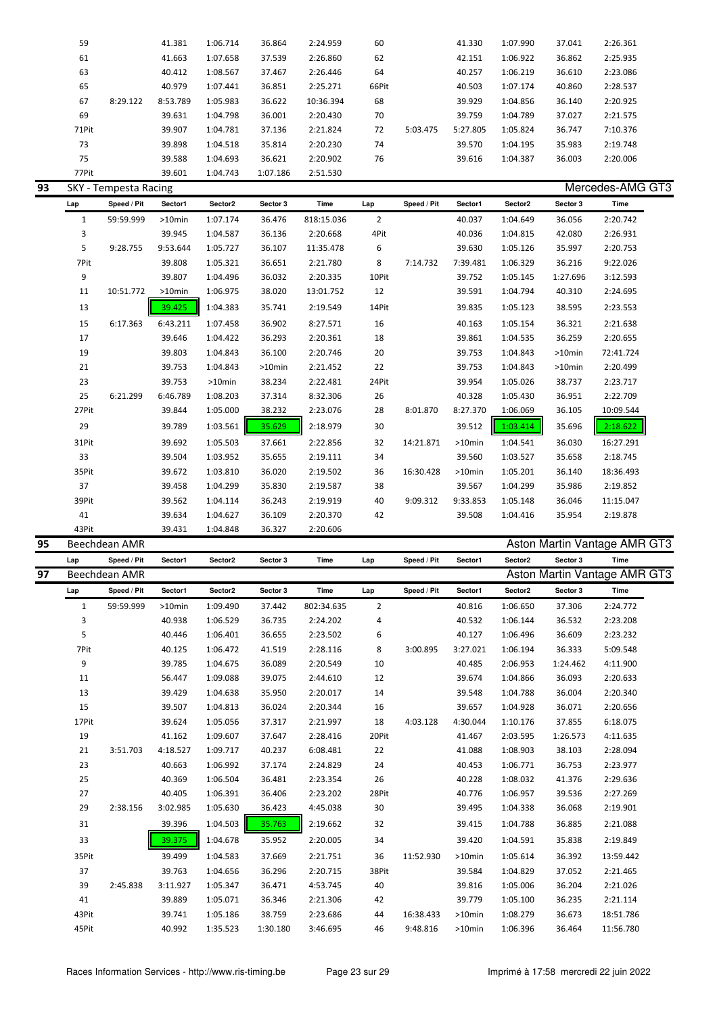| 59    |          | 41.381   | 1:06.714 | 36.864   | 2:24.959  | 60    |          | 41.330   | 1:07.990 | 37.041 | 2:26.361 |
|-------|----------|----------|----------|----------|-----------|-------|----------|----------|----------|--------|----------|
| 61    |          | 41.663   | 1:07.658 | 37.539   | 2:26.860  | 62    |          | 42.151   | 1:06.922 | 36.862 | 2:25.935 |
| 63    |          | 40.412   | 1:08.567 | 37.467   | 2:26.446  | 64    |          | 40.257   | 1:06.219 | 36.610 | 2:23.086 |
| 65    |          | 40.979   | 1:07.441 | 36.851   | 2:25.271  | 66Pit |          | 40.503   | 1:07.174 | 40.860 | 2:28.537 |
| 67    | 8:29.122 | 8:53.789 | 1:05.983 | 36.622   | 10:36.394 | 68    |          | 39.929   | 1:04.856 | 36.140 | 2:20.925 |
| 69    |          | 39.631   | 1:04.798 | 36.001   | 2:20.430  | 70    |          | 39.759   | 1:04.789 | 37.027 | 2:21.575 |
| 71Pit |          | 39.907   | 1:04.781 | 37.136   | 2:21.824  | 72    | 5:03.475 | 5:27.805 | 1:05.824 | 36.747 | 7:10.376 |
| 73    |          | 39.898   | 1:04.518 | 35.814   | 2:20.230  | 74    |          | 39.570   | 1:04.195 | 35.983 | 2:19.748 |
| 75    |          | 39.588   | 1:04.693 | 36.621   | 2:20.902  | 76    |          | 39.616   | 1:04.387 | 36.003 | 2:20.006 |
| 77Pit |          | 39.601   | 1:04.743 | 1:07.186 | 2:51.530  |       |          |          |          |        |          |

|              | SKY - Tempesta Racing |           |           |           |            |                |             |           |          |           | Mercedes-AMG GT3 |
|--------------|-----------------------|-----------|-----------|-----------|------------|----------------|-------------|-----------|----------|-----------|------------------|
| Lap          | Speed / Pit           | Sector1   | Sector2   | Sector 3  | Time       | Lap            | Speed / Pit | Sector1   | Sector2  | Sector 3  | Time             |
| $\mathbf{1}$ | 59:59.999             | $>10$ min | 1:07.174  | 36.476    | 818:15.036 | $\overline{2}$ |             | 40.037    | 1:04.649 | 36.056    | 2:20.742         |
| 3            |                       | 39.945    | 1:04.587  | 36.136    | 2:20.668   | 4Pit           |             | 40.036    | 1:04.815 | 42.080    | 2:26.931         |
| 5            | 9:28.755              | 9:53.644  | 1:05.727  | 36.107    | 11:35.478  | 6              |             | 39.630    | 1:05.126 | 35.997    | 2:20.753         |
| 7Pit         |                       | 39.808    | 1:05.321  | 36.651    | 2:21.780   | 8              | 7:14.732    | 7:39.481  | 1:06.329 | 36.216    | 9:22.026         |
| 9            |                       | 39.807    | 1:04.496  | 36.032    | 2:20.335   | 10Pit          |             | 39.752    | 1:05.145 | 1:27.696  | 3:12.593         |
| 11           | 10:51.772             | $>10$ min | 1:06.975  | 38.020    | 13:01.752  | 12             |             | 39.591    | 1:04.794 | 40.310    | 2:24.695         |
| 13           |                       | 39.425    | 1:04.383  | 35.741    | 2:19.549   | 14Pit          |             | 39.835    | 1:05.123 | 38.595    | 2:23.553         |
| 15           | 6:17.363              | 6:43.211  | 1:07.458  | 36.902    | 8:27.571   | 16             |             | 40.163    | 1:05.154 | 36.321    | 2:21.638         |
| 17           |                       | 39.646    | 1:04.422  | 36.293    | 2:20.361   | 18             |             | 39.861    | 1:04.535 | 36.259    | 2:20.655         |
| 19           |                       | 39.803    | 1:04.843  | 36.100    | 2:20.746   | 20             |             | 39.753    | 1:04.843 | $>10$ min | 72:41.724        |
| 21           |                       | 39.753    | 1:04.843  | $>10$ min | 2:21.452   | 22             |             | 39.753    | 1:04.843 | $>10$ min | 2:20.499         |
| 23           |                       | 39.753    | $>10$ min | 38.234    | 2:22.481   | 24Pit          |             | 39.954    | 1:05.026 | 38.737    | 2:23.717         |
| 25           | 6:21.299              | 6:46.789  | 1:08.203  | 37.314    | 8:32.306   | 26             |             | 40.328    | 1:05.430 | 36.951    | 2:22.709         |
| 27Pit        |                       | 39.844    | 1:05.000  | 38.232    | 2:23.076   | 28             | 8:01.870    | 8:27.370  | 1:06.069 | 36.105    | 10:09.544        |
| 29           |                       | 39.789    | 1:03.561  | 35.629    | 2:18.979   | 30             |             | 39.512    | 1:03.414 | 35.696    | 2:18.622         |
| 31Pit        |                       | 39.692    | 1:05.503  | 37.661    | 2:22.856   | 32             | 14:21.871   | $>10$ min | 1:04.541 | 36.030    | 16:27.291        |
| 33           |                       | 39.504    | 1:03.952  | 35.655    | 2:19.111   | 34             |             | 39.560    | 1:03.527 | 35.658    | 2:18.745         |
| 35Pit        |                       | 39.672    | 1:03.810  | 36.020    | 2:19.502   | 36             | 16:30.428   | $>10$ min | 1:05.201 | 36.140    | 18:36.493        |
| 37           |                       | 39.458    | 1:04.299  | 35.830    | 2:19.587   | 38             |             | 39.567    | 1:04.299 | 35.986    | 2:19.852         |
| 39Pit        |                       | 39.562    | 1:04.114  | 36.243    | 2:19.919   | 40             | 9:09.312    | 9:33.853  | 1:05.148 | 36.046    | 11:15.047        |
| 41           |                       | 39.634    | 1:04.627  | 36.109    | 2:20.370   | 42             |             | 39.508    | 1:04.416 | 35.954    | 2:19.878         |
| 43Pit        |                       | 39.431    | 1:04.848  | 36.327    | 2:20.606   |                |             |           |          |           |                  |

| 95 |              | Beechdean AMR |           |          |          |            |                |             |           |          | Aston Martin Vantage AMR GT3 |           |  |
|----|--------------|---------------|-----------|----------|----------|------------|----------------|-------------|-----------|----------|------------------------------|-----------|--|
|    | Lap          | Speed / Pit   | Sector1   | Sector2  | Sector 3 | Time       | Lap            | Speed / Pit | Sector1   | Sector2  | Sector 3                     | Time      |  |
| 97 |              | Beechdean AMR |           |          |          |            |                |             |           |          | Aston Martin Vantage AMR GT3 |           |  |
|    | Lap          | Speed / Pit   | Sector1   | Sector2  | Sector 3 | Time       | Lap            | Speed / Pit | Sector1   | Sector2  | Sector 3                     | Time      |  |
|    | $\mathbf{1}$ | 59:59.999     | $>10$ min | 1:09.490 | 37.442   | 802:34.635 | $\overline{2}$ |             | 40.816    | 1:06.650 | 37.306                       | 2:24.772  |  |
|    | 3            |               | 40.938    | 1:06.529 | 36.735   | 2:24.202   | 4              |             | 40.532    | 1:06.144 | 36.532                       | 2:23.208  |  |
|    | 5            |               | 40.446    | 1:06.401 | 36.655   | 2:23.502   | 6              |             | 40.127    | 1:06.496 | 36.609                       | 2:23.232  |  |
|    | 7Pit         |               | 40.125    | 1:06.472 | 41.519   | 2:28.116   | 8              | 3:00.895    | 3:27.021  | 1:06.194 | 36.333                       | 5:09.548  |  |
|    | 9            |               | 39.785    | 1:04.675 | 36.089   | 2:20.549   | 10             |             | 40.485    | 2:06.953 | 1:24.462                     | 4:11.900  |  |
|    | 11           |               | 56.447    | 1:09.088 | 39.075   | 2:44.610   | 12             |             | 39.674    | 1:04.866 | 36.093                       | 2:20.633  |  |
|    | 13           |               | 39.429    | 1:04.638 | 35.950   | 2:20.017   | 14             |             | 39.548    | 1:04.788 | 36.004                       | 2:20.340  |  |
|    | 15           |               | 39.507    | 1:04.813 | 36.024   | 2:20.344   | 16             |             | 39.657    | 1:04.928 | 36.071                       | 2:20.656  |  |
|    | 17Pit        |               | 39.624    | 1:05.056 | 37.317   | 2:21.997   | 18             | 4:03.128    | 4:30.044  | 1:10.176 | 37.855                       | 6:18.075  |  |
|    | 19           |               | 41.162    | 1:09.607 | 37.647   | 2:28.416   | 20Pit          |             | 41.467    | 2:03.595 | 1:26.573                     | 4:11.635  |  |
|    | 21           | 3:51.703      | 4:18.527  | 1:09.717 | 40.237   | 6:08.481   | 22             |             | 41.088    | 1:08.903 | 38.103                       | 2:28.094  |  |
|    | 23           |               | 40.663    | 1:06.992 | 37.174   | 2:24.829   | 24             |             | 40.453    | 1:06.771 | 36.753                       | 2:23.977  |  |
|    | 25           |               | 40.369    | 1:06.504 | 36.481   | 2:23.354   | 26             |             | 40.228    | 1:08.032 | 41.376                       | 2:29.636  |  |
|    | 27           |               | 40.405    | 1:06.391 | 36.406   | 2:23.202   | 28Pit          |             | 40.776    | 1:06.957 | 39.536                       | 2:27.269  |  |
|    | 29           | 2:38.156      | 3:02.985  | 1:05.630 | 36.423   | 4:45.038   | 30             |             | 39.495    | 1:04.338 | 36.068                       | 2:19.901  |  |
|    | 31           |               | 39.396    | 1:04.503 | 35.763   | 2:19.662   | 32             |             | 39.415    | 1:04.788 | 36.885                       | 2:21.088  |  |
|    | 33           |               | 39.375    | 1:04.678 | 35.952   | 2:20.005   | 34             |             | 39.420    | 1:04.591 | 35.838                       | 2:19.849  |  |
|    | 35Pit        |               | 39.499    | 1:04.583 | 37.669   | 2:21.751   | 36             | 11:52.930   | $>10$ min | 1:05.614 | 36.392                       | 13:59.442 |  |
|    | 37           |               | 39.763    | 1:04.656 | 36.296   | 2:20.715   | 38Pit          |             | 39.584    | 1:04.829 | 37.052                       | 2:21.465  |  |
|    | 39           | 2:45.838      | 3:11.927  | 1:05.347 | 36.471   | 4:53.745   | 40             |             | 39.816    | 1:05.006 | 36.204                       | 2:21.026  |  |
|    | 41           |               | 39.889    | 1:05.071 | 36.346   | 2:21.306   | 42             |             | 39.779    | 1:05.100 | 36.235                       | 2:21.114  |  |
|    | 43Pit        |               | 39.741    | 1:05.186 | 38.759   | 2:23.686   | 44             | 16:38.433   | $>10$ min | 1:08.279 | 36.673                       | 18:51.786 |  |
|    | 45Pit        |               | 40.992    | 1:35.523 | 1:30.180 | 3:46.695   | 46             | 9:48.816    | $>10$ min | 1:06.396 | 36.464                       | 11:56.780 |  |
|    |              |               |           |          |          |            |                |             |           |          |                              |           |  |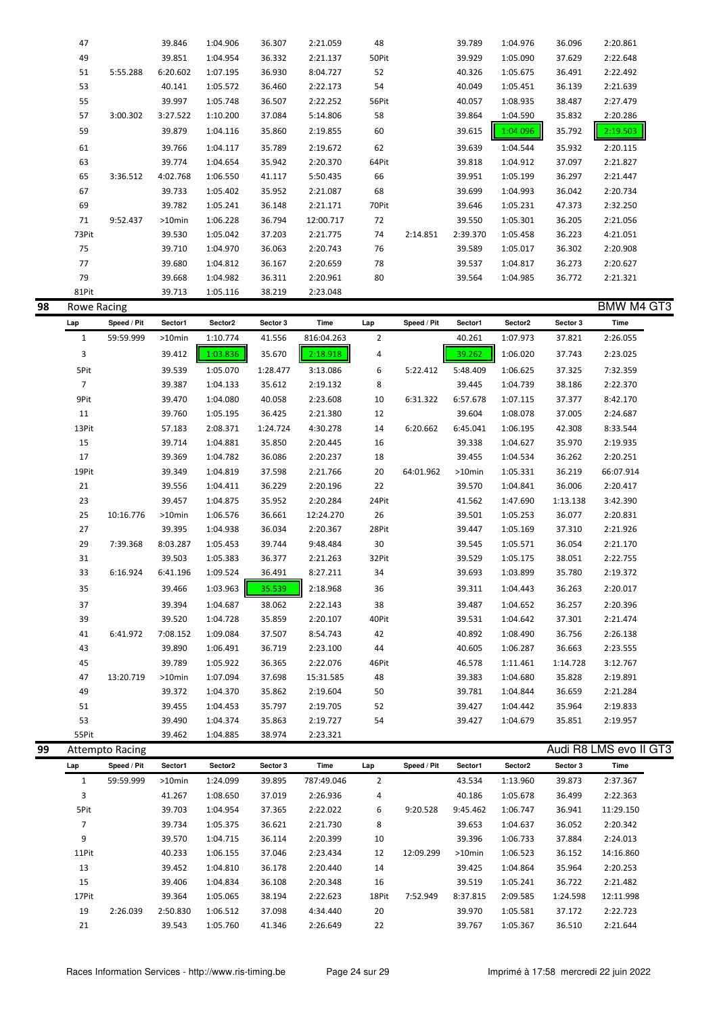| 47    |          | 39.846    | 1:04.906 | 36.307 | 2:21.059  | 48    |          | 39.789   | 1:04.976 | 36.096 | 2:20.861 |
|-------|----------|-----------|----------|--------|-----------|-------|----------|----------|----------|--------|----------|
| 49    |          | 39.851    | 1:04.954 | 36.332 | 2:21.137  | 50Pit |          | 39.929   | 1:05.090 | 37.629 | 2:22.648 |
| 51    | 5:55.288 | 6:20.602  | 1:07.195 | 36.930 | 8:04.727  | 52    |          | 40.326   | 1:05.675 | 36.491 | 2:22.492 |
| 53    |          | 40.141    | 1:05.572 | 36.460 | 2:22.173  | 54    |          | 40.049   | 1:05.451 | 36.139 | 2:21.639 |
| 55    |          | 39.997    | 1:05.748 | 36.507 | 2:22.252  | 56Pit |          | 40.057   | 1:08.935 | 38.487 | 2:27.479 |
| 57    | 3:00.302 | 3:27.522  | 1:10.200 | 37.084 | 5:14.806  | 58    |          | 39.864   | 1:04.590 | 35.832 | 2:20.286 |
| 59    |          | 39.879    | 1:04.116 | 35.860 | 2:19.855  | 60    |          | 39.615   | 1:04.096 | 35.792 | 2:19.503 |
| 61    |          | 39.766    | 1:04.117 | 35.789 | 2:19.672  | 62    |          | 39.639   | 1:04.544 | 35.932 | 2:20.115 |
| 63    |          | 39.774    | 1:04.654 | 35.942 | 2:20.370  | 64Pit |          | 39.818   | 1:04.912 | 37.097 | 2:21.827 |
| 65    | 3:36.512 | 4:02.768  | 1:06.550 | 41.117 | 5:50.435  | 66    |          | 39.951   | 1:05.199 | 36.297 | 2:21.447 |
| 67    |          | 39.733    | 1:05.402 | 35.952 | 2:21.087  | 68    |          | 39.699   | 1:04.993 | 36.042 | 2:20.734 |
| 69    |          | 39.782    | 1:05.241 | 36.148 | 2:21.171  | 70Pit |          | 39.646   | 1:05.231 | 47.373 | 2:32.250 |
| 71    | 9:52.437 | $>10$ min | 1:06.228 | 36.794 | 12:00.717 | 72    |          | 39.550   | 1:05.301 | 36.205 | 2:21.056 |
| 73Pit |          | 39.530    | 1:05.042 | 37.203 | 2:21.775  | 74    | 2:14.851 | 2:39.370 | 1:05.458 | 36.223 | 4:21.051 |
| 75    |          | 39.710    | 1:04.970 | 36.063 | 2:20.743  | 76    |          | 39.589   | 1:05.017 | 36.302 | 2:20.908 |
| 77    |          | 39.680    | 1:04.812 | 36.167 | 2:20.659  | 78    |          | 39.537   | 1:04.817 | 36.273 | 2:20.627 |
| 79    |          | 39.668    | 1:04.982 | 36.311 | 2:20.961  | 80    |          | 39.564   | 1:04.985 | 36.772 | 2:21.321 |
| 81Pit |          | 39.713    | 1:05.116 | 38.219 | 2:23.048  |       |          |          |          |        |          |

| <b>Rowe Racing</b> |             |           |          |          |            |                |             |           |          |          | BMW M4 GT3 |  |
|--------------------|-------------|-----------|----------|----------|------------|----------------|-------------|-----------|----------|----------|------------|--|
| Lap                | Speed / Pit | Sector1   | Sector2  | Sector 3 | Time       | Lap            | Speed / Pit | Sector1   | Sector2  | Sector 3 | Time       |  |
| $\mathbf{1}$       | 59:59.999   | $>10$ min | 1:10.774 | 41.556   | 816:04.263 | $\overline{2}$ |             | 40.261    | 1:07.973 | 37.821   | 2:26.055   |  |
| 3                  |             | 39.412    | 1:03.836 | 35.670   | 2:18.918   | 4              |             | 39.262    | 1:06.020 | 37.743   | 2:23.025   |  |
| 5Pit               |             | 39.539    | 1:05.070 | 1:28.477 | 3:13.086   | 6              | 5:22.412    | 5:48.409  | 1:06.625 | 37.325   | 7:32.359   |  |
| $\overline{7}$     |             | 39.387    | 1:04.133 | 35.612   | 2:19.132   | 8              |             | 39.445    | 1:04.739 | 38.186   | 2:22.370   |  |
| 9Pit               |             | 39.470    | 1:04.080 | 40.058   | 2:23.608   | 10             | 6:31.322    | 6:57.678  | 1:07.115 | 37.377   | 8:42.170   |  |
| 11                 |             | 39.760    | 1:05.195 | 36.425   | 2:21.380   | 12             |             | 39.604    | 1:08.078 | 37.005   | 2:24.687   |  |
| 13Pit              |             | 57.183    | 2:08.371 | 1:24.724 | 4:30.278   | 14             | 6:20.662    | 6:45.041  | 1:06.195 | 42.308   | 8:33.544   |  |
| 15                 |             | 39.714    | 1:04.881 | 35.850   | 2:20.445   | 16             |             | 39.338    | 1:04.627 | 35.970   | 2:19.935   |  |
| 17                 |             | 39.369    | 1:04.782 | 36.086   | 2:20.237   | 18             |             | 39.455    | 1:04.534 | 36.262   | 2:20.251   |  |
| 19Pit              |             | 39.349    | 1:04.819 | 37.598   | 2:21.766   | 20             | 64:01.962   | $>10$ min | 1:05.331 | 36.219   | 66:07.914  |  |
| 21                 |             | 39.556    | 1:04.411 | 36.229   | 2:20.196   | 22             |             | 39.570    | 1:04.841 | 36.006   | 2:20.417   |  |
| 23                 |             | 39.457    | 1:04.875 | 35.952   | 2:20.284   | 24Pit          |             | 41.562    | 1:47.690 | 1:13.138 | 3:42.390   |  |
| 25                 | 10:16.776   | $>10$ min | 1:06.576 | 36.661   | 12:24.270  | 26             |             | 39.501    | 1:05.253 | 36.077   | 2:20.831   |  |
| 27                 |             | 39.395    | 1:04.938 | 36.034   | 2:20.367   | 28Pit          |             | 39.447    | 1:05.169 | 37.310   | 2:21.926   |  |
| 29                 | 7:39.368    | 8:03.287  | 1:05.453 | 39.744   | 9:48.484   | 30             |             | 39.545    | 1:05.571 | 36.054   | 2:21.170   |  |
| 31                 |             | 39.503    | 1:05.383 | 36.377   | 2:21.263   | 32Pit          |             | 39.529    | 1:05.175 | 38.051   | 2:22.755   |  |
| 33                 | 6:16.924    | 6:41.196  | 1:09.524 | 36.491   | 8:27.211   | 34             |             | 39.693    | 1:03.899 | 35.780   | 2:19.372   |  |
| 35                 |             | 39.466    | 1:03.963 | 35.539   | 2:18.968   | 36             |             | 39.311    | 1:04.443 | 36.263   | 2:20.017   |  |
| 37                 |             | 39.394    | 1:04.687 | 38.062   | 2:22.143   | 38             |             | 39.487    | 1:04.652 | 36.257   | 2:20.396   |  |
| 39                 |             | 39.520    | 1:04.728 | 35.859   | 2:20.107   | 40Pit          |             | 39.531    | 1:04.642 | 37.301   | 2:21.474   |  |
| 41                 | 6:41.972    | 7:08.152  | 1:09.084 | 37.507   | 8:54.743   | 42             |             | 40.892    | 1:08.490 | 36.756   | 2:26.138   |  |
| 43                 |             | 39.890    | 1:06.491 | 36.719   | 2:23.100   | 44             |             | 40.605    | 1:06.287 | 36.663   | 2:23.555   |  |
| 45                 |             | 39.789    | 1:05.922 | 36.365   | 2:22.076   | 46Pit          |             | 46.578    | 1:11.461 | 1:14.728 | 3:12.767   |  |
| 47                 | 13:20.719   | $>10$ min | 1:07.094 | 37.698   | 15:31.585  | 48             |             | 39.383    | 1:04.680 | 35.828   | 2:19.891   |  |
| 49                 |             | 39.372    | 1:04.370 | 35.862   | 2:19.604   | 50             |             | 39.781    | 1:04.844 | 36.659   | 2:21.284   |  |
| 51                 |             | 39.455    | 1:04.453 | 35.797   | 2:19.705   | 52             |             | 39.427    | 1:04.442 | 35.964   | 2:19.833   |  |
| 53                 |             | 39.490    | 1:04.374 | 35.863   | 2:19.727   | 54             |             | 39.427    | 1:04.679 | 35.851   | 2:19.957   |  |
| 55Pit              |             | 39.462    | 1:04.885 | 38.974   | 2:23.321   |                |             |           |          |          |            |  |

| 99 |       | <b>Attempto Racing</b> |           |          |          |            |       |             |           |          |          | Audi R8 LMS evo II GT3 |  |
|----|-------|------------------------|-----------|----------|----------|------------|-------|-------------|-----------|----------|----------|------------------------|--|
|    | Lap   | Speed / Pit            | Sector1   | Sector2  | Sector 3 | Time       | Lap   | Speed / Pit | Sector1   | Sector2  | Sector 3 | Time                   |  |
|    |       | 59:59.999              | $>10$ min | 1:24.099 | 39.895   | 787:49.046 | 2     |             | 43.534    | 1:13.960 | 39.873   | 2:37.367               |  |
|    | 3     |                        | 41.267    | 1:08.650 | 37.019   | 2:26.936   | 4     |             | 40.186    | 1:05.678 | 36.499   | 2:22.363               |  |
|    | 5Pit  |                        | 39.703    | 1:04.954 | 37.365   | 2:22.022   | 6     | 9:20.528    | 9:45.462  | 1:06.747 | 36.941   | 11:29.150              |  |
|    |       |                        | 39.734    | 1:05.375 | 36.621   | 2:21.730   | 8     |             | 39.653    | 1:04.637 | 36.052   | 2:20.342               |  |
|    | 9     |                        | 39.570    | 1:04.715 | 36.114   | 2:20.399   | 10    |             | 39.396    | 1:06.733 | 37.884   | 2:24.013               |  |
|    | 11Pit |                        | 40.233    | 1:06.155 | 37.046   | 2:23.434   | 12    | 12:09.299   | $>10$ min | 1:06.523 | 36.152   | 14:16.860              |  |
|    | 13    |                        | 39.452    | 1:04.810 | 36.178   | 2:20.440   | 14    |             | 39.425    | 1:04.864 | 35.964   | 2:20.253               |  |
|    | 15    |                        | 39.406    | 1:04.834 | 36.108   | 2:20.348   | 16    |             | 39.519    | 1:05.241 | 36.722   | 2:21.482               |  |
|    | 17Pit |                        | 39.364    | 1:05.065 | 38.194   | 2:22.623   | 18Pit | 7:52.949    | 8:37.815  | 2:09.585 | 1:24.598 | 12:11.998              |  |
|    | 19    | 2:26.039               | 2:50.830  | 1:06.512 | 37.098   | 4:34.440   | 20    |             | 39.970    | 1:05.581 | 37.172   | 2:22.723               |  |
|    | 21    |                        | 39.543    | 1:05.760 | 41.346   | 2:26.649   | 22    |             | 39.767    | 1:05.367 | 36.510   | 2:21.644               |  |
|    |       |                        |           |          |          |            |       |             |           |          |          |                        |  |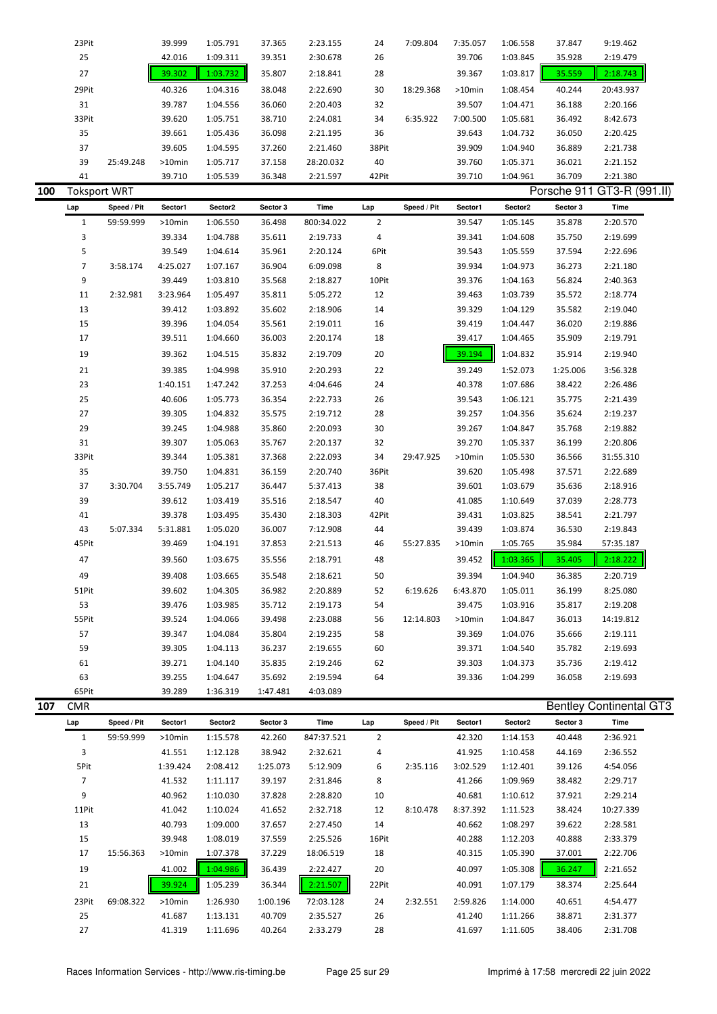|     | 23Pit               |           | 39.999    | 1:05.791 | 37.365 | 2:23.155  | 24    | 7:09.804  | 7:35.057  | 1:06.558 | 37.847 | 9:19.462                   |
|-----|---------------------|-----------|-----------|----------|--------|-----------|-------|-----------|-----------|----------|--------|----------------------------|
|     | 25                  |           | 42.016    | 1:09.311 | 39.351 | 2:30.678  | 26    |           | 39.706    | 1:03.845 | 35.928 | 2:19.479                   |
|     | 27                  |           | 39.302    | 1:03.732 | 35.807 | 2:18.841  | 28    |           | 39.367    | 1:03.817 | 35.559 | 2:18.743                   |
|     | 29Pit               |           | 40.326    | 1:04.316 | 38.048 | 2:22.690  | 30    | 18:29.368 | $>10$ min | 1:08.454 | 40.244 | 20:43.937                  |
|     | 31                  |           | 39.787    | 1:04.556 | 36.060 | 2:20.403  | 32    |           | 39.507    | 1:04.471 | 36.188 | 2:20.166                   |
|     | 33Pit               |           | 39.620    | 1:05.751 | 38.710 | 2:24.081  | 34    | 6:35.922  | 7:00.500  | 1:05.681 | 36.492 | 8:42.673                   |
|     | 35                  |           | 39.661    | 1:05.436 | 36.098 | 2:21.195  | 36    |           | 39.643    | 1:04.732 | 36.050 | 2:20.425                   |
|     | 37                  |           | 39.605    | 1:04.595 | 37.260 | 2:21.460  | 38Pit |           | 39.909    | 1:04.940 | 36.889 | 2:21.738                   |
|     | 39                  | 25:49.248 | $>10$ min | 1:05.717 | 37.158 | 28:20.032 | 40    |           | 39.760    | 1:05.371 | 36.021 | 2:21.152                   |
|     | 41                  |           | 39.710    | 1:05.539 | 36.348 | 2:21.597  | 42Pit |           | 39.710    | 1:04.961 | 36.709 | 2:21.380                   |
| 100 | <b>Toksport WRT</b> |           |           |          |        |           |       |           |           |          |        | Porsche 911 GT3-R (991.II) |

| Lap         | Speed / Pit | Sector1   | Sector2  | Sector 3 | Time       | Lap            | Speed / Pit | Sector1  | Sector2  | Sector 3 | Time      |
|-------------|-------------|-----------|----------|----------|------------|----------------|-------------|----------|----------|----------|-----------|
| $\mathbf 1$ | 59:59.999   | $>10$ min | 1:06.550 | 36.498   | 800:34.022 | $\overline{2}$ |             | 39.547   | 1:05.145 | 35.878   | 2:20.570  |
| 3           |             | 39.334    | 1:04.788 | 35.611   | 2:19.733   | 4              |             | 39.341   | 1:04.608 | 35.750   | 2:19.699  |
| 5           |             | 39.549    | 1:04.614 | 35.961   | 2:20.124   | 6Pit           |             | 39.543   | 1:05.559 | 37.594   | 2:22.696  |
| 7           | 3:58.174    | 4:25.027  | 1:07.167 | 36.904   | 6:09.098   | 8              |             | 39.934   | 1:04.973 | 36.273   | 2:21.180  |
| 9           |             | 39.449    | 1:03.810 | 35.568   | 2:18.827   | 10Pit          |             | 39.376   | 1:04.163 | 56.824   | 2:40.363  |
| $11\,$      | 2:32.981    | 3:23.964  | 1:05.497 | 35.811   | 5:05.272   | 12             |             | 39.463   | 1:03.739 | 35.572   | 2:18.774  |
| 13          |             | 39.412    | 1:03.892 | 35.602   | 2:18.906   | 14             |             | 39.329   | 1:04.129 | 35.582   | 2:19.040  |
| 15          |             | 39.396    | 1:04.054 | 35.561   | 2:19.011   | 16             |             | 39.419   | 1:04.447 | 36.020   | 2:19.886  |
| 17          |             | 39.511    | 1:04.660 | 36.003   | 2:20.174   | 18             |             | 39.417   | 1:04.465 | 35.909   | 2:19.791  |
| 19          |             | 39.362    | 1:04.515 | 35.832   | 2:19.709   | 20             |             | 39.194   | 1:04.832 | 35.914   | 2:19.940  |
| 21          |             | 39.385    | 1:04.998 | 35.910   | 2:20.293   | 22             |             | 39.249   | 1:52.073 | 1:25.006 | 3:56.328  |
| 23          |             | 1:40.151  | 1:47.242 | 37.253   | 4:04.646   | 24             |             | 40.378   | 1:07.686 | 38.422   | 2:26.486  |
| 25          |             | 40.606    | 1:05.773 | 36.354   | 2:22.733   | 26             |             | 39.543   | 1:06.121 | 35.775   | 2:21.439  |
| 27          |             | 39.305    | 1:04.832 | 35.575   | 2:19.712   | 28             |             | 39.257   | 1:04.356 | 35.624   | 2:19.237  |
| 29          |             | 39.245    | 1:04.988 | 35.860   | 2:20.093   | $30\,$         |             | 39.267   | 1:04.847 | 35.768   | 2:19.882  |
| 31          |             | 39.307    | 1:05.063 | 35.767   | 2:20.137   | 32             |             | 39.270   | 1:05.337 | 36.199   | 2:20.806  |
| 33Pit       |             | 39.344    | 1:05.381 | 37.368   | 2:22.093   | 34             | 29:47.925   | >10min   | 1:05.530 | 36.566   | 31:55.310 |
| 35          |             | 39.750    | 1:04.831 | 36.159   | 2:20.740   | 36Pit          |             | 39.620   | 1:05.498 | 37.571   | 2:22.689  |
| 37          | 3:30.704    | 3:55.749  | 1:05.217 | 36.447   | 5:37.413   | 38             |             | 39.601   | 1:03.679 | 35.636   | 2:18.916  |
| 39          |             | 39.612    | 1:03.419 | 35.516   | 2:18.547   | 40             |             | 41.085   | 1:10.649 | 37.039   | 2:28.773  |
| 41          |             | 39.378    | 1:03.495 | 35.430   | 2:18.303   | 42Pit          |             | 39.431   | 1:03.825 | 38.541   | 2:21.797  |
| 43          | 5:07.334    | 5:31.881  | 1:05.020 | 36.007   | 7:12.908   | 44             |             | 39.439   | 1:03.874 | 36.530   | 2:19.843  |
| 45Pit       |             | 39.469    | 1:04.191 | 37.853   | 2:21.513   | 46             | 55:27.835   | >10min   | 1:05.765 | 35.984   | 57:35.187 |
| 47          |             | 39.560    | 1:03.675 | 35.556   | 2:18.791   | 48             |             | 39.452   | 1:03.365 | 35.405   | 2:18.222  |
| 49          |             | 39.408    | 1:03.665 | 35.548   | 2:18.621   | 50             |             | 39.394   | 1:04.940 | 36.385   | 2:20.719  |
| 51Pit       |             | 39.602    | 1:04.305 | 36.982   | 2:20.889   | 52             | 6:19.626    | 6:43.870 | 1:05.011 | 36.199   | 8:25.080  |
| 53          |             | 39.476    | 1:03.985 | 35.712   | 2:19.173   | 54             |             | 39.475   | 1:03.916 | 35.817   | 2:19.208  |
| 55Pit       |             | 39.524    | 1:04.066 | 39.498   | 2:23.088   | 56             | 12:14.803   | >10min   | 1:04.847 | 36.013   | 14:19.812 |
| 57          |             | 39.347    | 1:04.084 | 35.804   | 2:19.235   | 58             |             | 39.369   | 1:04.076 | 35.666   | 2:19.111  |
| 59          |             | 39.305    | 1:04.113 | 36.237   | 2:19.655   | 60             |             | 39.371   | 1:04.540 | 35.782   | 2:19.693  |
| 61          |             | 39.271    | 1:04.140 | 35.835   | 2:19.246   | 62             |             | 39.303   | 1:04.373 | 35.736   | 2:19.412  |
| 63          |             | 39.255    | 1:04.647 | 35.692   | 2:19.594   | 64             |             | 39.336   | 1:04.299 | 36.058   | 2:19.693  |
| 65Pit       |             | 39.289    | 1:36.319 | 1:47.481 | 4:03.089   |                |             |          |          |          |           |

| 107 | <b>CMR</b> |             |           |          |          |            |       |             |          |          |          | <b>Bentley Continental GT3</b> |  |
|-----|------------|-------------|-----------|----------|----------|------------|-------|-------------|----------|----------|----------|--------------------------------|--|
|     | Lap        | Speed / Pit | Sector1   | Sector2  | Sector 3 | Time       | Lap   | Speed / Pit | Sector1  | Sector2  | Sector 3 | Time                           |  |
|     | 1          | 59:59.999   | $>10$ min | 1:15.578 | 42.260   | 847:37.521 | 2     |             | 42.320   | 1:14.153 | 40.448   | 2:36.921                       |  |
|     | 3          |             | 41.551    | 1:12.128 | 38.942   | 2:32.621   | 4     |             | 41.925   | 1:10.458 | 44.169   | 2:36.552                       |  |
|     | 5Pit       |             | 1:39.424  | 2:08.412 | 1:25.073 | 5:12.909   | 6     | 2:35.116    | 3:02.529 | 1:12.401 | 39.126   | 4:54.056                       |  |
|     | 7          |             | 41.532    | 1:11.117 | 39.197   | 2:31.846   | 8     |             | 41.266   | 1:09.969 | 38.482   | 2:29.717                       |  |
|     | 9          |             | 40.962    | 1:10.030 | 37.828   | 2:28.820   | 10    |             | 40.681   | 1:10.612 | 37.921   | 2:29.214                       |  |
|     | 11Pit      |             | 41.042    | 1:10.024 | 41.652   | 2:32.718   | 12    | 8:10.478    | 8:37.392 | 1:11.523 | 38.424   | 10:27.339                      |  |
|     | 13         |             | 40.793    | 1:09.000 | 37.657   | 2:27.450   | 14    |             | 40.662   | 1:08.297 | 39.622   | 2:28.581                       |  |
|     | 15         |             | 39.948    | 1:08.019 | 37.559   | 2:25.526   | 16Pit |             | 40.288   | 1:12.203 | 40.888   | 2:33.379                       |  |
|     | 17         | 15:56.363   | >10min    | 1:07.378 | 37.229   | 18:06.519  | 18    |             | 40.315   | 1:05.390 | 37.001   | 2:22.706                       |  |
|     | 19         |             | 41.002    | 1:04.986 | 36.439   | 2:22.427   | 20    |             | 40.097   | 1:05.308 | 36.247   | 2:21.652                       |  |
|     | 21         |             | 39.924    | 1:05.239 | 36.344   | 2:21.507   | 22Pit |             | 40.091   | 1:07.179 | 38.374   | 2:25.644                       |  |
|     | 23Pit      | 69:08.322   | >10min    | 1:26.930 | 1:00.196 | 72:03.128  | 24    | 2:32.551    | 2:59.826 | 1:14.000 | 40.651   | 4:54.477                       |  |
|     | 25         |             | 41.687    | 1:13.131 | 40.709   | 2:35.527   | 26    |             | 41.240   | 1:11.266 | 38.871   | 2:31.377                       |  |
|     | 27         |             | 41.319    | 1:11.696 | 40.264   | 2:33.279   | 28    |             | 41.697   | 1:11.605 | 38.406   | 2:31.708                       |  |
|     |            |             |           |          |          |            |       |             |          |          |          |                                |  |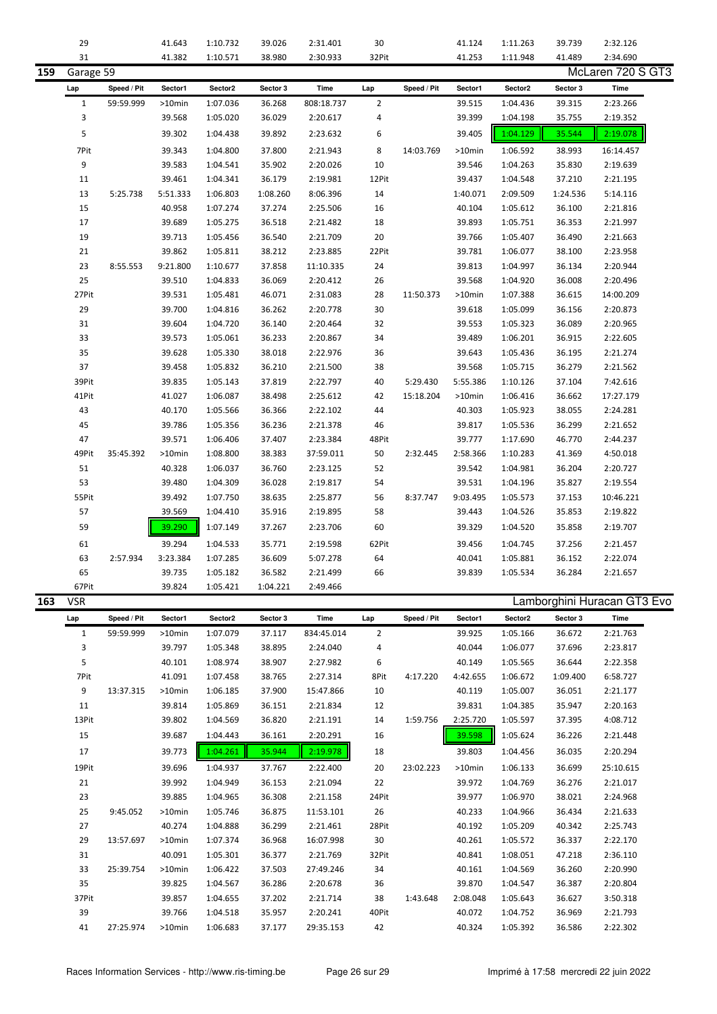|     | 29           |             | 41.643   | 1:10.732 | 39.026   | 2:31.401   | 30             |             | 41.124    | 1:11.263 | 39.739   | 2:32.126                    |
|-----|--------------|-------------|----------|----------|----------|------------|----------------|-------------|-----------|----------|----------|-----------------------------|
|     | 31           |             | 41.382   | 1:10.571 | 38.980   | 2:30.933   | 32Pit          |             | 41.253    | 1:11.948 | 41.489   | 2:34.690                    |
| 159 | Garage 59    |             |          |          |          |            |                |             |           |          |          | McLaren 720 S GT3           |
|     |              |             |          |          |          |            |                |             |           |          |          |                             |
|     | Lap          | Speed / Pit | Sector1  | Sector2  | Sector 3 | Time       | Lap            | Speed / Pit | Sector1   | Sector2  | Sector 3 | <b>Time</b>                 |
|     | $\mathbf{1}$ | 59:59.999   | >10min   | 1:07.036 | 36.268   | 808:18.737 | 2              |             | 39.515    | 1:04.436 | 39.315   | 2:23.266                    |
|     | 3            |             | 39.568   | 1:05.020 | 36.029   | 2:20.617   | 4              |             | 39.399    | 1:04.198 | 35.755   | 2:19.352                    |
|     | 5            |             | 39.302   | 1:04.438 | 39.892   | 2:23.632   | 6              |             | 39.405    | 1:04.129 | 35.544   | 2:19.078                    |
|     | 7Pit         |             | 39.343   | 1:04.800 | 37.800   | 2:21.943   | 8              | 14:03.769   | >10min    | 1:06.592 | 38.993   | 16:14.457                   |
|     | 9            |             | 39.583   | 1:04.541 | 35.902   | 2:20.026   | 10             |             | 39.546    | 1:04.263 | 35.830   | 2:19.639                    |
|     | 11           |             | 39.461   | 1:04.341 | 36.179   | 2:19.981   | 12Pit          |             | 39.437    | 1:04.548 | 37.210   | 2:21.195                    |
|     | 13           |             |          |          |          |            |                |             |           |          |          |                             |
|     |              | 5:25.738    | 5:51.333 | 1:06.803 | 1:08.260 | 8:06.396   | 14             |             | 1:40.071  | 2:09.509 | 1:24.536 | 5:14.116                    |
|     | 15           |             | 40.958   | 1:07.274 | 37.274   | 2:25.506   | 16             |             | 40.104    | 1:05.612 | 36.100   | 2:21.816                    |
|     | 17           |             | 39.689   | 1:05.275 | 36.518   | 2:21.482   | 18             |             | 39.893    | 1:05.751 | 36.353   | 2:21.997                    |
|     | 19           |             | 39.713   | 1:05.456 | 36.540   | 2:21.709   | 20             |             | 39.766    | 1:05.407 | 36.490   | 2:21.663                    |
|     | 21           |             | 39.862   | 1:05.811 | 38.212   | 2:23.885   | 22Pit          |             | 39.781    | 1:06.077 | 38.100   | 2:23.958                    |
|     | 23           | 8:55.553    | 9:21.800 | 1:10.677 | 37.858   | 11:10.335  | 24             |             | 39.813    | 1:04.997 | 36.134   | 2:20.944                    |
|     | 25           |             | 39.510   | 1:04.833 | 36.069   | 2:20.412   | 26             |             | 39.568    | 1:04.920 | 36.008   | 2:20.496                    |
|     | 27Pit        |             | 39.531   | 1:05.481 | 46.071   | 2:31.083   | 28             | 11:50.373   | >10min    | 1:07.388 | 36.615   | 14:00.209                   |
|     | 29           |             | 39.700   | 1:04.816 | 36.262   | 2:20.778   | 30             |             | 39.618    | 1:05.099 | 36.156   | 2:20.873                    |
|     | 31           |             | 39.604   | 1:04.720 | 36.140   | 2:20.464   | 32             |             | 39.553    | 1:05.323 | 36.089   | 2:20.965                    |
|     | 33           |             | 39.573   | 1:05.061 | 36.233   | 2:20.867   | 34             |             | 39.489    | 1:06.201 | 36.915   | 2:22.605                    |
|     | 35           |             | 39.628   | 1:05.330 | 38.018   | 2:22.976   | 36             |             | 39.643    | 1:05.436 | 36.195   | 2:21.274                    |
|     | 37           |             | 39.458   | 1:05.832 | 36.210   | 2:21.500   | 38             |             | 39.568    | 1:05.715 | 36.279   | 2:21.562                    |
|     | 39Pit        |             | 39.835   | 1:05.143 | 37.819   | 2:22.797   | 40             | 5:29.430    | 5:55.386  | 1:10.126 | 37.104   | 7:42.616                    |
|     | 41Pit        |             | 41.027   | 1:06.087 | 38.498   | 2:25.612   | 42             | 15:18.204   | >10min    | 1:06.416 | 36.662   | 17:27.179                   |
|     | 43           |             | 40.170   | 1:05.566 | 36.366   | 2:22.102   | 44             |             | 40.303    | 1:05.923 | 38.055   | 2:24.281                    |
|     | 45           |             | 39.786   | 1:05.356 | 36.236   | 2:21.378   | 46             |             | 39.817    | 1:05.536 | 36.299   | 2:21.652                    |
|     |              |             |          |          |          |            |                |             |           |          |          |                             |
|     | 47           |             | 39.571   | 1:06.406 | 37.407   | 2:23.384   | 48Pit          |             | 39.777    | 1:17.690 | 46.770   | 2:44.237                    |
|     | 49Pit        | 35:45.392   | >10min   | 1:08.800 | 38.383   | 37:59.011  | 50             | 2:32.445    | 2:58.366  | 1:10.283 | 41.369   | 4:50.018                    |
|     | 51           |             | 40.328   | 1:06.037 | 36.760   | 2:23.125   | 52             |             | 39.542    | 1:04.981 | 36.204   | 2:20.727                    |
|     | 53           |             | 39.480   | 1:04.309 | 36.028   | 2:19.817   | 54             |             | 39.531    | 1:04.196 | 35.827   | 2:19.554                    |
|     | 55Pit        |             | 39.492   | 1:07.750 | 38.635   | 2:25.877   | 56             | 8:37.747    | 9:03.495  | 1:05.573 | 37.153   | 10:46.221                   |
|     | 57           |             | 39.569   | 1:04.410 | 35.916   | 2:19.895   | 58             |             | 39.443    | 1:04.526 | 35.853   | 2:19.822                    |
|     | 59           |             | 39.290   | 1:07.149 | 37.267   | 2:23.706   | 60             |             | 39.329    | 1:04.520 | 35.858   | 2:19.707                    |
|     | 61           |             | 39.294   | 1:04.533 | 35.771   | 2:19.598   | 62Pit          |             | 39.456    | 1:04.745 | 37.256   | 2:21.457                    |
|     | 63           | 2:57.934    | 3:23.384 | 1:07.285 | 36.609   | 5:07.278   | 64             |             | 40.041    | 1:05.881 | 36.152   | 2:22.074                    |
|     | 65           |             | 39.735   | 1:05.182 | 36.582   | 2:21.499   | 66             |             | 39.839    | 1:05.534 | 36.284   | 2:21.657                    |
|     | 67Pit        |             | 39.824   | 1:05.421 | 1:04.221 | 2:49.466   |                |             |           |          |          |                             |
| 163 | <b>VSR</b>   |             |          |          |          |            |                |             |           |          |          | Lamborghini Huracan GT3 Evo |
|     |              |             |          |          |          |            |                |             |           |          |          |                             |
|     | Lap          | Speed / Pit | Sector1  | Sector2  | Sector 3 | Time       | Lap            | Speed / Pit | Sector1   | Sector2  | Sector 3 | Time                        |
|     | 1            | 59:59.999   | >10min   | 1:07.079 | 37.117   | 834:45.014 | $\overline{2}$ |             | 39.925    | 1:05.166 | 36.672   | 2:21.763                    |
|     | 3            |             | 39.797   | 1:05.348 | 38.895   | 2:24.040   | 4              |             | 40.044    | 1:06.077 | 37.696   | 2:23.817                    |
|     | 5            |             | 40.101   | 1:08.974 | 38.907   | 2:27.982   | 6              |             | 40.149    | 1:05.565 | 36.644   | 2:22.358                    |
|     | 7Pit         |             | 41.091   | 1:07.458 | 38.765   | 2:27.314   | 8Pit           | 4:17.220    | 4:42.655  | 1:06.672 | 1:09.400 | 6:58.727                    |
|     | 9            | 13:37.315   | >10min   | 1:06.185 | 37.900   | 15:47.866  | 10             |             | 40.119    | 1:05.007 | 36.051   | 2:21.177                    |
|     | 11           |             | 39.814   | 1:05.869 | 36.151   | 2:21.834   | 12             |             | 39.831    | 1:04.385 | 35.947   | 2:20.163                    |
|     | 13Pit        |             | 39.802   | 1:04.569 | 36.820   | 2:21.191   | 14             | 1:59.756    | 2:25.720  | 1:05.597 | 37.395   | 4:08.712                    |
|     | 15           |             | 39.687   | 1:04.443 | 36.161   | 2:20.291   | 16             |             | 39.598    | 1:05.624 | 36.226   | 2:21.448                    |
|     | 17           |             | 39.773   | 1:04.261 | 35.944   | 2:19.978   | 18             |             | 39.803    | 1:04.456 | 36.035   | 2:20.294                    |
|     | 19Pit        |             | 39.696   | 1:04.937 | 37.767   | 2:22.400   | 20             | 23:02.223   | $>10$ min | 1:06.133 | 36.699   | 25:10.615                   |
|     |              |             |          | 1:04.949 |          |            | 22             |             | 39.972    | 1:04.769 |          | 2:21.017                    |
|     | 21           |             | 39.992   |          | 36.153   | 2:21.094   |                |             |           |          | 36.276   |                             |
|     | 23           |             | 39.885   | 1:04.965 | 36.308   | 2:21.158   | 24Pit          |             | 39.977    | 1:06.970 | 38.021   | 2:24.968                    |
|     | 25           | 9:45.052    | >10min   | 1:05.746 | 36.875   | 11:53.101  | 26             |             | 40.233    | 1:04.966 | 36.434   | 2:21.633                    |
|     | 27           |             | 40.274   | 1:04.888 | 36.299   | 2:21.461   | 28Pit          |             | 40.192    | 1:05.209 | 40.342   | 2:25.743                    |
|     | 29           | 13:57.697   | >10min   | 1:07.374 | 36.968   | 16:07.998  | 30             |             | 40.261    | 1:05.572 | 36.337   | 2:22.170                    |
|     | 31           |             | 40.091   | 1:05.301 | 36.377   | 2:21.769   | 32Pit          |             | 40.841    | 1:08.051 | 47.218   | 2:36.110                    |
|     | 33           | 25:39.754   | >10min   | 1:06.422 | 37.503   | 27:49.246  | 34             |             | 40.161    | 1:04.569 | 36.260   | 2:20.990                    |
|     | 35           |             | 39.825   | 1:04.567 | 36.286   | 2:20.678   | 36             |             | 39.870    | 1:04.547 | 36.387   | 2:20.804                    |
|     | 37Pit        |             | 39.857   | 1:04.655 | 37.202   | 2:21.714   | 38             | 1:43.648    | 2:08.048  | 1:05.643 | 36.627   | 3:50.318                    |
|     | 39           |             | 39.766   | 1:04.518 | 35.957   | 2:20.241   | 40Pit          |             | 40.072    | 1:04.752 | 36.969   | 2:21.793                    |
|     | 41           | 27:25.974   | >10min   | 1:06.683 | 37.177   | 29:35.153  | 42             |             | 40.324    | 1:05.392 | 36.586   | 2:22.302                    |
|     |              |             |          |          |          |            |                |             |           |          |          |                             |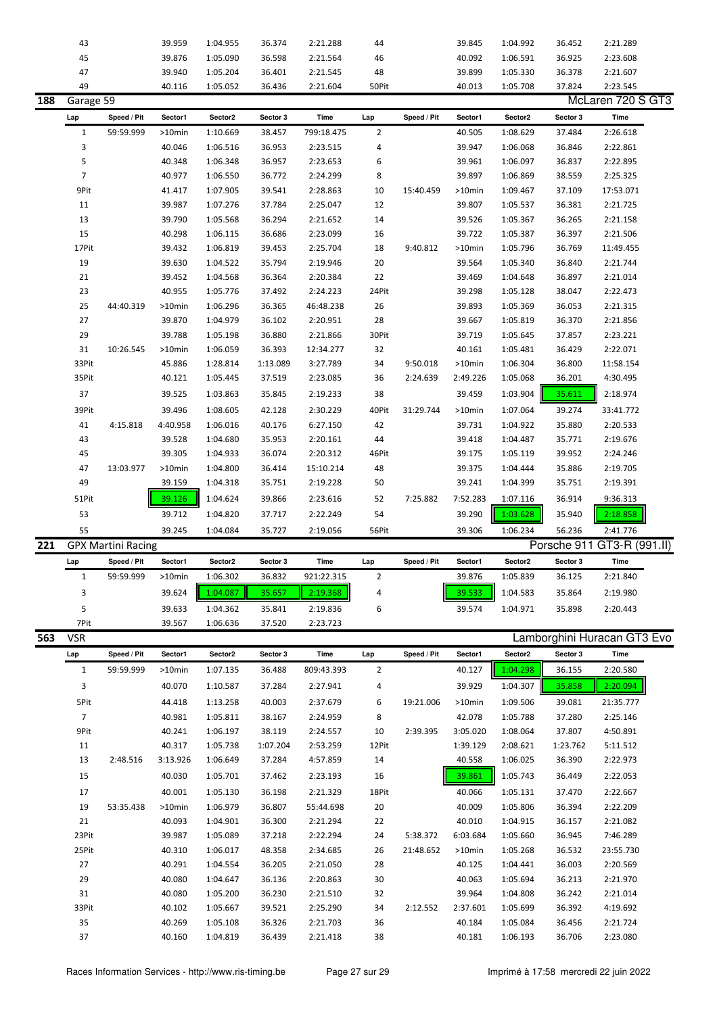|     | 43             |                           | 39.959           | 1:04.955             | 36.374           | 2:21.288             | 44             |             | 39.845           | 1:04.992             | 36.452           | 2:21.289                    |  |
|-----|----------------|---------------------------|------------------|----------------------|------------------|----------------------|----------------|-------------|------------------|----------------------|------------------|-----------------------------|--|
|     | 45             |                           | 39.876           | 1:05.090             | 36.598           | 2:21.564             | 46             |             | 40.092           | 1:06.591             | 36.925           | 2:23.608                    |  |
|     | 47             |                           | 39.940           | 1:05.204             | 36.401           | 2:21.545             | 48             |             | 39.899           | 1:05.330             | 36.378           | 2:21.607                    |  |
|     | 49             |                           | 40.116           | 1:05.052             | 36.436           | 2:21.604             | 50Pit          |             | 40.013           | 1:05.708             | 37.824           | 2:23.545                    |  |
| 188 | Garage 59      |                           |                  |                      |                  |                      |                |             |                  |                      |                  | McLaren 720 S GT3           |  |
|     | Lap            | Speed / Pit               | Sector1          | Sector2              | Sector 3         | <b>Time</b>          | Lap            | Speed / Pit | Sector1          | Sector2              | Sector 3         | <b>Time</b>                 |  |
|     | $\mathbf{1}$   | 59:59.999                 | >10min           | 1:10.669             | 38.457           | 799:18.475           | 2              |             | 40.505           | 1:08.629             | 37.484           | 2:26.618                    |  |
|     | 3              |                           | 40.046           | 1:06.516             | 36.953           | 2:23.515             | 4              |             | 39.947           | 1:06.068             | 36.846           | 2:22.861                    |  |
|     | 5              |                           | 40.348           | 1:06.348             | 36.957           | 2:23.653             | 6              |             | 39.961           | 1:06.097             | 36.837           | 2:22.895                    |  |
|     | $\overline{7}$ |                           | 40.977           | 1:06.550             | 36.772           | 2:24.299             | 8              |             | 39.897           | 1:06.869             | 38.559           | 2:25.325                    |  |
|     | 9Pit           |                           | 41.417           | 1:07.905             | 39.541           | 2:28.863             | 10             | 15:40.459   | >10min           | 1:09.467             | 37.109           | 17:53.071                   |  |
|     |                |                           |                  | 1:07.276             | 37.784           |                      |                |             |                  |                      |                  |                             |  |
|     | 11             |                           | 39.987           |                      |                  | 2:25.047             | 12             |             | 39.807           | 1:05.537             | 36.381           | 2:21.725                    |  |
|     | 13             |                           | 39.790           | 1:05.568             | 36.294           | 2:21.652             | 14             |             | 39.526           | 1:05.367             | 36.265           | 2:21.158                    |  |
|     | 15             |                           | 40.298           | 1:06.115             | 36.686           | 2:23.099             | 16             |             | 39.722           | 1:05.387             | 36.397           | 2:21.506                    |  |
|     | 17Pit          |                           | 39.432           | 1:06.819             | 39.453           | 2:25.704             | 18             | 9:40.812    | >10min           | 1:05.796             | 36.769           | 11:49.455                   |  |
|     | 19             |                           | 39.630           | 1:04.522             | 35.794           | 2:19.946             | 20             |             | 39.564           | 1:05.340             | 36.840           | 2:21.744                    |  |
|     | 21             |                           | 39.452           | 1:04.568             | 36.364           | 2:20.384             | 22             |             | 39.469           | 1:04.648             | 36.897           | 2:21.014                    |  |
|     | 23             |                           | 40.955           | 1:05.776             | 37.492           | 2:24.223             | 24Pit          |             | 39.298           | 1:05.128             | 38.047           | 2:22.473                    |  |
|     | 25             | 44:40.319                 | >10min           | 1:06.296             | 36.365           | 46:48.238            | 26             |             | 39.893           | 1:05.369             | 36.053           | 2:21.315                    |  |
|     | 27             |                           | 39.870           | 1:04.979             | 36.102           | 2:20.951             | 28             |             | 39.667           | 1:05.819             | 36.370           | 2:21.856                    |  |
|     | 29             |                           | 39.788           | 1:05.198             | 36.880           | 2:21.866             | 30Pit          |             | 39.719           | 1:05.645             | 37.857           | 2:23.221                    |  |
|     | 31             | 10:26.545                 | >10min           | 1:06.059             | 36.393           | 12:34.277            | 32             |             | 40.161           | 1:05.481             | 36.429           | 2:22.071                    |  |
|     | 33Pit          |                           | 45.886           | 1:28.814             | 1:13.089         | 3:27.789             | 34             | 9:50.018    | >10min           | 1:06.304             | 36.800           | 11:58.154                   |  |
|     | 35Pit          |                           | 40.121           | 1:05.445             | 37.519           | 2:23.085             | 36             | 2:24.639    | 2:49.226         | 1:05.068             | 36.201           | 4:30.495                    |  |
|     | 37             |                           | 39.525           | 1:03.863             | 35.845           | 2:19.233             | 38             |             | 39.459           | 1:03.904             | 35.611           | 2:18.974                    |  |
|     | 39Pit          |                           | 39.496           | 1:08.605             | 42.128           | 2:30.229             | 40Pit          | 31:29.744   | >10min           | 1:07.064             | 39.274           | 33:41.772                   |  |
|     | 41             | 4:15.818                  | 4:40.958         | 1:06.016             | 40.176           | 6:27.150             | 42             |             | 39.731           | 1:04.922             | 35.880           | 2:20.533                    |  |
|     | 43             |                           | 39.528           | 1:04.680             | 35.953           | 2:20.161             | 44             |             | 39.418           | 1:04.487             | 35.771           | 2:19.676                    |  |
|     | 45             |                           | 39.305           | 1:04.933             | 36.074           | 2:20.312             | 46Pit          |             | 39.175           | 1:05.119             | 39.952           | 2:24.246                    |  |
|     | 47             | 13:03.977                 | >10min           | 1:04.800             | 36.414           | 15:10.214            | 48             |             | 39.375           | 1:04.444             | 35.886           | 2:19.705                    |  |
|     | 49             |                           | 39.159           | 1:04.318             | 35.751           | 2:19.228             | 50             |             | 39.241           | 1:04.399             | 35.751           | 2:19.391                    |  |
|     |                |                           |                  |                      |                  |                      |                |             |                  |                      |                  |                             |  |
|     |                |                           |                  |                      |                  |                      |                |             |                  |                      |                  |                             |  |
|     | 51Pit          |                           | 39.126           | 1:04.624             | 39.866           | 2:23.616             | 52             | 7:25.882    | 7:52.283         | 1:07.116             | 36.914           | 9:36.313                    |  |
|     | 53             |                           | 39.712           | 1:04.820             | 37.717           | 2:22.249             | 54             |             | 39.290           | 1:03.628             | 35.940           | 2:18.858                    |  |
|     | 55             |                           | 39.245           | 1:04.084             | 35.727           | 2:19.056             | 56Pit          |             | 39.306           | 1:06.234             | 56.236           | 2:41.776                    |  |
| 221 |                | <b>GPX Martini Racing</b> |                  |                      |                  |                      |                |             |                  |                      |                  | Porsche 911 GT3-R (991.II)  |  |
|     | Lap            | Speed / Pit               | Sector1          | Sector2              | Sector 3         | Time                 | Lap            | Speed / Pit | Sector1          | Sector2              | Sector 3         | Time                        |  |
|     | 1              | 59:59.999                 | >10min           | 1:06.302             | 36.832           | 921:22.315           | 2              |             | 39.876           | 1:05.839             | 36.125           | 2:21.840                    |  |
|     | 3              |                           | 39.624           | 1:04.087             | 35.657           | 2:19.368             | 4              |             | 39.533           | 1:04.583             | 35.864           | 2:19.980                    |  |
|     |                |                           |                  |                      |                  |                      |                |             |                  |                      |                  |                             |  |
|     | 5              |                           | 39.633           | 1:04.362             | 35.841           | 2:19.836             | 6              |             | 39.574           | 1:04.971             | 35.898           | 2:20.443                    |  |
|     | 7Pit           |                           | 39.567           | 1:06.636             | 37.520           | 2:23.723             |                |             |                  |                      |                  |                             |  |
| 563 | <b>VSR</b>     |                           |                  |                      |                  |                      |                |             |                  |                      |                  | Lamborghini Huracan GT3 Evo |  |
|     | Lap            | Speed / Pit               | Sector1          | Sector2              | Sector 3         | Time                 | Lap            | Speed / Pit | Sector1          | Sector2              | Sector 3         | <b>Time</b>                 |  |
|     | $\mathbf{1}$   | 59:59.999                 | >10min           | 1:07.135             | 36.488           | 809:43.393           | $\overline{2}$ |             | 40.127           | 1:04.298             | 36.155           | 2:20.580                    |  |
|     | 3              |                           | 40.070           | 1:10.587             | 37.284           | 2:27.941             | 4              |             | 39.929           | 1:04.307             | 35.858           | 2:20.094                    |  |
|     | 5Pit           |                           | 44.418           | 1:13.258             | 40.003           | 2:37.679             | 6              | 19:21.006   | $>10$ min        | 1:09.506             | 39.081           | 21:35.777                   |  |
|     | $\overline{7}$ |                           | 40.981           | 1:05.811             | 38.167           | 2:24.959             | 8              |             | 42.078           | 1:05.788             | 37.280           | 2:25.146                    |  |
|     | 9Pit           |                           | 40.241           | 1:06.197             | 38.119           | 2:24.557             | 10             | 2:39.395    | 3:05.020         | 1:08.064             | 37.807           | 4:50.891                    |  |
|     | 11             |                           | 40.317           | 1:05.738             | 1:07.204         | 2:53.259             | 12Pit          |             | 1:39.129         | 2:08.621             | 1:23.762         | 5:11.512                    |  |
|     | 13             | 2:48.516                  | 3:13.926         | 1:06.649             | 37.284           | 4:57.859             | 14             |             | 40.558           | 1:06.025             | 36.390           | 2:22.973                    |  |
|     | 15             |                           | 40.030           | 1:05.701             | 37.462           | 2:23.193             | 16             |             | 39.861           | 1:05.743             | 36.449           | 2:22.053                    |  |
|     |                |                           |                  |                      |                  |                      |                |             |                  |                      |                  |                             |  |
|     | 17             |                           | 40.001           | 1:05.130             | 36.198           | 2:21.329             | 18Pit          |             | 40.066           | 1:05.131             | 37.470           | 2:22.667                    |  |
|     | 19             | 53:35.438                 | >10min           | 1:06.979             | 36.807           | 55:44.698            | 20             |             | 40.009           | 1:05.806             | 36.394           | 2:22.209                    |  |
|     | 21             |                           | 40.093           | 1:04.901             | 36.300           | 2:21.294             | 22             |             | 40.010           | 1:04.915             | 36.157           | 2:21.082                    |  |
|     | 23Pit          |                           | 39.987           | 1:05.089             | 37.218           | 2:22.294             | 24             | 5:38.372    | 6:03.684         | 1:05.660             | 36.945           | 7:46.289                    |  |
|     | 25Pit          |                           | 40.310           | 1:06.017             | 48.358           | 2:34.685             | 26             | 21:48.652   | >10min           | 1:05.268             | 36.532           | 23:55.730                   |  |
|     | 27             |                           | 40.291           | 1:04.554             | 36.205           | 2:21.050             | 28             |             | 40.125           | 1:04.441             | 36.003           | 2:20.569                    |  |
|     | 29             |                           | 40.080           | 1:04.647             | 36.136           | 2:20.863             | 30             |             | 40.063           | 1:05.694             | 36.213           | 2:21.970                    |  |
|     | 31             |                           | 40.080           | 1:05.200             | 36.230           | 2:21.510             | 32             |             | 39.964           | 1:04.808             | 36.242           | 2:21.014                    |  |
|     | 33Pit          |                           | 40.102           | 1:05.667             | 39.521           | 2:25.290             | 34             | 2:12.552    | 2:37.601         | 1:05.699             | 36.392           | 4:19.692                    |  |
|     | 35<br>37       |                           | 40.269<br>40.160 | 1:05.108<br>1:04.819 | 36.326<br>36.439 | 2:21.703<br>2:21.418 | 36<br>38       |             | 40.184<br>40.181 | 1:05.084<br>1:06.193 | 36.456<br>36.706 | 2:21.724<br>2:23.080        |  |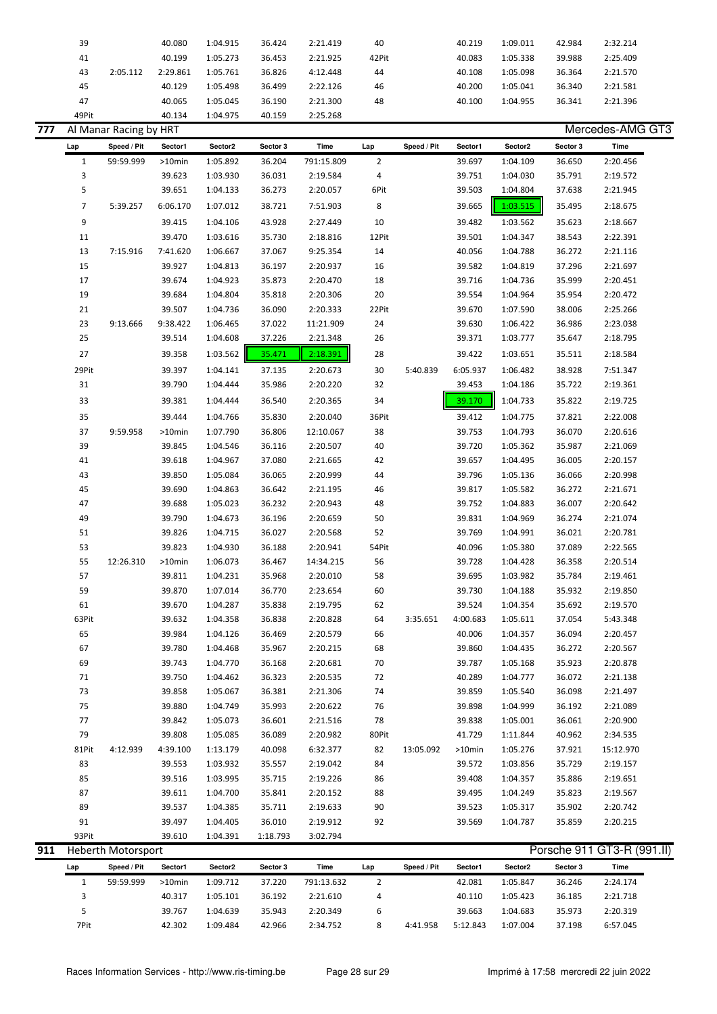| 39    |          | 40.080   | 1:04.915 | 36.424 | 2:21.419 | 40    | 40.219 | 1:09.011 | 42.984 | 2:32.214 |  |
|-------|----------|----------|----------|--------|----------|-------|--------|----------|--------|----------|--|
| 41    |          | 40.199   | 1:05.273 | 36.453 | 2:21.925 | 42Pit | 40.083 | 1:05.338 | 39.988 | 2:25.409 |  |
| 43    | 2:05.112 | 2:29.861 | 1:05.761 | 36.826 | 4:12.448 | 44    | 40.108 | 1:05.098 | 36.364 | 2:21.570 |  |
| 45    |          | 40.129   | 1:05.498 | 36.499 | 2:22.126 | 46    | 40.200 | 1:05.041 | 36.340 | 2:21.581 |  |
| 47    |          | 40.065   | 1:05.045 | 36.190 | 2:21.300 | 48    | 40.100 | 1:04.955 | 36.341 | 2:21.396 |  |
| 49Pit |          | 40.134   | 1:04.975 | 40.159 | 2:25.268 |       |        |          |        |          |  |

| 777 |              | Al Manar Racing by HRT    |                  |                      |                  |                      |                |             |          |          |          | Mercedes-AMG GT3           |
|-----|--------------|---------------------------|------------------|----------------------|------------------|----------------------|----------------|-------------|----------|----------|----------|----------------------------|
|     | Lap          | Speed / Pit               | Sector1          | Sector2              | Sector 3         | Time                 | Lap            | Speed / Pit | Sector1  | Sector2  | Sector 3 | Time                       |
|     | $\mathbf{1}$ | 59:59.999                 | >10min           | 1:05.892             | 36.204           | 791:15.809           | $\overline{2}$ |             | 39.697   | 1:04.109 | 36.650   | 2:20.456                   |
|     | 3            |                           | 39.623           | 1:03.930             | 36.031           | 2:19.584             | 4              |             | 39.751   | 1:04.030 | 35.791   | 2:19.572                   |
|     | 5            |                           | 39.651           | 1:04.133             | 36.273           | 2:20.057             | 6Pit           |             | 39.503   | 1:04.804 | 37.638   | 2:21.945                   |
|     | 7            | 5:39.257                  | 6:06.170         | 1:07.012             | 38.721           | 7:51.903             | 8              |             | 39.665   | 1:03.515 | 35.495   | 2:18.675                   |
|     | 9            |                           | 39.415           | 1:04.106             | 43.928           | 2:27.449             | 10             |             | 39.482   | 1:03.562 | 35.623   | 2:18.667                   |
|     | 11           |                           | 39.470           | 1:03.616             | 35.730           | 2:18.816             | 12Pit          |             | 39.501   | 1:04.347 | 38.543   | 2:22.391                   |
|     | 13           | 7:15.916                  | 7:41.620         | 1:06.667             | 37.067           | 9:25.354             | 14             |             | 40.056   | 1:04.788 | 36.272   | 2:21.116                   |
|     | 15           |                           | 39.927           | 1:04.813             | 36.197           | 2:20.937             | 16             |             | 39.582   | 1:04.819 | 37.296   | 2:21.697                   |
|     | 17           |                           | 39.674           | 1:04.923             | 35.873           | 2:20.470             | 18             |             | 39.716   | 1:04.736 | 35.999   | 2:20.451                   |
|     | 19           |                           | 39.684           | 1:04.804             | 35.818           | 2:20.306             | 20             |             | 39.554   | 1:04.964 | 35.954   | 2:20.472                   |
|     | 21           |                           | 39.507           | 1:04.736             | 36.090           | 2:20.333             | 22Pit          |             | 39.670   | 1:07.590 | 38.006   | 2:25.266                   |
|     | 23           | 9:13.666                  | 9:38.422         | 1:06.465             | 37.022           | 11:21.909            | 24             |             | 39.630   | 1:06.422 | 36.986   | 2:23.038                   |
|     | 25           |                           | 39.514           | 1:04.608             | 37.226           | 2:21.348             | 26             |             | 39.371   | 1:03.777 | 35.647   | 2:18.795                   |
|     | 27           |                           | 39.358           | 1:03.562             | 35.471           | 2:18.391             | 28             |             | 39.422   | 1:03.651 | 35.511   | 2:18.584                   |
|     | 29Pit        |                           | 39.397           | 1:04.141             | 37.135           | 2:20.673             | 30             | 5:40.839    | 6:05.937 | 1:06.482 | 38.928   | 7:51.347                   |
|     | 31           |                           | 39.790           | 1:04.444             | 35.986           | 2:20.220             | 32             |             | 39.453   | 1:04.186 | 35.722   | 2:19.361                   |
|     | 33           |                           | 39.381           | 1:04.444             | 36.540           | 2:20.365             | 34             |             | 39.170   | 1:04.733 | 35.822   | 2:19.725                   |
|     | 35           |                           | 39.444           | 1:04.766             | 35.830           | 2:20.040             | 36Pit          |             | 39.412   | 1:04.775 | 37.821   | 2:22.008                   |
|     | 37           | 9:59.958                  | >10min           | 1:07.790             | 36.806           | 12:10.067            | 38             |             | 39.753   | 1:04.793 | 36.070   | 2:20.616                   |
|     | 39           |                           | 39.845           | 1:04.546             | 36.116           | 2:20.507             | 40             |             | 39.720   | 1:05.362 | 35.987   | 2:21.069                   |
|     | 41           |                           | 39.618           | 1:04.967             | 37.080           | 2:21.665             | 42             |             | 39.657   | 1:04.495 | 36.005   | 2:20.157                   |
|     | 43           |                           | 39.850           | 1:05.084             | 36.065           | 2:20.999             | 44             |             | 39.796   | 1:05.136 | 36.066   | 2:20.998                   |
|     | 45           |                           | 39.690           | 1:04.863             | 36.642           | 2:21.195             | 46             |             | 39.817   | 1:05.582 | 36.272   | 2:21.671                   |
|     | 47           |                           | 39.688           | 1:05.023             | 36.232           | 2:20.943             | 48             |             | 39.752   | 1:04.883 | 36.007   | 2:20.642                   |
|     | 49           |                           | 39.790           | 1:04.673             | 36.196           | 2:20.659             | 50             |             | 39.831   | 1:04.969 | 36.274   | 2:21.074                   |
|     | 51           |                           | 39.826           | 1:04.715             | 36.027           | 2:20.568             | 52             |             | 39.769   | 1:04.991 | 36.021   | 2:20.781                   |
|     | 53           |                           | 39.823           | 1:04.930             | 36.188           | 2:20.941             | 54Pit          |             | 40.096   | 1:05.380 | 37.089   | 2:22.565                   |
|     | 55           | 12:26.310                 | >10min           | 1:06.073             | 36.467           | 14:34.215            | 56             |             | 39.728   | 1:04.428 | 36.358   | 2:20.514                   |
|     | 57           |                           | 39.811           | 1:04.231             | 35.968           | 2:20.010             | 58             |             | 39.695   | 1:03.982 | 35.784   | 2:19.461                   |
|     | 59           |                           | 39.870           | 1:07.014             | 36.770           | 2:23.654             | 60             |             | 39.730   | 1:04.188 | 35.932   | 2:19.850                   |
|     | 61           |                           | 39.670           | 1:04.287             | 35.838           | 2:19.795             | 62             |             | 39.524   | 1:04.354 | 35.692   | 2:19.570                   |
|     | 63Pit        |                           | 39.632           | 1:04.358             | 36.838           | 2:20.828             | 64             | 3:35.651    | 4:00.683 | 1:05.611 | 37.054   | 5:43.348                   |
|     | 65           |                           | 39.984           | 1:04.126             | 36.469           | 2:20.579             | 66             |             | 40.006   | 1:04.357 | 36.094   | 2:20.457                   |
|     | 67           |                           | 39.780           | 1:04.468             | 35.967           | 2:20.215             | 68             |             | 39.860   | 1:04.435 | 36.272   | 2:20.567                   |
|     | 69           |                           | 39.743           | 1:04.770             | 36.168           | 2:20.681             | 70             |             | 39.787   | 1:05.168 | 35.923   | 2:20.878                   |
|     | 71           |                           | 39.750           | 1:04.462             | 36.323           | 2:20.535             | 72             |             | 40.289   | 1:04.777 | 36.072   | 2:21.138                   |
|     | 73           |                           | 39.858           | 1:05.067             | 36.381           | 2:21.306             | 74             |             | 39.859   | 1:05.540 | 36.098   | 2:21.497                   |
|     | 75           |                           | 39.880           | 1:04.749             | 35.993           | 2:20.622             | 76             |             | 39.898   | 1:04.999 | 36.192   | 2:21.089                   |
|     | 77           |                           | 39.842           | 1:05.073             | 36.601           | 2:21.516             | 78             |             | 39.838   | 1:05.001 | 36.061   | 2:20.900                   |
|     | 79           |                           | 39.808           | 1:05.085             | 36.089           | 2:20.982             | 80Pit          |             | 41.729   | 1:11.844 | 40.962   | 2:34.535                   |
|     | 81Pit        | 4:12.939                  | 4:39.100         | 1:13.179             | 40.098           | 6:32.377             | 82             | 13:05.092   | >10min   | 1:05.276 | 37.921   | 15:12.970                  |
|     | 83           |                           | 39.553           | 1:03.932             | 35.557           | 2:19.042             | 84             |             | 39.572   | 1:03.856 | 35.729   | 2:19.157                   |
|     | 85           |                           | 39.516           | 1:03.995             | 35.715           | 2:19.226             | 86             |             | 39.408   | 1:04.357 | 35.886   | 2:19.651                   |
|     | 87           |                           | 39.611           | 1:04.700             | 35.841           | 2:20.152             | 88             |             | 39.495   | 1:04.249 | 35.823   | 2:19.567                   |
|     | 89<br>91     |                           | 39.537<br>39.497 | 1:04.385             | 35.711<br>36.010 | 2:19.633             | 90             |             | 39.523   | 1:05.317 | 35.902   | 2:20.742                   |
|     | 93Pit        |                           | 39.610           | 1:04.405<br>1:04.391 | 1:18.793         | 2:19.912<br>3:02.794 | 92             |             | 39.569   | 1:04.787 | 35.859   | 2:20.215                   |
| 911 |              | <b>Heberth Motorsport</b> |                  |                      |                  |                      |                |             |          |          |          | Porsche 911 GT3-R (991.II) |
|     |              |                           |                  |                      |                  |                      |                |             |          |          |          |                            |

| Lap |      | Speed / Pit | Sector1   | Sector2  | Sector 3 | Time       | Lap | Speed / Pit | Sector1  | Sector2  | Sector 3 | Time     |
|-----|------|-------------|-----------|----------|----------|------------|-----|-------------|----------|----------|----------|----------|
|     |      | 59:59.999   | $>10$ min | 1:09.712 | 37.220   | 791:13.632 |     |             | 42.081   | 1:05.847 | 36.246   | 2:24.174 |
|     |      |             | 40.317    | 1:05.101 | 36.192   | 2:21.610   |     |             | 40.110   | 1:05.423 | 36.185   | 2:21.718 |
|     |      |             | 39.767    | 1:04.639 | 35.943   | 2:20.349   | 6   |             | 39.663   | 1:04.683 | 35.973   | 2:20.319 |
|     | 7Pit |             | 42.302    | 1:09.484 | 42.966   | 2:34.752   | 8   | 4:41.958    | 5:12.843 | 1:07.004 | 37.198   | 6:57.045 |